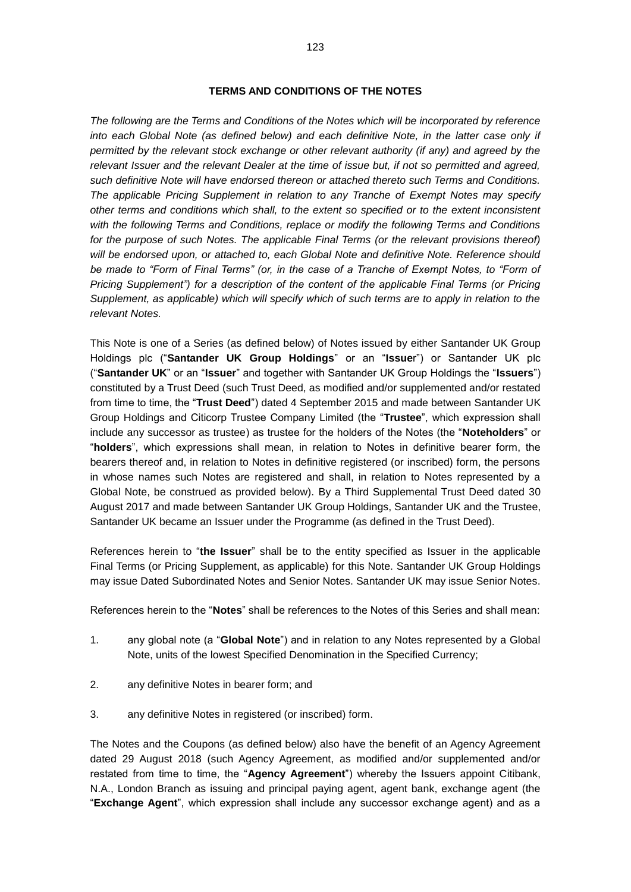#### **TERMS AND CONDITIONS OF THE NOTES**

*The following are the Terms and Conditions of the Notes which will be incorporated by reference*  into each Global Note (as defined below) and each definitive Note, in the latter case only if *permitted by the relevant stock exchange or other relevant authority (if any) and agreed by the relevant Issuer and the relevant Dealer at the time of issue but, if not so permitted and agreed, such definitive Note will have endorsed thereon or attached thereto such Terms and Conditions. The applicable Pricing Supplement in relation to any Tranche of Exempt Notes may specify other terms and conditions which shall, to the extent so specified or to the extent inconsistent with the following Terms and Conditions, replace or modify the following Terms and Conditions*  for the purpose of such Notes. The applicable Final Terms (or the relevant provisions thereof) *will be endorsed upon, or attached to, each Global Note and definitive Note. Reference should*  be made to "Form of Final Terms" (or, in the case of a Tranche of Exempt Notes, to "Form of *Pricing Supplement") for a description of the content of the applicable Final Terms (or Pricing Supplement, as applicable) which will specify which of such terms are to apply in relation to the relevant Notes.*

This Note is one of a Series (as defined below) of Notes issued by either Santander UK Group Holdings plc ("**Santander UK Group Holdings**" or an "**Issue**r") or Santander UK plc ("**Santander UK**" or an "**Issuer**" and together with Santander UK Group Holdings the "**Issuers**") constituted by a Trust Deed (such Trust Deed, as modified and/or supplemented and/or restated from time to time, the "**Trust Deed**") dated 4 September 2015 and made between Santander UK Group Holdings and Citicorp Trustee Company Limited (the "**Trustee**", which expression shall include any successor as trustee) as trustee for the holders of the Notes (the "**Noteholders**" or "**holders**", which expressions shall mean, in relation to Notes in definitive bearer form, the bearers thereof and, in relation to Notes in definitive registered (or inscribed) form, the persons in whose names such Notes are registered and shall, in relation to Notes represented by a Global Note, be construed as provided below). By a Third Supplemental Trust Deed dated 30 August 2017 and made between Santander UK Group Holdings, Santander UK and the Trustee, Santander UK became an Issuer under the Programme (as defined in the Trust Deed).

References herein to "**the Issuer**" shall be to the entity specified as Issuer in the applicable Final Terms (or Pricing Supplement, as applicable) for this Note. Santander UK Group Holdings may issue Dated Subordinated Notes and Senior Notes. Santander UK may issue Senior Notes.

References herein to the "**Notes**" shall be references to the Notes of this Series and shall mean:

- 1. any global note (a "**Global Note**") and in relation to any Notes represented by a Global Note, units of the lowest Specified Denomination in the Specified Currency;
- 2. any definitive Notes in bearer form; and
- 3. any definitive Notes in registered (or inscribed) form.

The Notes and the Coupons (as defined below) also have the benefit of an Agency Agreement dated 29 August 2018 (such Agency Agreement, as modified and/or supplemented and/or restated from time to time, the "**Agency Agreement**") whereby the Issuers appoint Citibank, N.A., London Branch as issuing and principal paying agent, agent bank, exchange agent (the "**Exchange Agent**", which expression shall include any successor exchange agent) and as a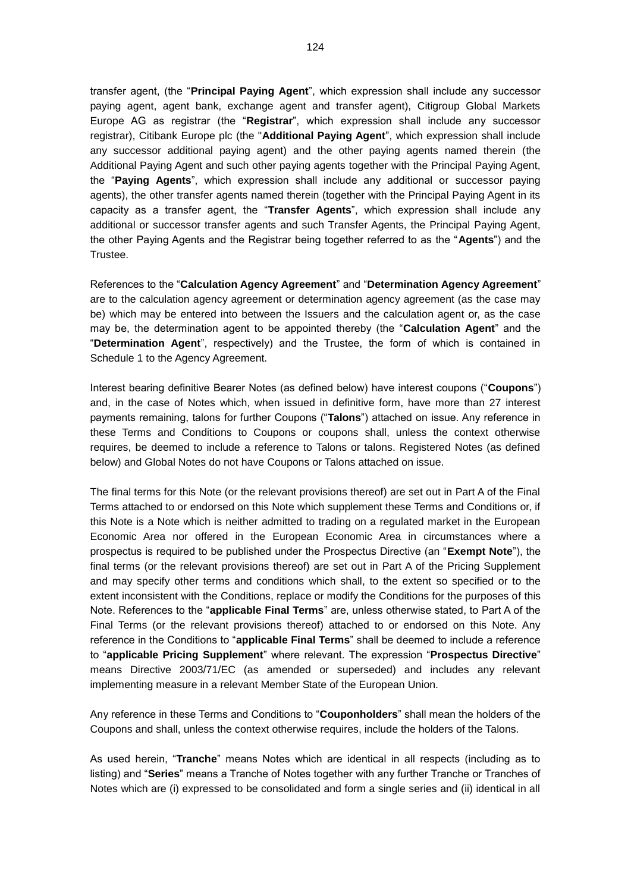transfer agent, (the "**Principal Paying Agent**", which expression shall include any successor paying agent, agent bank, exchange agent and transfer agent), Citigroup Global Markets Europe AG as registrar (the "**Registrar**", which expression shall include any successor registrar), Citibank Europe plc (the "**Additional Paying Agent**", which expression shall include any successor additional paying agent) and the other paying agents named therein (the Additional Paying Agent and such other paying agents together with the Principal Paying Agent, the "**Paying Agents**", which expression shall include any additional or successor paying agents), the other transfer agents named therein (together with the Principal Paying Agent in its capacity as a transfer agent, the "**Transfer Agents**", which expression shall include any additional or successor transfer agents and such Transfer Agents, the Principal Paying Agent, the other Paying Agents and the Registrar being together referred to as the "**Agents**") and the Trustee.

References to the "**Calculation Agency Agreement**" and "**Determination Agency Agreement**" are to the calculation agency agreement or determination agency agreement (as the case may be) which may be entered into between the Issuers and the calculation agent or, as the case may be, the determination agent to be appointed thereby (the "**Calculation Agent**" and the "**Determination Agent**", respectively) and the Trustee, the form of which is contained in Schedule 1 to the Agency Agreement.

Interest bearing definitive Bearer Notes (as defined below) have interest coupons ("**Coupons**") and, in the case of Notes which, when issued in definitive form, have more than 27 interest payments remaining, talons for further Coupons ("**Talons**") attached on issue. Any reference in these Terms and Conditions to Coupons or coupons shall, unless the context otherwise requires, be deemed to include a reference to Talons or talons. Registered Notes (as defined below) and Global Notes do not have Coupons or Talons attached on issue.

The final terms for this Note (or the relevant provisions thereof) are set out in Part A of the Final Terms attached to or endorsed on this Note which supplement these Terms and Conditions or, if this Note is a Note which is neither admitted to trading on a regulated market in the European Economic Area nor offered in the European Economic Area in circumstances where a prospectus is required to be published under the Prospectus Directive (an "**Exempt Note**"), the final terms (or the relevant provisions thereof) are set out in Part A of the Pricing Supplement and may specify other terms and conditions which shall, to the extent so specified or to the extent inconsistent with the Conditions, replace or modify the Conditions for the purposes of this Note. References to the "**applicable Final Terms**" are, unless otherwise stated, to Part A of the Final Terms (or the relevant provisions thereof) attached to or endorsed on this Note. Any reference in the Conditions to "**applicable Final Terms**" shall be deemed to include a reference to "**applicable Pricing Supplement**" where relevant. The expression "**Prospectus Directive**" means Directive 2003/71/EC (as amended or superseded) and includes any relevant implementing measure in a relevant Member State of the European Union.

Any reference in these Terms and Conditions to "**Couponholders**" shall mean the holders of the Coupons and shall, unless the context otherwise requires, include the holders of the Talons.

As used herein, "**Tranche**" means Notes which are identical in all respects (including as to listing) and "**Series**" means a Tranche of Notes together with any further Tranche or Tranches of Notes which are (i) expressed to be consolidated and form a single series and (ii) identical in all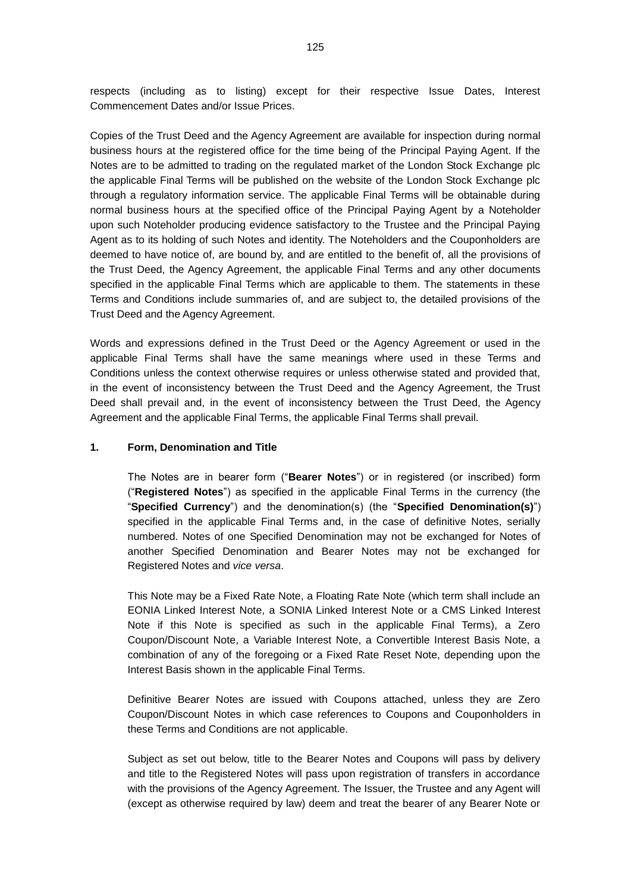respects (including as to listing) except for their respective Issue Dates, Interest Commencement Dates and/or Issue Prices.

Copies of the Trust Deed and the Agency Agreement are available for inspection during normal business hours at the registered office for the time being of the Principal Paying Agent. If the Notes are to be admitted to trading on the regulated market of the London Stock Exchange plc the applicable Final Terms will be published on the website of the London Stock Exchange plc through a regulatory information service. The applicable Final Terms will be obtainable during normal business hours at the specified office of the Principal Paying Agent by a Noteholder upon such Noteholder producing evidence satisfactory to the Trustee and the Principal Paying Agent as to its holding of such Notes and identity. The Noteholders and the Couponholders are deemed to have notice of, are bound by, and are entitled to the benefit of, all the provisions of the Trust Deed, the Agency Agreement, the applicable Final Terms and any other documents specified in the applicable Final Terms which are applicable to them. The statements in these Terms and Conditions include summaries of, and are subject to, the detailed provisions of the Trust Deed and the Agency Agreement.

Words and expressions defined in the Trust Deed or the Agency Agreement or used in the applicable Final Terms shall have the same meanings where used in these Terms and Conditions unless the context otherwise requires or unless otherwise stated and provided that, in the event of inconsistency between the Trust Deed and the Agency Agreement, the Trust Deed shall prevail and, in the event of inconsistency between the Trust Deed, the Agency Agreement and the applicable Final Terms, the applicable Final Terms shall prevail.

### **1. Form, Denomination and Title**

The Notes are in bearer form ("**Bearer Notes**") or in registered (or inscribed) form ("**Registered Notes**") as specified in the applicable Final Terms in the currency (the "**Specified Currency**") and the denomination(s) (the "**Specified Denomination(s)**") specified in the applicable Final Terms and, in the case of definitive Notes, serially numbered. Notes of one Specified Denomination may not be exchanged for Notes of another Specified Denomination and Bearer Notes may not be exchanged for Registered Notes and *vice versa*.

This Note may be a Fixed Rate Note, a Floating Rate Note (which term shall include an EONIA Linked Interest Note, a SONIA Linked Interest Note or a CMS Linked Interest Note if this Note is specified as such in the applicable Final Terms), a Zero Coupon/Discount Note, a Variable Interest Note, a Convertible Interest Basis Note, a combination of any of the foregoing or a Fixed Rate Reset Note, depending upon the Interest Basis shown in the applicable Final Terms.

Definitive Bearer Notes are issued with Coupons attached, unless they are Zero Coupon/Discount Notes in which case references to Coupons and Couponholders in these Terms and Conditions are not applicable.

Subject as set out below, title to the Bearer Notes and Coupons will pass by delivery and title to the Registered Notes will pass upon registration of transfers in accordance with the provisions of the Agency Agreement. The Issuer, the Trustee and any Agent will (except as otherwise required by law) deem and treat the bearer of any Bearer Note or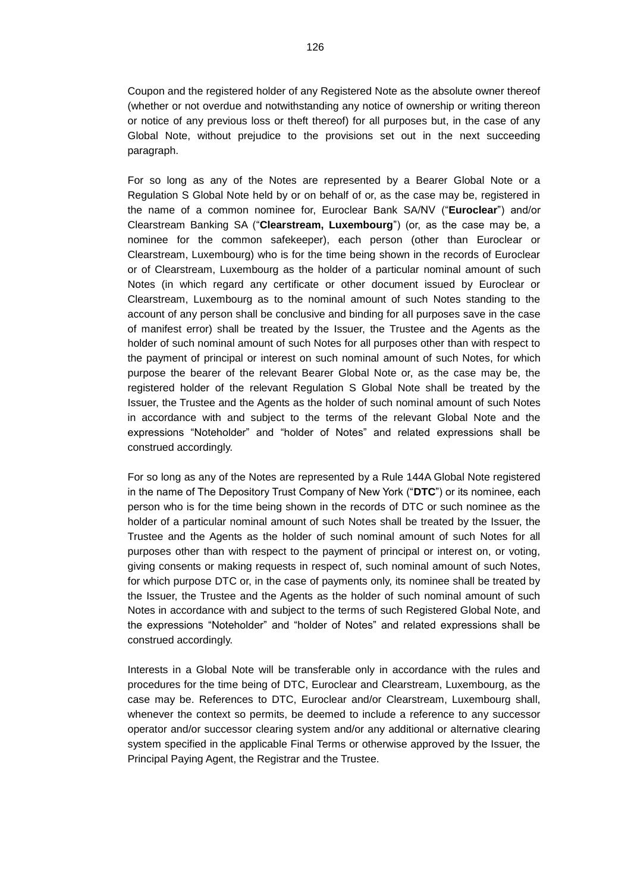Coupon and the registered holder of any Registered Note as the absolute owner thereof (whether or not overdue and notwithstanding any notice of ownership or writing thereon or notice of any previous loss or theft thereof) for all purposes but, in the case of any Global Note, without prejudice to the provisions set out in the next succeeding paragraph.

For so long as any of the Notes are represented by a Bearer Global Note or a Regulation S Global Note held by or on behalf of or, as the case may be, registered in the name of a common nominee for, Euroclear Bank SA/NV ("**Euroclear**") and/or Clearstream Banking SA ("**Clearstream, Luxembourg**") (or, as the case may be, a nominee for the common safekeeper), each person (other than Euroclear or Clearstream, Luxembourg) who is for the time being shown in the records of Euroclear or of Clearstream, Luxembourg as the holder of a particular nominal amount of such Notes (in which regard any certificate or other document issued by Euroclear or Clearstream, Luxembourg as to the nominal amount of such Notes standing to the account of any person shall be conclusive and binding for all purposes save in the case of manifest error) shall be treated by the Issuer, the Trustee and the Agents as the holder of such nominal amount of such Notes for all purposes other than with respect to the payment of principal or interest on such nominal amount of such Notes, for which purpose the bearer of the relevant Bearer Global Note or, as the case may be, the registered holder of the relevant Regulation S Global Note shall be treated by the Issuer, the Trustee and the Agents as the holder of such nominal amount of such Notes in accordance with and subject to the terms of the relevant Global Note and the expressions "Noteholder" and "holder of Notes" and related expressions shall be construed accordingly.

For so long as any of the Notes are represented by a Rule 144A Global Note registered in the name of The Depository Trust Company of New York ("**DTC**") or its nominee, each person who is for the time being shown in the records of DTC or such nominee as the holder of a particular nominal amount of such Notes shall be treated by the Issuer, the Trustee and the Agents as the holder of such nominal amount of such Notes for all purposes other than with respect to the payment of principal or interest on, or voting, giving consents or making requests in respect of, such nominal amount of such Notes, for which purpose DTC or, in the case of payments only, its nominee shall be treated by the Issuer, the Trustee and the Agents as the holder of such nominal amount of such Notes in accordance with and subject to the terms of such Registered Global Note, and the expressions "Noteholder" and "holder of Notes" and related expressions shall be construed accordingly.

Interests in a Global Note will be transferable only in accordance with the rules and procedures for the time being of DTC, Euroclear and Clearstream, Luxembourg, as the case may be. References to DTC, Euroclear and/or Clearstream, Luxembourg shall, whenever the context so permits, be deemed to include a reference to any successor operator and/or successor clearing system and/or any additional or alternative clearing system specified in the applicable Final Terms or otherwise approved by the Issuer, the Principal Paying Agent, the Registrar and the Trustee.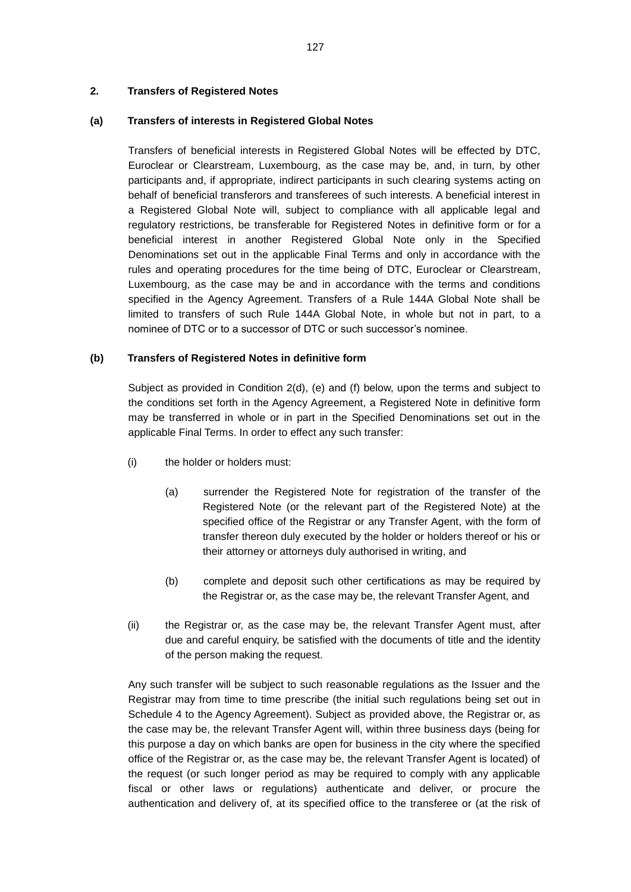## **2. Transfers of Registered Notes**

### **(a) Transfers of interests in Registered Global Notes**

Transfers of beneficial interests in Registered Global Notes will be effected by DTC, Euroclear or Clearstream, Luxembourg, as the case may be, and, in turn, by other participants and, if appropriate, indirect participants in such clearing systems acting on behalf of beneficial transferors and transferees of such interests. A beneficial interest in a Registered Global Note will, subject to compliance with all applicable legal and regulatory restrictions, be transferable for Registered Notes in definitive form or for a beneficial interest in another Registered Global Note only in the Specified Denominations set out in the applicable Final Terms and only in accordance with the rules and operating procedures for the time being of DTC, Euroclear or Clearstream, Luxembourg, as the case may be and in accordance with the terms and conditions specified in the Agency Agreement. Transfers of a Rule 144A Global Note shall be limited to transfers of such Rule 144A Global Note, in whole but not in part, to a nominee of DTC or to a successor of DTC or such successor's nominee.

### **(b) Transfers of Registered Notes in definitive form**

Subject as provided in Condition 2(d), (e) and (f) below, upon the terms and subject to the conditions set forth in the Agency Agreement, a Registered Note in definitive form may be transferred in whole or in part in the Specified Denominations set out in the applicable Final Terms. In order to effect any such transfer:

- (i) the holder or holders must:
	- (a) surrender the Registered Note for registration of the transfer of the Registered Note (or the relevant part of the Registered Note) at the specified office of the Registrar or any Transfer Agent, with the form of transfer thereon duly executed by the holder or holders thereof or his or their attorney or attorneys duly authorised in writing, and
	- (b) complete and deposit such other certifications as may be required by the Registrar or, as the case may be, the relevant Transfer Agent, and
- (ii) the Registrar or, as the case may be, the relevant Transfer Agent must, after due and careful enquiry, be satisfied with the documents of title and the identity of the person making the request.

Any such transfer will be subject to such reasonable regulations as the Issuer and the Registrar may from time to time prescribe (the initial such regulations being set out in Schedule 4 to the Agency Agreement). Subject as provided above, the Registrar or, as the case may be, the relevant Transfer Agent will, within three business days (being for this purpose a day on which banks are open for business in the city where the specified office of the Registrar or, as the case may be, the relevant Transfer Agent is located) of the request (or such longer period as may be required to comply with any applicable fiscal or other laws or regulations) authenticate and deliver, or procure the authentication and delivery of, at its specified office to the transferee or (at the risk of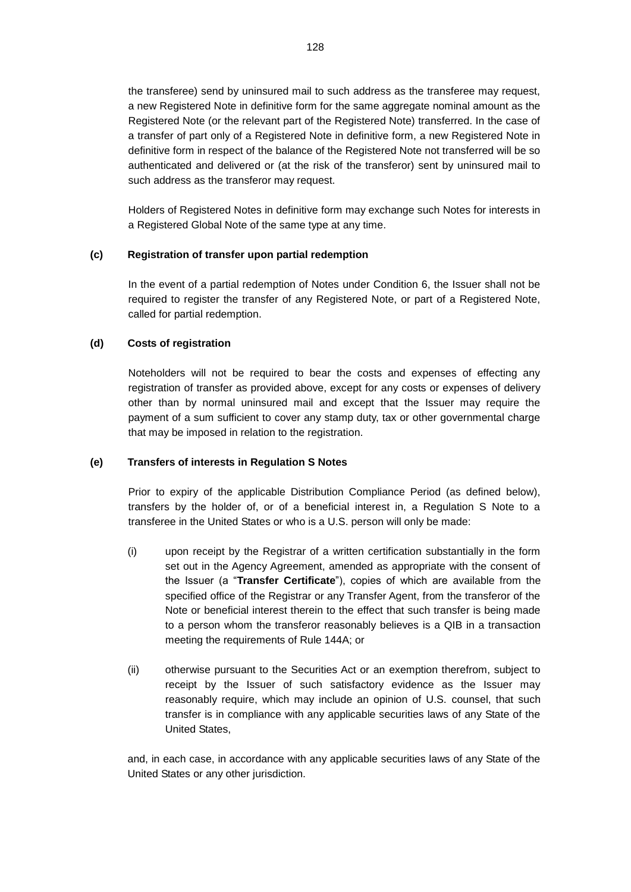the transferee) send by uninsured mail to such address as the transferee may request, a new Registered Note in definitive form for the same aggregate nominal amount as the Registered Note (or the relevant part of the Registered Note) transferred. In the case of a transfer of part only of a Registered Note in definitive form, a new Registered Note in definitive form in respect of the balance of the Registered Note not transferred will be so authenticated and delivered or (at the risk of the transferor) sent by uninsured mail to such address as the transferor may request.

Holders of Registered Notes in definitive form may exchange such Notes for interests in a Registered Global Note of the same type at any time.

## **(c) Registration of transfer upon partial redemption**

In the event of a partial redemption of Notes under Condition 6, the Issuer shall not be required to register the transfer of any Registered Note, or part of a Registered Note, called for partial redemption.

# **(d) Costs of registration**

Noteholders will not be required to bear the costs and expenses of effecting any registration of transfer as provided above, except for any costs or expenses of delivery other than by normal uninsured mail and except that the Issuer may require the payment of a sum sufficient to cover any stamp duty, tax or other governmental charge that may be imposed in relation to the registration.

## **(e) Transfers of interests in Regulation S Notes**

Prior to expiry of the applicable Distribution Compliance Period (as defined below), transfers by the holder of, or of a beneficial interest in, a Regulation S Note to a transferee in the United States or who is a U.S. person will only be made:

- (i) upon receipt by the Registrar of a written certification substantially in the form set out in the Agency Agreement, amended as appropriate with the consent of the Issuer (a "**Transfer Certificate**"), copies of which are available from the specified office of the Registrar or any Transfer Agent, from the transferor of the Note or beneficial interest therein to the effect that such transfer is being made to a person whom the transferor reasonably believes is a QIB in a transaction meeting the requirements of Rule 144A; or
- (ii) otherwise pursuant to the Securities Act or an exemption therefrom, subject to receipt by the Issuer of such satisfactory evidence as the Issuer may reasonably require, which may include an opinion of U.S. counsel, that such transfer is in compliance with any applicable securities laws of any State of the United States,

and, in each case, in accordance with any applicable securities laws of any State of the United States or any other jurisdiction.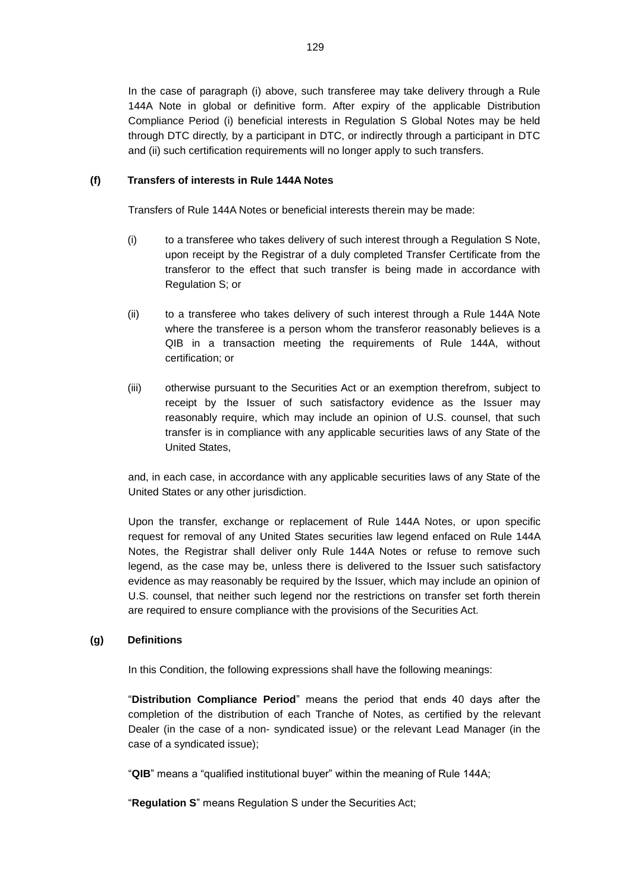In the case of paragraph (i) above, such transferee may take delivery through a Rule 144A Note in global or definitive form. After expiry of the applicable Distribution Compliance Period (i) beneficial interests in Regulation S Global Notes may be held through DTC directly, by a participant in DTC, or indirectly through a participant in DTC and (ii) such certification requirements will no longer apply to such transfers.

# **(f) Transfers of interests in Rule 144A Notes**

Transfers of Rule 144A Notes or beneficial interests therein may be made:

- (i) to a transferee who takes delivery of such interest through a Regulation S Note, upon receipt by the Registrar of a duly completed Transfer Certificate from the transferor to the effect that such transfer is being made in accordance with Regulation S; or
- (ii) to a transferee who takes delivery of such interest through a Rule 144A Note where the transferee is a person whom the transferor reasonably believes is a QIB in a transaction meeting the requirements of Rule 144A, without certification; or
- (iii) otherwise pursuant to the Securities Act or an exemption therefrom, subject to receipt by the Issuer of such satisfactory evidence as the Issuer may reasonably require, which may include an opinion of U.S. counsel, that such transfer is in compliance with any applicable securities laws of any State of the United States,

and, in each case, in accordance with any applicable securities laws of any State of the United States or any other jurisdiction.

Upon the transfer, exchange or replacement of Rule 144A Notes, or upon specific request for removal of any United States securities law legend enfaced on Rule 144A Notes, the Registrar shall deliver only Rule 144A Notes or refuse to remove such legend, as the case may be, unless there is delivered to the Issuer such satisfactory evidence as may reasonably be required by the Issuer, which may include an opinion of U.S. counsel, that neither such legend nor the restrictions on transfer set forth therein are required to ensure compliance with the provisions of the Securities Act.

## **(g) Definitions**

In this Condition, the following expressions shall have the following meanings:

"**Distribution Compliance Period**" means the period that ends 40 days after the completion of the distribution of each Tranche of Notes, as certified by the relevant Dealer (in the case of a non- syndicated issue) or the relevant Lead Manager (in the case of a syndicated issue);

"**QIB**" means a "qualified institutional buyer" within the meaning of Rule 144A;

"**Regulation S**" means Regulation S under the Securities Act;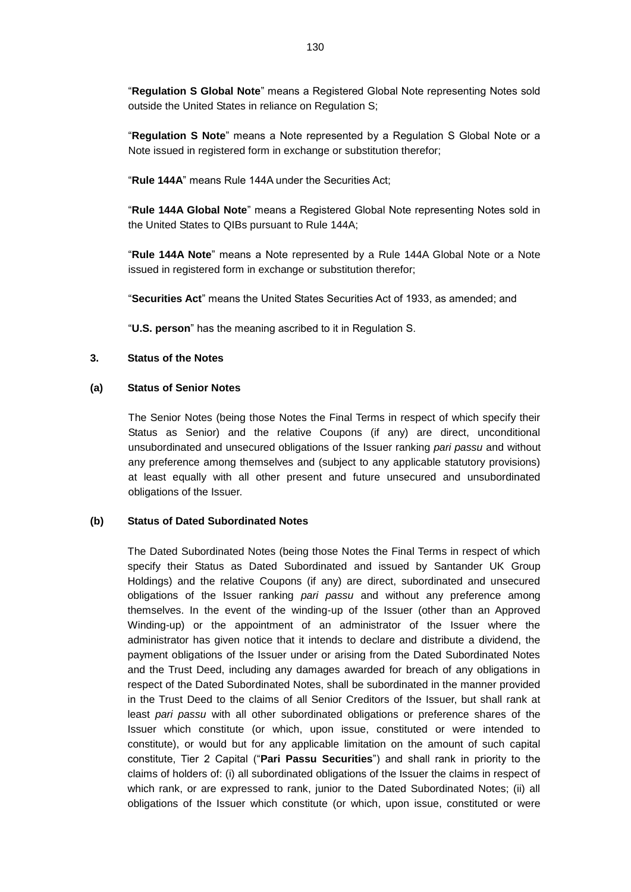"**Regulation S Global Note**" means a Registered Global Note representing Notes sold outside the United States in reliance on Regulation S;

"**Regulation S Note**" means a Note represented by a Regulation S Global Note or a Note issued in registered form in exchange or substitution therefor;

"**Rule 144A**" means Rule 144A under the Securities Act;

"**Rule 144A Global Note**" means a Registered Global Note representing Notes sold in the United States to QIBs pursuant to Rule 144A;

"**Rule 144A Note**" means a Note represented by a Rule 144A Global Note or a Note issued in registered form in exchange or substitution therefor;

"**Securities Act**" means the United States Securities Act of 1933, as amended; and

"**U.S. person**" has the meaning ascribed to it in Regulation S.

#### **3. Status of the Notes**

#### **(a) Status of Senior Notes**

The Senior Notes (being those Notes the Final Terms in respect of which specify their Status as Senior) and the relative Coupons (if any) are direct, unconditional unsubordinated and unsecured obligations of the Issuer ranking *pari passu* and without any preference among themselves and (subject to any applicable statutory provisions) at least equally with all other present and future unsecured and unsubordinated obligations of the Issuer.

#### **(b) Status of Dated Subordinated Notes**

The Dated Subordinated Notes (being those Notes the Final Terms in respect of which specify their Status as Dated Subordinated and issued by Santander UK Group Holdings) and the relative Coupons (if any) are direct, subordinated and unsecured obligations of the Issuer ranking *pari passu* and without any preference among themselves. In the event of the winding-up of the Issuer (other than an Approved Winding-up) or the appointment of an administrator of the Issuer where the administrator has given notice that it intends to declare and distribute a dividend, the payment obligations of the Issuer under or arising from the Dated Subordinated Notes and the Trust Deed, including any damages awarded for breach of any obligations in respect of the Dated Subordinated Notes, shall be subordinated in the manner provided in the Trust Deed to the claims of all Senior Creditors of the Issuer, but shall rank at least *pari passu* with all other subordinated obligations or preference shares of the Issuer which constitute (or which, upon issue, constituted or were intended to constitute), or would but for any applicable limitation on the amount of such capital constitute, Tier 2 Capital ("**Pari Passu Securities**") and shall rank in priority to the claims of holders of: (i) all subordinated obligations of the Issuer the claims in respect of which rank, or are expressed to rank, junior to the Dated Subordinated Notes; (ii) all obligations of the Issuer which constitute (or which, upon issue, constituted or were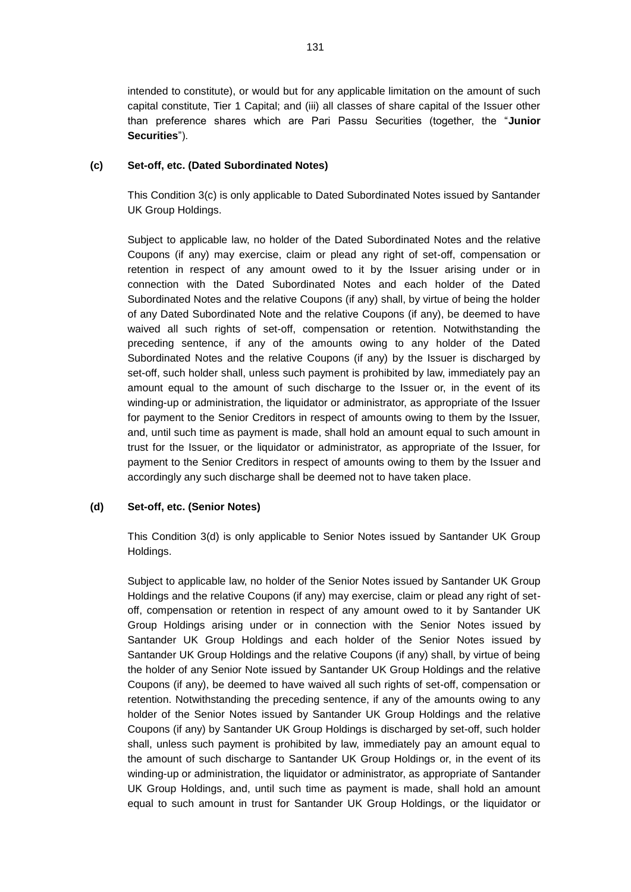intended to constitute), or would but for any applicable limitation on the amount of such capital constitute, Tier 1 Capital; and (iii) all classes of share capital of the Issuer other than preference shares which are Pari Passu Securities (together, the "**Junior Securities**").

## <span id="page-8-0"></span>**(c) Set-off, etc. (Dated Subordinated Notes)**

This Condition [3\(c\)](#page-8-0) is only applicable to Dated Subordinated Notes issued by Santander UK Group Holdings.

Subject to applicable law, no holder of the Dated Subordinated Notes and the relative Coupons (if any) may exercise, claim or plead any right of set-off, compensation or retention in respect of any amount owed to it by the Issuer arising under or in connection with the Dated Subordinated Notes and each holder of the Dated Subordinated Notes and the relative Coupons (if any) shall, by virtue of being the holder of any Dated Subordinated Note and the relative Coupons (if any), be deemed to have waived all such rights of set-off, compensation or retention. Notwithstanding the preceding sentence, if any of the amounts owing to any holder of the Dated Subordinated Notes and the relative Coupons (if any) by the Issuer is discharged by set-off, such holder shall, unless such payment is prohibited by law, immediately pay an amount equal to the amount of such discharge to the Issuer or, in the event of its winding-up or administration, the liquidator or administrator, as appropriate of the Issuer for payment to the Senior Creditors in respect of amounts owing to them by the Issuer, and, until such time as payment is made, shall hold an amount equal to such amount in trust for the Issuer, or the liquidator or administrator, as appropriate of the Issuer, for payment to the Senior Creditors in respect of amounts owing to them by the Issuer and accordingly any such discharge shall be deemed not to have taken place.

## <span id="page-8-1"></span>**(d) Set-off, etc. (Senior Notes)**

This Condition [3\(d\)](#page-8-1) is only applicable to Senior Notes issued by Santander UK Group Holdings.

Subject to applicable law, no holder of the Senior Notes issued by Santander UK Group Holdings and the relative Coupons (if any) may exercise, claim or plead any right of setoff, compensation or retention in respect of any amount owed to it by Santander UK Group Holdings arising under or in connection with the Senior Notes issued by Santander UK Group Holdings and each holder of the Senior Notes issued by Santander UK Group Holdings and the relative Coupons (if any) shall, by virtue of being the holder of any Senior Note issued by Santander UK Group Holdings and the relative Coupons (if any), be deemed to have waived all such rights of set-off, compensation or retention. Notwithstanding the preceding sentence, if any of the amounts owing to any holder of the Senior Notes issued by Santander UK Group Holdings and the relative Coupons (if any) by Santander UK Group Holdings is discharged by set-off, such holder shall, unless such payment is prohibited by law, immediately pay an amount equal to the amount of such discharge to Santander UK Group Holdings or, in the event of its winding-up or administration, the liquidator or administrator, as appropriate of Santander UK Group Holdings, and, until such time as payment is made, shall hold an amount equal to such amount in trust for Santander UK Group Holdings, or the liquidator or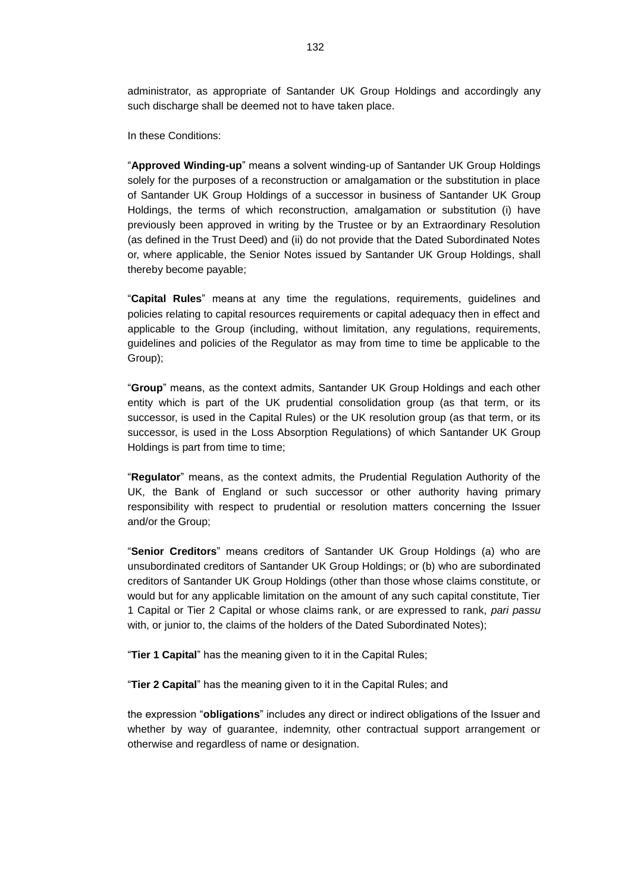administrator, as appropriate of Santander UK Group Holdings and accordingly any such discharge shall be deemed not to have taken place.

In these Conditions:

"**Approved Winding-up**" means a solvent winding-up of Santander UK Group Holdings solely for the purposes of a reconstruction or amalgamation or the substitution in place of Santander UK Group Holdings of a successor in business of Santander UK Group Holdings, the terms of which reconstruction, amalgamation or substitution (i) have previously been approved in writing by the Trustee or by an Extraordinary Resolution (as defined in the Trust Deed) and (ii) do not provide that the Dated Subordinated Notes or, where applicable, the Senior Notes issued by Santander UK Group Holdings, shall thereby become payable;

"**Capital Rules**" means at any time the regulations, requirements, guidelines and policies relating to capital resources requirements or capital adequacy then in effect and applicable to the Group (including, without limitation, any regulations, requirements, guidelines and policies of the Regulator as may from time to time be applicable to the Group);

"**Group**" means, as the context admits, Santander UK Group Holdings and each other entity which is part of the UK prudential consolidation group (as that term, or its successor, is used in the Capital Rules) or the UK resolution group (as that term, or its successor, is used in the Loss Absorption Regulations) of which Santander UK Group Holdings is part from time to time;

"**Regulator**" means, as the context admits, the Prudential Regulation Authority of the UK, the Bank of England or such successor or other authority having primary responsibility with respect to prudential or resolution matters concerning the Issuer and/or the Group;

"**Senior Creditors**" means creditors of Santander UK Group Holdings (a) who are unsubordinated creditors of Santander UK Group Holdings; or (b) who are subordinated creditors of Santander UK Group Holdings (other than those whose claims constitute, or would but for any applicable limitation on the amount of any such capital constitute, Tier 1 Capital or Tier 2 Capital or whose claims rank, or are expressed to rank, *pari passu* with, or junior to, the claims of the holders of the Dated Subordinated Notes);

"**Tier 1 Capital**" has the meaning given to it in the Capital Rules;

"**Tier 2 Capital**" has the meaning given to it in the Capital Rules; and

the expression "**obligations**" includes any direct or indirect obligations of the Issuer and whether by way of guarantee, indemnity, other contractual support arrangement or otherwise and regardless of name or designation.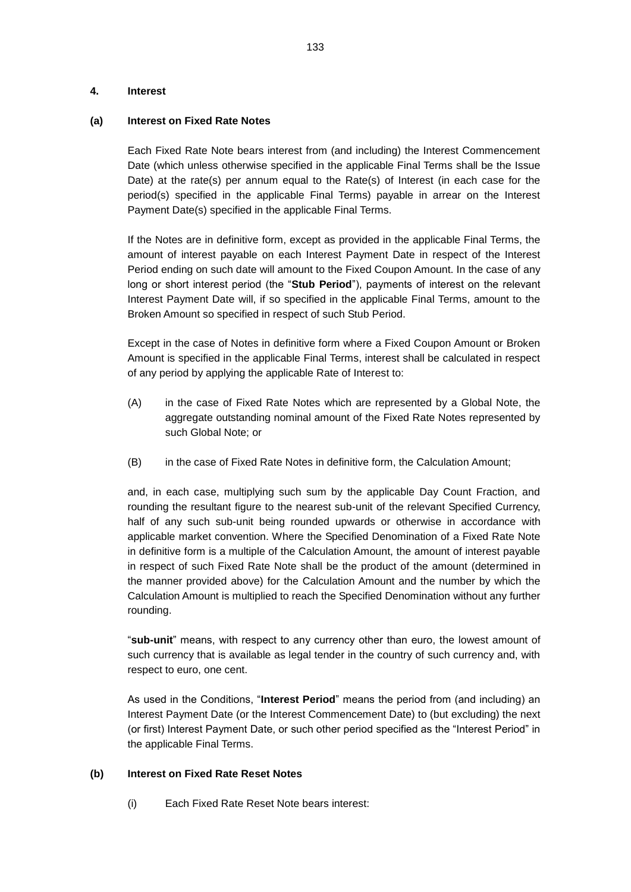### **4. Interest**

### **(a) Interest on Fixed Rate Notes**

Each Fixed Rate Note bears interest from (and including) the Interest Commencement Date (which unless otherwise specified in the applicable Final Terms shall be the Issue Date) at the rate(s) per annum equal to the Rate(s) of Interest (in each case for the period(s) specified in the applicable Final Terms) payable in arrear on the Interest Payment Date(s) specified in the applicable Final Terms.

If the Notes are in definitive form, except as provided in the applicable Final Terms, the amount of interest payable on each Interest Payment Date in respect of the Interest Period ending on such date will amount to the Fixed Coupon Amount. In the case of any long or short interest period (the "**Stub Period**"), payments of interest on the relevant Interest Payment Date will, if so specified in the applicable Final Terms, amount to the Broken Amount so specified in respect of such Stub Period.

Except in the case of Notes in definitive form where a Fixed Coupon Amount or Broken Amount is specified in the applicable Final Terms, interest shall be calculated in respect of any period by applying the applicable Rate of Interest to:

- (A) in the case of Fixed Rate Notes which are represented by a Global Note, the aggregate outstanding nominal amount of the Fixed Rate Notes represented by such Global Note; or
- (B) in the case of Fixed Rate Notes in definitive form, the Calculation Amount;

and, in each case, multiplying such sum by the applicable Day Count Fraction, and rounding the resultant figure to the nearest sub-unit of the relevant Specified Currency, half of any such sub-unit being rounded upwards or otherwise in accordance with applicable market convention. Where the Specified Denomination of a Fixed Rate Note in definitive form is a multiple of the Calculation Amount, the amount of interest payable in respect of such Fixed Rate Note shall be the product of the amount (determined in the manner provided above) for the Calculation Amount and the number by which the Calculation Amount is multiplied to reach the Specified Denomination without any further rounding.

"**sub-unit**" means, with respect to any currency other than euro, the lowest amount of such currency that is available as legal tender in the country of such currency and, with respect to euro, one cent.

As used in the Conditions, "**Interest Period**" means the period from (and including) an Interest Payment Date (or the Interest Commencement Date) to (but excluding) the next (or first) Interest Payment Date, or such other period specified as the "Interest Period" in the applicable Final Terms.

## **(b) Interest on Fixed Rate Reset Notes**

(i) Each Fixed Rate Reset Note bears interest: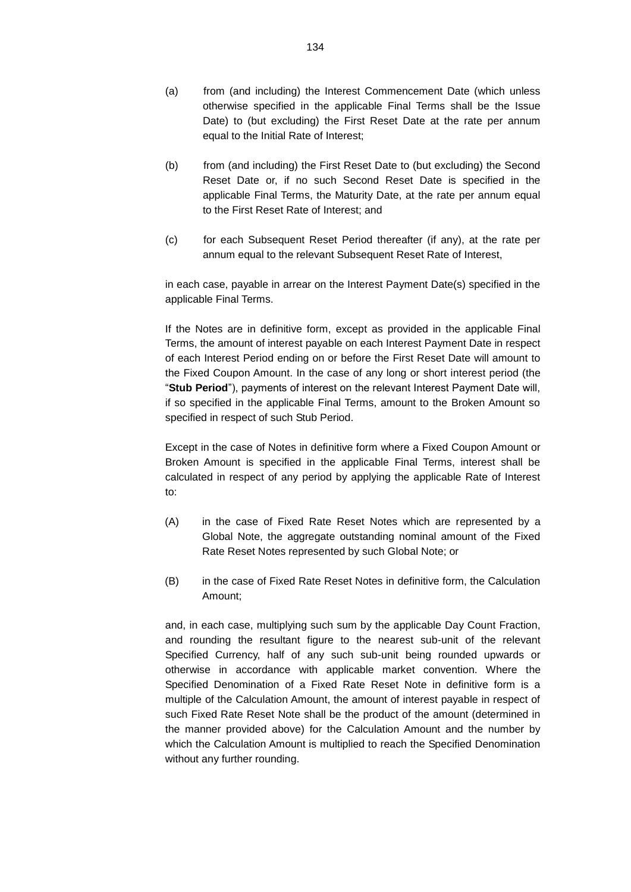- (a) from (and including) the Interest Commencement Date (which unless otherwise specified in the applicable Final Terms shall be the Issue Date) to (but excluding) the First Reset Date at the rate per annum equal to the Initial Rate of Interest;
- (b) from (and including) the First Reset Date to (but excluding) the Second Reset Date or, if no such Second Reset Date is specified in the applicable Final Terms, the Maturity Date, at the rate per annum equal to the First Reset Rate of Interest; and
- (c) for each Subsequent Reset Period thereafter (if any), at the rate per annum equal to the relevant Subsequent Reset Rate of Interest,

in each case, payable in arrear on the Interest Payment Date(s) specified in the applicable Final Terms.

If the Notes are in definitive form, except as provided in the applicable Final Terms, the amount of interest payable on each Interest Payment Date in respect of each Interest Period ending on or before the First Reset Date will amount to the Fixed Coupon Amount. In the case of any long or short interest period (the "**Stub Period**"), payments of interest on the relevant Interest Payment Date will, if so specified in the applicable Final Terms, amount to the Broken Amount so specified in respect of such Stub Period.

Except in the case of Notes in definitive form where a Fixed Coupon Amount or Broken Amount is specified in the applicable Final Terms, interest shall be calculated in respect of any period by applying the applicable Rate of Interest to:

- (A) in the case of Fixed Rate Reset Notes which are represented by a Global Note, the aggregate outstanding nominal amount of the Fixed Rate Reset Notes represented by such Global Note; or
- (B) in the case of Fixed Rate Reset Notes in definitive form, the Calculation Amount;

and, in each case, multiplying such sum by the applicable Day Count Fraction, and rounding the resultant figure to the nearest sub-unit of the relevant Specified Currency, half of any such sub-unit being rounded upwards or otherwise in accordance with applicable market convention. Where the Specified Denomination of a Fixed Rate Reset Note in definitive form is a multiple of the Calculation Amount, the amount of interest payable in respect of such Fixed Rate Reset Note shall be the product of the amount (determined in the manner provided above) for the Calculation Amount and the number by which the Calculation Amount is multiplied to reach the Specified Denomination without any further rounding.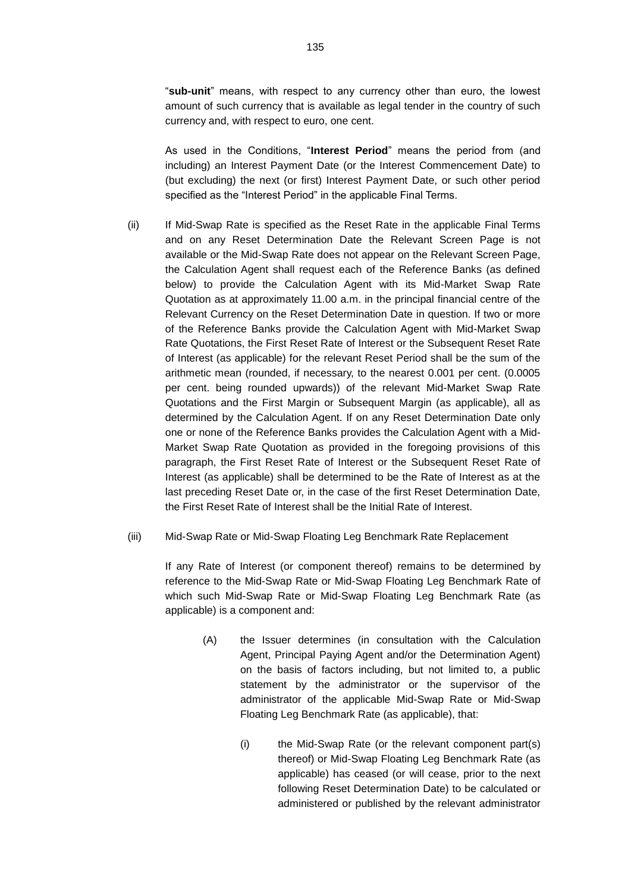"**sub-unit**" means, with respect to any currency other than euro, the lowest amount of such currency that is available as legal tender in the country of such currency and, with respect to euro, one cent.

As used in the Conditions, "**Interest Period**" means the period from (and including) an Interest Payment Date (or the Interest Commencement Date) to (but excluding) the next (or first) Interest Payment Date, or such other period specified as the "Interest Period" in the applicable Final Terms.

- <span id="page-12-1"></span>(ii) If Mid-Swap Rate is specified as the Reset Rate in the applicable Final Terms and on any Reset Determination Date the Relevant Screen Page is not available or the Mid-Swap Rate does not appear on the Relevant Screen Page, the Calculation Agent shall request each of the Reference Banks (as defined below) to provide the Calculation Agent with its Mid-Market Swap Rate Quotation as at approximately 11.00 a.m. in the principal financial centre of the Relevant Currency on the Reset Determination Date in question. If two or more of the Reference Banks provide the Calculation Agent with Mid-Market Swap Rate Quotations, the First Reset Rate of Interest or the Subsequent Reset Rate of Interest (as applicable) for the relevant Reset Period shall be the sum of the arithmetic mean (rounded, if necessary, to the nearest 0.001 per cent. (0.0005 per cent. being rounded upwards)) of the relevant Mid-Market Swap Rate Quotations and the First Margin or Subsequent Margin (as applicable), all as determined by the Calculation Agent. If on any Reset Determination Date only one or none of the Reference Banks provides the Calculation Agent with a Mid-Market Swap Rate Quotation as provided in the foregoing provisions of this paragraph, the First Reset Rate of Interest or the Subsequent Reset Rate of Interest (as applicable) shall be determined to be the Rate of Interest as at the last preceding Reset Date or, in the case of the first Reset Determination Date, the First Reset Rate of Interest shall be the Initial Rate of Interest.
- <span id="page-12-0"></span>(iii) Mid-Swap Rate or Mid-Swap Floating Leg Benchmark Rate Replacement

If any Rate of Interest (or component thereof) remains to be determined by reference to the Mid-Swap Rate or Mid-Swap Floating Leg Benchmark Rate of which such Mid-Swap Rate or Mid-Swap Floating Leg Benchmark Rate (as applicable) is a component and:

- (A) the Issuer determines (in consultation with the Calculation Agent, Principal Paying Agent and/or the Determination Agent) on the basis of factors including, but not limited to, a public statement by the administrator or the supervisor of the administrator of the applicable Mid-Swap Rate or Mid-Swap Floating Leg Benchmark Rate (as applicable), that:
	- (i) the Mid-Swap Rate (or the relevant component part(s) thereof) or Mid-Swap Floating Leg Benchmark Rate (as applicable) has ceased (or will cease, prior to the next following Reset Determination Date) to be calculated or administered or published by the relevant administrator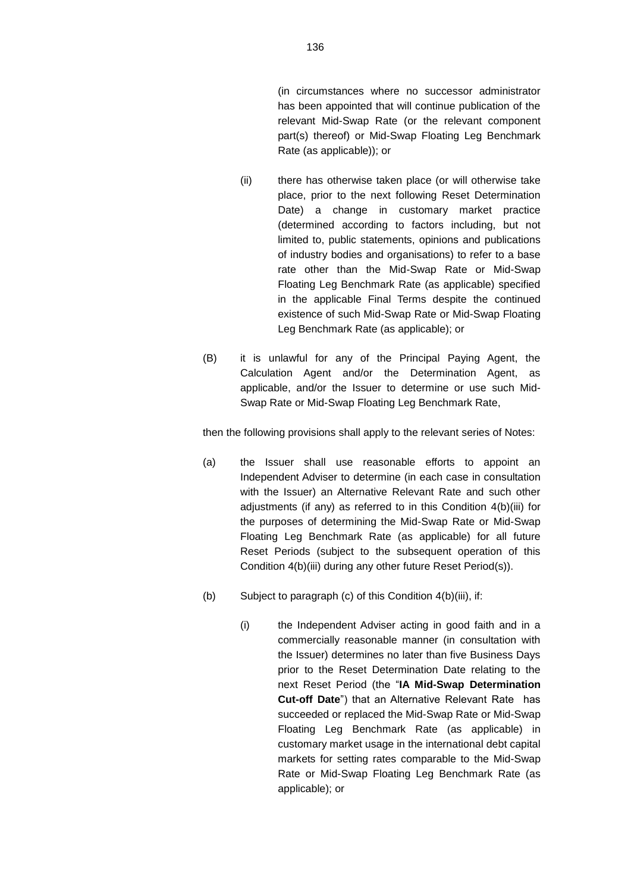(in circumstances where no successor administrator has been appointed that will continue publication of the relevant Mid-Swap Rate (or the relevant component part(s) thereof) or Mid-Swap Floating Leg Benchmark Rate (as applicable)); or

- (ii) there has otherwise taken place (or will otherwise take place, prior to the next following Reset Determination Date) a change in customary market practice (determined according to factors including, but not limited to, public statements, opinions and publications of industry bodies and organisations) to refer to a base rate other than the Mid-Swap Rate or Mid-Swap Floating Leg Benchmark Rate (as applicable) specified in the applicable Final Terms despite the continued existence of such Mid-Swap Rate or Mid-Swap Floating Leg Benchmark Rate (as applicable); or
- (B) it is unlawful for any of the Principal Paying Agent, the Calculation Agent and/or the Determination Agent, as applicable, and/or the Issuer to determine or use such Mid-Swap Rate or Mid-Swap Floating Leg Benchmark Rate,

then the following provisions shall apply to the relevant series of Notes:

- (a) the Issuer shall use reasonable efforts to appoint an Independent Adviser to determine (in each case in consultation with the Issuer) an Alternative Relevant Rate and such other adjustments (if any) as referred to in this Condition [4\(b\)\(iii\)](#page-12-0) for the purposes of determining the Mid-Swap Rate or Mid-Swap Floating Leg Benchmark Rate (as applicable) for all future Reset Periods (subject to the subsequent operation of this Condition [4\(b\)\(iii\)](#page-12-0) during any other future Reset Period(s)).
- (b) Subject to paragraph (c) of this Condition [4\(b\)\(iii\),](#page-12-0) if:
	- (i) the Independent Adviser acting in good faith and in a commercially reasonable manner (in consultation with the Issuer) determines no later than five Business Days prior to the Reset Determination Date relating to the next Reset Period (the "**IA Mid-Swap Determination Cut-off Date**") that an Alternative Relevant Rate has succeeded or replaced the Mid-Swap Rate or Mid-Swap Floating Leg Benchmark Rate (as applicable) in customary market usage in the international debt capital markets for setting rates comparable to the Mid-Swap Rate or Mid-Swap Floating Leg Benchmark Rate (as applicable); or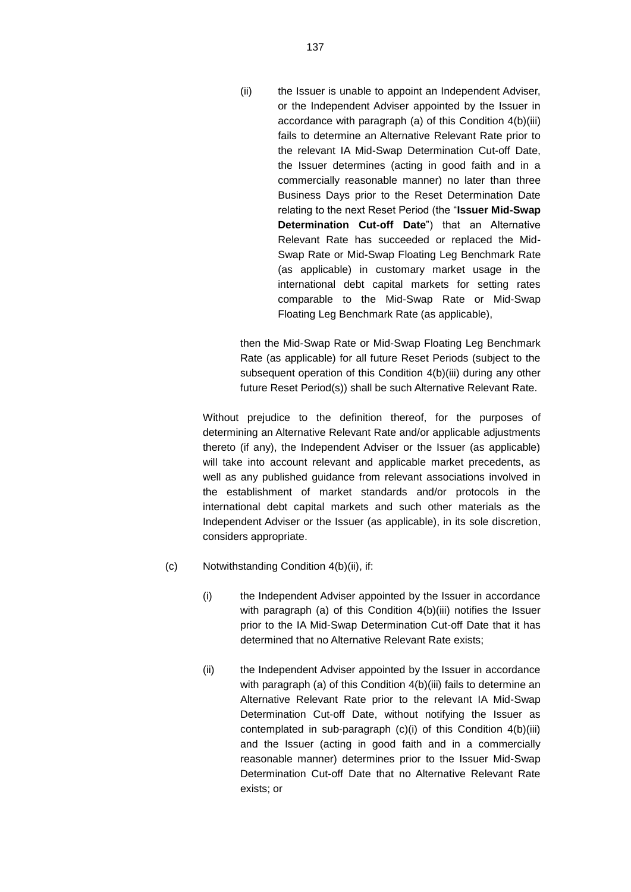(ii) the Issuer is unable to appoint an Independent Adviser, or the Independent Adviser appointed by the Issuer in accordance with paragraph (a) of this Condition [4\(b\)\(iii\)](#page-12-0) fails to determine an Alternative Relevant Rate prior to the relevant IA Mid-Swap Determination Cut-off Date, the Issuer determines (acting in good faith and in a commercially reasonable manner) no later than three Business Days prior to the Reset Determination Date relating to the next Reset Period (the "**Issuer Mid-Swap Determination Cut-off Date**") that an Alternative Relevant Rate has succeeded or replaced the Mid-Swap Rate or Mid-Swap Floating Leg Benchmark Rate (as applicable) in customary market usage in the international debt capital markets for setting rates comparable to the Mid-Swap Rate or Mid-Swap Floating Leg Benchmark Rate (as applicable),

then the Mid-Swap Rate or Mid-Swap Floating Leg Benchmark Rate (as applicable) for all future Reset Periods (subject to the subsequent operation of this Condition [4\(b\)\(iii\)](#page-12-0) during any other future Reset Period(s)) shall be such Alternative Relevant Rate.

Without prejudice to the definition thereof, for the purposes of determining an Alternative Relevant Rate and/or applicable adjustments thereto (if any), the Independent Adviser or the Issuer (as applicable) will take into account relevant and applicable market precedents, as well as any published guidance from relevant associations involved in the establishment of market standards and/or protocols in the international debt capital markets and such other materials as the Independent Adviser or the Issuer (as applicable), in its sole discretion, considers appropriate.

- (c) Notwithstanding Condition [4\(b\)\(ii\),](#page-12-1) if:
	- (i) the Independent Adviser appointed by the Issuer in accordance with paragraph (a) of this Condition [4\(b\)\(iii\)](#page-12-0) notifies the Issuer prior to the IA Mid-Swap Determination Cut-off Date that it has determined that no Alternative Relevant Rate exists;
	- (ii) the Independent Adviser appointed by the Issuer in accordance with paragraph (a) of this Condition [4\(b\)\(iii\)](#page-12-0) fails to determine an Alternative Relevant Rate prior to the relevant IA Mid-Swap Determination Cut-off Date, without notifying the Issuer as contemplated in sub-paragraph (c)(i) of this Condition 4(b)(iii) and the Issuer (acting in good faith and in a commercially reasonable manner) determines prior to the Issuer Mid-Swap Determination Cut-off Date that no Alternative Relevant Rate exists; or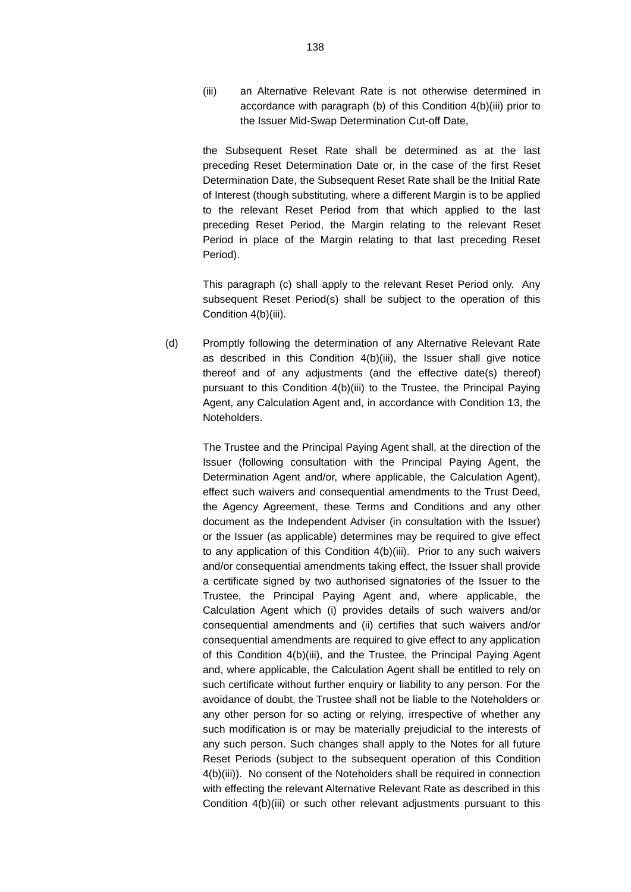(iii) an Alternative Relevant Rate is not otherwise determined in accordance with paragraph (b) of this Condition [4\(b\)\(iii\)](#page-12-0) prior to the Issuer Mid-Swap Determination Cut-off Date,

the Subsequent Reset Rate shall be determined as at the last preceding Reset Determination Date or, in the case of the first Reset Determination Date, the Subsequent Reset Rate shall be the Initial Rate of Interest (though substituting, where a different Margin is to be applied to the relevant Reset Period from that which applied to the last preceding Reset Period, the Margin relating to the relevant Reset Period in place of the Margin relating to that last preceding Reset Period).

This paragraph (c) shall apply to the relevant Reset Period only. Any subsequent Reset Period(s) shall be subject to the operation of this Condition [4\(b\)\(iii\).](#page-12-0)

(d) Promptly following the determination of any Alternative Relevant Rate as described in this Condition [4\(b\)\(iii\),](#page-12-0) the Issuer shall give notice thereof and of any adjustments (and the effective date(s) thereof) pursuant to this Condition 4(b)(iii) to the Trustee, the Principal Paying Agent, any Calculation Agent and, in accordance with Condition [13,](#page-76-0) the Noteholders.

> The Trustee and the Principal Paying Agent shall, at the direction of the Issuer (following consultation with the Principal Paying Agent, the Determination Agent and/or, where applicable, the Calculation Agent), effect such waivers and consequential amendments to the Trust Deed, the Agency Agreement, these Terms and Conditions and any other document as the Independent Adviser (in consultation with the Issuer) or the Issuer (as applicable) determines may be required to give effect to any application of this Condition [4\(b\)\(iii\).](#page-12-0) Prior to any such waivers and/or consequential amendments taking effect, the Issuer shall provide a certificate signed by two authorised signatories of the Issuer to the Trustee, the Principal Paying Agent and, where applicable, the Calculation Agent which (i) provides details of such waivers and/or consequential amendments and (ii) certifies that such waivers and/or consequential amendments are required to give effect to any application of this Condition [4\(b\)\(iii\),](#page-12-0) and the Trustee, the Principal Paying Agent and, where applicable, the Calculation Agent shall be entitled to rely on such certificate without further enquiry or liability to any person. For the avoidance of doubt, the Trustee shall not be liable to the Noteholders or any other person for so acting or relying, irrespective of whether any such modification is or may be materially prejudicial to the interests of any such person. Such changes shall apply to the Notes for all future Reset Periods (subject to the subsequent operation of this Condition [4\(b\)\(iii\)\)](#page-12-0). No consent of the Noteholders shall be required in connection with effecting the relevant Alternative Relevant Rate as described in this Condition [4\(b\)\(iii\)](#page-12-0) or such other relevant adjustments pursuant to this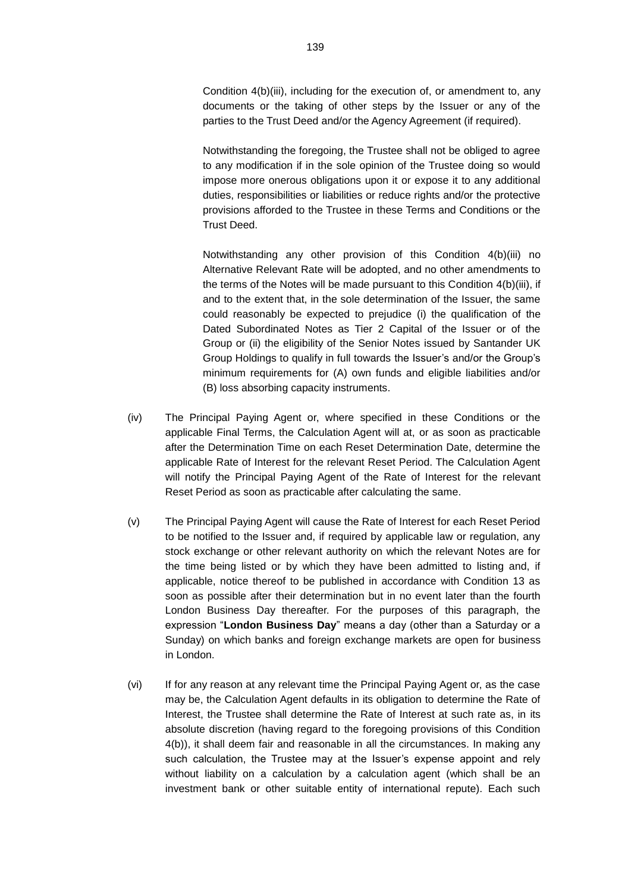Condition [4\(b\)\(iii\),](#page-12-0) including for the execution of, or amendment to, any documents or the taking of other steps by the Issuer or any of the parties to the Trust Deed and/or the Agency Agreement (if required).

Notwithstanding the foregoing, the Trustee shall not be obliged to agree to any modification if in the sole opinion of the Trustee doing so would impose more onerous obligations upon it or expose it to any additional duties, responsibilities or liabilities or reduce rights and/or the protective provisions afforded to the Trustee in these Terms and Conditions or the Trust Deed.

Notwithstanding any other provision of this Condition [4\(b\)\(iii\)](#page-12-0) no Alternative Relevant Rate will be adopted, and no other amendments to the terms of the Notes will be made pursuant to this Condition [4\(b\)\(iii\),](#page-12-0) if and to the extent that, in the sole determination of the Issuer, the same could reasonably be expected to prejudice (i) the qualification of the Dated Subordinated Notes as Tier 2 Capital of the Issuer or of the Group or (ii) the eligibility of the Senior Notes issued by Santander UK Group Holdings to qualify in full towards the Issuer's and/or the Group's minimum requirements for (A) own funds and eligible liabilities and/or (B) loss absorbing capacity instruments.

- (iv) The Principal Paying Agent or, where specified in these Conditions or the applicable Final Terms, the Calculation Agent will at, or as soon as practicable after the Determination Time on each Reset Determination Date, determine the applicable Rate of Interest for the relevant Reset Period. The Calculation Agent will notify the Principal Paying Agent of the Rate of Interest for the relevant Reset Period as soon as practicable after calculating the same.
- (v) The Principal Paying Agent will cause the Rate of Interest for each Reset Period to be notified to the Issuer and, if required by applicable law or regulation, any stock exchange or other relevant authority on which the relevant Notes are for the time being listed or by which they have been admitted to listing and, if applicable, notice thereof to be published in accordance with Condition 13 as soon as possible after their determination but in no event later than the fourth London Business Day thereafter. For the purposes of this paragraph, the expression "**London Business Day**" means a day (other than a Saturday or a Sunday) on which banks and foreign exchange markets are open for business in London.
- (vi) If for any reason at any relevant time the Principal Paying Agent or, as the case may be, the Calculation Agent defaults in its obligation to determine the Rate of Interest, the Trustee shall determine the Rate of Interest at such rate as, in its absolute discretion (having regard to the foregoing provisions of this Condition 4(b)), it shall deem fair and reasonable in all the circumstances. In making any such calculation, the Trustee may at the Issuer's expense appoint and rely without liability on a calculation by a calculation agent (which shall be an investment bank or other suitable entity of international repute). Each such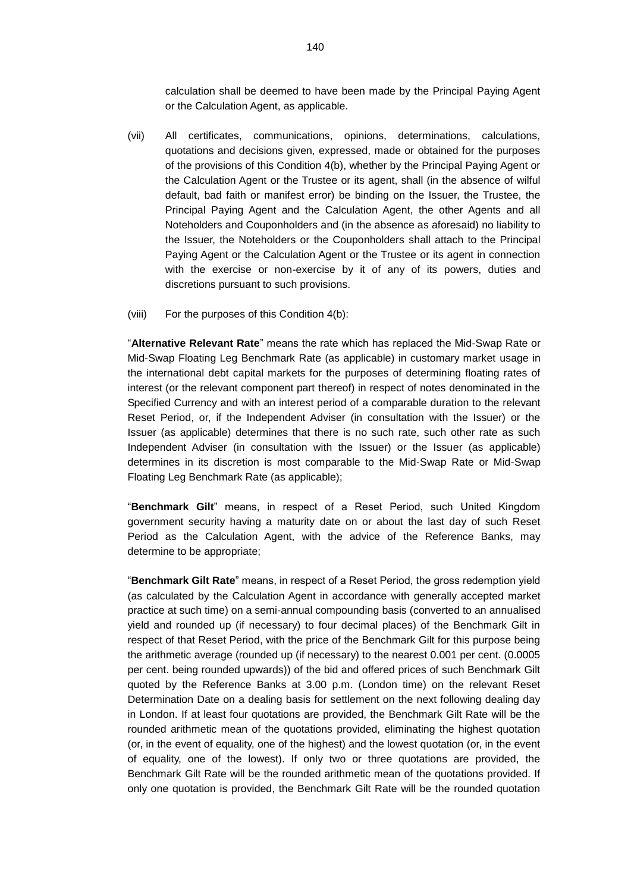calculation shall be deemed to have been made by the Principal Paying Agent or the Calculation Agent, as applicable.

- (vii) All certificates, communications, opinions, determinations, calculations, quotations and decisions given, expressed, made or obtained for the purposes of the provisions of this Condition 4(b), whether by the Principal Paying Agent or the Calculation Agent or the Trustee or its agent, shall (in the absence of wilful default, bad faith or manifest error) be binding on the Issuer, the Trustee, the Principal Paying Agent and the Calculation Agent, the other Agents and all Noteholders and Couponholders and (in the absence as aforesaid) no liability to the Issuer, the Noteholders or the Couponholders shall attach to the Principal Paying Agent or the Calculation Agent or the Trustee or its agent in connection with the exercise or non-exercise by it of any of its powers, duties and discretions pursuant to such provisions.
- (viii) For the purposes of this Condition 4(b):

"**Alternative Relevant Rate**" means the rate which has replaced the Mid-Swap Rate or Mid-Swap Floating Leg Benchmark Rate (as applicable) in customary market usage in the international debt capital markets for the purposes of determining floating rates of interest (or the relevant component part thereof) in respect of notes denominated in the Specified Currency and with an interest period of a comparable duration to the relevant Reset Period, or, if the Independent Adviser (in consultation with the Issuer) or the Issuer (as applicable) determines that there is no such rate, such other rate as such Independent Adviser (in consultation with the Issuer) or the Issuer (as applicable) determines in its discretion is most comparable to the Mid-Swap Rate or Mid-Swap Floating Leg Benchmark Rate (as applicable);

"**Benchmark Gilt**" means, in respect of a Reset Period, such United Kingdom government security having a maturity date on or about the last day of such Reset Period as the Calculation Agent, with the advice of the Reference Banks, may determine to be appropriate;

"**Benchmark Gilt Rate**" means, in respect of a Reset Period, the gross redemption yield (as calculated by the Calculation Agent in accordance with generally accepted market practice at such time) on a semi-annual compounding basis (converted to an annualised yield and rounded up (if necessary) to four decimal places) of the Benchmark Gilt in respect of that Reset Period, with the price of the Benchmark Gilt for this purpose being the arithmetic average (rounded up (if necessary) to the nearest 0.001 per cent. (0.0005 per cent. being rounded upwards)) of the bid and offered prices of such Benchmark Gilt quoted by the Reference Banks at 3.00 p.m. (London time) on the relevant Reset Determination Date on a dealing basis for settlement on the next following dealing day in London. If at least four quotations are provided, the Benchmark Gilt Rate will be the rounded arithmetic mean of the quotations provided, eliminating the highest quotation (or, in the event of equality, one of the highest) and the lowest quotation (or, in the event of equality, one of the lowest). If only two or three quotations are provided, the Benchmark Gilt Rate will be the rounded arithmetic mean of the quotations provided. If only one quotation is provided, the Benchmark Gilt Rate will be the rounded quotation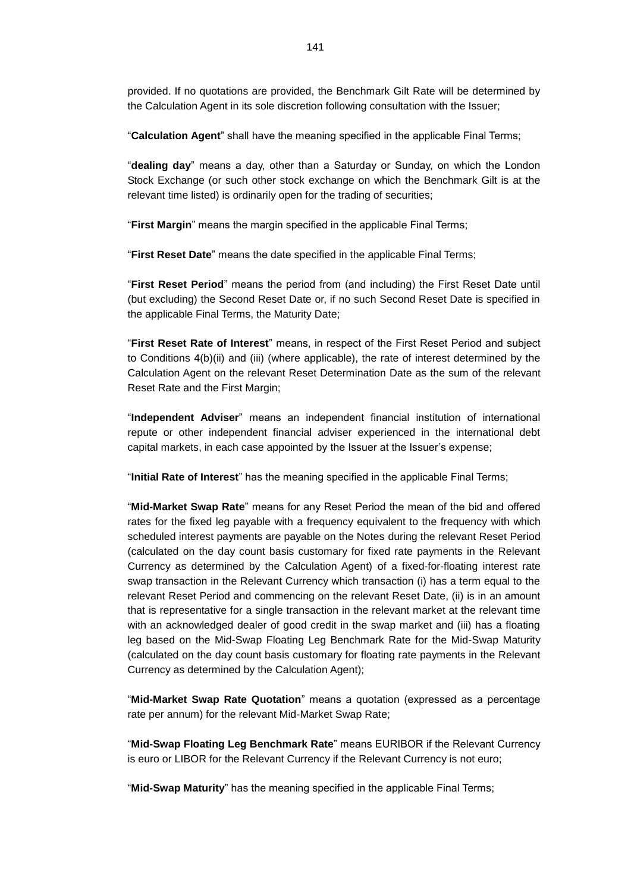provided. If no quotations are provided, the Benchmark Gilt Rate will be determined by the Calculation Agent in its sole discretion following consultation with the Issuer;

"**Calculation Agent**" shall have the meaning specified in the applicable Final Terms;

"**dealing day**" means a day, other than a Saturday or Sunday, on which the London Stock Exchange (or such other stock exchange on which the Benchmark Gilt is at the relevant time listed) is ordinarily open for the trading of securities;

"**First Margin**" means the margin specified in the applicable Final Terms;

"**First Reset Date**" means the date specified in the applicable Final Terms;

"**First Reset Period**" means the period from (and including) the First Reset Date until (but excluding) the Second Reset Date or, if no such Second Reset Date is specified in the applicable Final Terms, the Maturity Date;

"**First Reset Rate of Interest**" means, in respect of the First Reset Period and subject to Conditions 4(b)(ii) and (iii) (where applicable), the rate of interest determined by the Calculation Agent on the relevant Reset Determination Date as the sum of the relevant Reset Rate and the First Margin;

"**Independent Adviser**" means an independent financial institution of international repute or other independent financial adviser experienced in the international debt capital markets, in each case appointed by the Issuer at the Issuer's expense;

"**Initial Rate of Interest**" has the meaning specified in the applicable Final Terms;

"**Mid-Market Swap Rate**" means for any Reset Period the mean of the bid and offered rates for the fixed leg payable with a frequency equivalent to the frequency with which scheduled interest payments are payable on the Notes during the relevant Reset Period (calculated on the day count basis customary for fixed rate payments in the Relevant Currency as determined by the Calculation Agent) of a fixed-for-floating interest rate swap transaction in the Relevant Currency which transaction (i) has a term equal to the relevant Reset Period and commencing on the relevant Reset Date, (ii) is in an amount that is representative for a single transaction in the relevant market at the relevant time with an acknowledged dealer of good credit in the swap market and (iii) has a floating leg based on the Mid-Swap Floating Leg Benchmark Rate for the Mid-Swap Maturity (calculated on the day count basis customary for floating rate payments in the Relevant Currency as determined by the Calculation Agent);

"**Mid-Market Swap Rate Quotation**" means a quotation (expressed as a percentage rate per annum) for the relevant Mid-Market Swap Rate;

"**Mid-Swap Floating Leg Benchmark Rate**" means EURIBOR if the Relevant Currency is euro or LIBOR for the Relevant Currency if the Relevant Currency is not euro;

"**Mid-Swap Maturity**" has the meaning specified in the applicable Final Terms;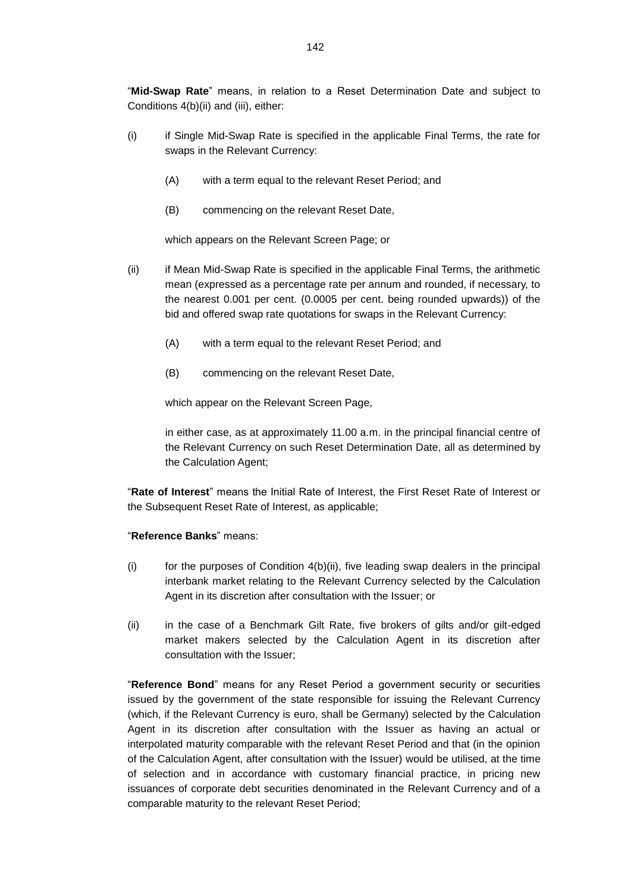"**Mid-Swap Rate**" means, in relation to a Reset Determination Date and subject to Conditions 4(b)(ii) and (iii), either:

- (i) if Single Mid-Swap Rate is specified in the applicable Final Terms, the rate for swaps in the Relevant Currency:
	- (A) with a term equal to the relevant Reset Period; and
	- (B) commencing on the relevant Reset Date,

which appears on the Relevant Screen Page; or

- (ii) if Mean Mid-Swap Rate is specified in the applicable Final Terms, the arithmetic mean (expressed as a percentage rate per annum and rounded, if necessary, to the nearest 0.001 per cent. (0.0005 per cent. being rounded upwards)) of the bid and offered swap rate quotations for swaps in the Relevant Currency:
	- (A) with a term equal to the relevant Reset Period; and
	- (B) commencing on the relevant Reset Date,

which appear on the Relevant Screen Page,

in either case, as at approximately 11.00 a.m. in the principal financial centre of the Relevant Currency on such Reset Determination Date, all as determined by the Calculation Agent;

"**Rate of Interest**" means the Initial Rate of Interest, the First Reset Rate of Interest or the Subsequent Reset Rate of Interest, as applicable;

#### "**Reference Banks**" means:

- $(i)$  for the purposes of Condition  $4(b)(ii)$ , five leading swap dealers in the principal interbank market relating to the Relevant Currency selected by the Calculation Agent in its discretion after consultation with the Issuer; or
- (ii) in the case of a Benchmark Gilt Rate, five brokers of gilts and/or gilt-edged market makers selected by the Calculation Agent in its discretion after consultation with the Issuer;

"**Reference Bond**" means for any Reset Period a government security or securities issued by the government of the state responsible for issuing the Relevant Currency (which, if the Relevant Currency is euro, shall be Germany) selected by the Calculation Agent in its discretion after consultation with the Issuer as having an actual or interpolated maturity comparable with the relevant Reset Period and that (in the opinion of the Calculation Agent, after consultation with the Issuer) would be utilised, at the time of selection and in accordance with customary financial practice, in pricing new issuances of corporate debt securities denominated in the Relevant Currency and of a comparable maturity to the relevant Reset Period;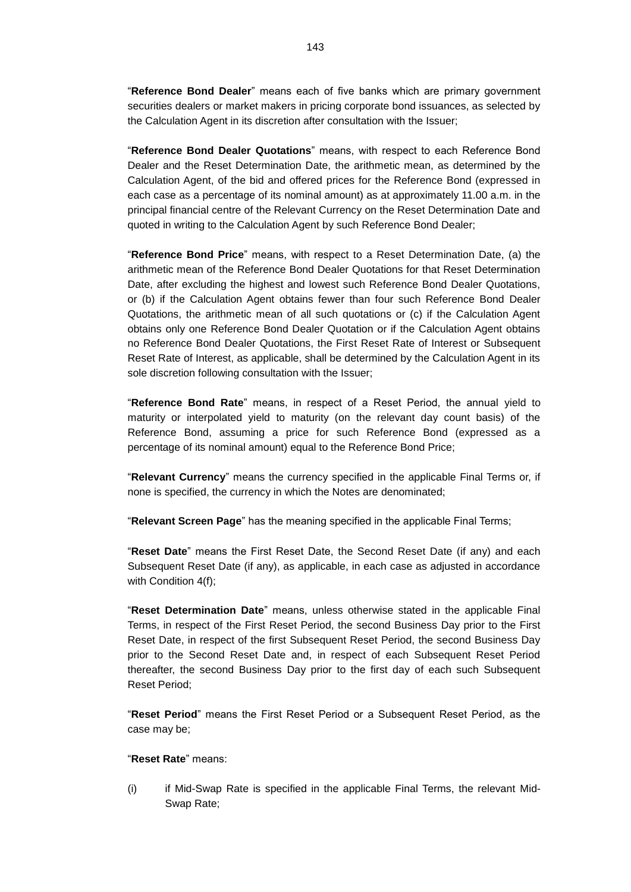"**Reference Bond Dealer**" means each of five banks which are primary government securities dealers or market makers in pricing corporate bond issuances, as selected by the Calculation Agent in its discretion after consultation with the Issuer;

"**Reference Bond Dealer Quotations**" means, with respect to each Reference Bond Dealer and the Reset Determination Date, the arithmetic mean, as determined by the Calculation Agent, of the bid and offered prices for the Reference Bond (expressed in each case as a percentage of its nominal amount) as at approximately 11.00 a.m. in the principal financial centre of the Relevant Currency on the Reset Determination Date and quoted in writing to the Calculation Agent by such Reference Bond Dealer;

"**Reference Bond Price**" means, with respect to a Reset Determination Date, (a) the arithmetic mean of the Reference Bond Dealer Quotations for that Reset Determination Date, after excluding the highest and lowest such Reference Bond Dealer Quotations, or (b) if the Calculation Agent obtains fewer than four such Reference Bond Dealer Quotations, the arithmetic mean of all such quotations or (c) if the Calculation Agent obtains only one Reference Bond Dealer Quotation or if the Calculation Agent obtains no Reference Bond Dealer Quotations, the First Reset Rate of Interest or Subsequent Reset Rate of Interest, as applicable, shall be determined by the Calculation Agent in its sole discretion following consultation with the Issuer;

"**Reference Bond Rate**" means, in respect of a Reset Period, the annual yield to maturity or interpolated yield to maturity (on the relevant day count basis) of the Reference Bond, assuming a price for such Reference Bond (expressed as a percentage of its nominal amount) equal to the Reference Bond Price;

"**Relevant Currency**" means the currency specified in the applicable Final Terms or, if none is specified, the currency in which the Notes are denominated;

"**Relevant Screen Page**" has the meaning specified in the applicable Final Terms;

"**Reset Date**" means the First Reset Date, the Second Reset Date (if any) and each Subsequent Reset Date (if any), as applicable, in each case as adjusted in accordance with Condition 4(f);

"**Reset Determination Date**" means, unless otherwise stated in the applicable Final Terms, in respect of the First Reset Period, the second Business Day prior to the First Reset Date, in respect of the first Subsequent Reset Period, the second Business Day prior to the Second Reset Date and, in respect of each Subsequent Reset Period thereafter, the second Business Day prior to the first day of each such Subsequent Reset Period;

"**Reset Period**" means the First Reset Period or a Subsequent Reset Period, as the case may be;

## "**Reset Rate**" means:

(i) if Mid-Swap Rate is specified in the applicable Final Terms, the relevant Mid-Swap Rate;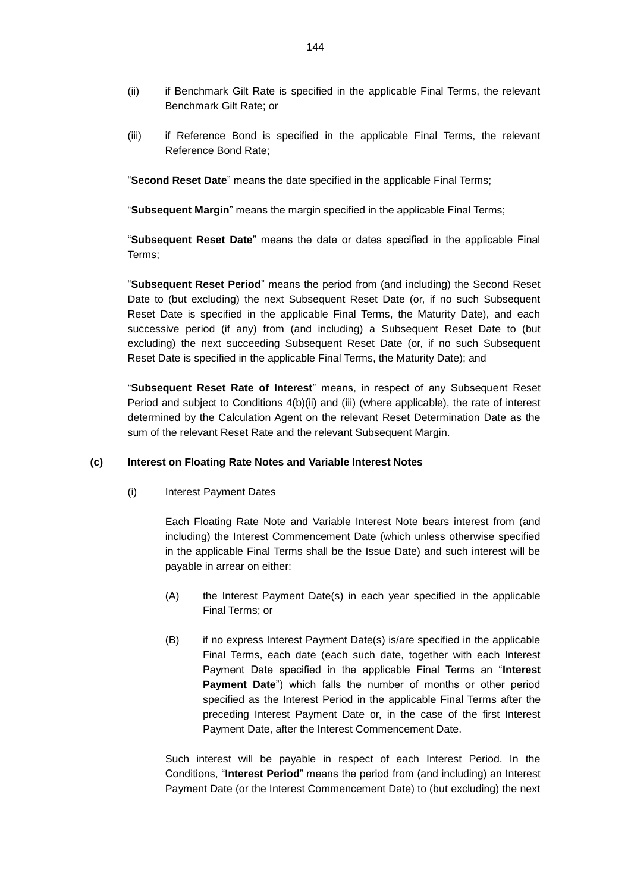- (ii) if Benchmark Gilt Rate is specified in the applicable Final Terms, the relevant Benchmark Gilt Rate; or
- (iii) if Reference Bond is specified in the applicable Final Terms, the relevant Reference Bond Rate;

"**Second Reset Date**" means the date specified in the applicable Final Terms;

"**Subsequent Margin**" means the margin specified in the applicable Final Terms;

"**Subsequent Reset Date**" means the date or dates specified in the applicable Final Terms;

"**Subsequent Reset Period**" means the period from (and including) the Second Reset Date to (but excluding) the next Subsequent Reset Date (or, if no such Subsequent Reset Date is specified in the applicable Final Terms, the Maturity Date), and each successive period (if any) from (and including) a Subsequent Reset Date to (but excluding) the next succeeding Subsequent Reset Date (or, if no such Subsequent Reset Date is specified in the applicable Final Terms, the Maturity Date); and

"**Subsequent Reset Rate of Interest**" means, in respect of any Subsequent Reset Period and subject to Conditions 4(b)(ii) and (iii) (where applicable), the rate of interest determined by the Calculation Agent on the relevant Reset Determination Date as the sum of the relevant Reset Rate and the relevant Subsequent Margin.

## **(c) Interest on Floating Rate Notes and Variable Interest Notes**

(i) Interest Payment Dates

Each Floating Rate Note and Variable Interest Note bears interest from (and including) the Interest Commencement Date (which unless otherwise specified in the applicable Final Terms shall be the Issue Date) and such interest will be payable in arrear on either:

- (A) the Interest Payment Date(s) in each year specified in the applicable Final Terms; or
- (B) if no express Interest Payment Date(s) is/are specified in the applicable Final Terms, each date (each such date, together with each Interest Payment Date specified in the applicable Final Terms an "**Interest Payment Date**") which falls the number of months or other period specified as the Interest Period in the applicable Final Terms after the preceding Interest Payment Date or, in the case of the first Interest Payment Date, after the Interest Commencement Date.

Such interest will be payable in respect of each Interest Period. In the Conditions, "**Interest Period**" means the period from (and including) an Interest Payment Date (or the Interest Commencement Date) to (but excluding) the next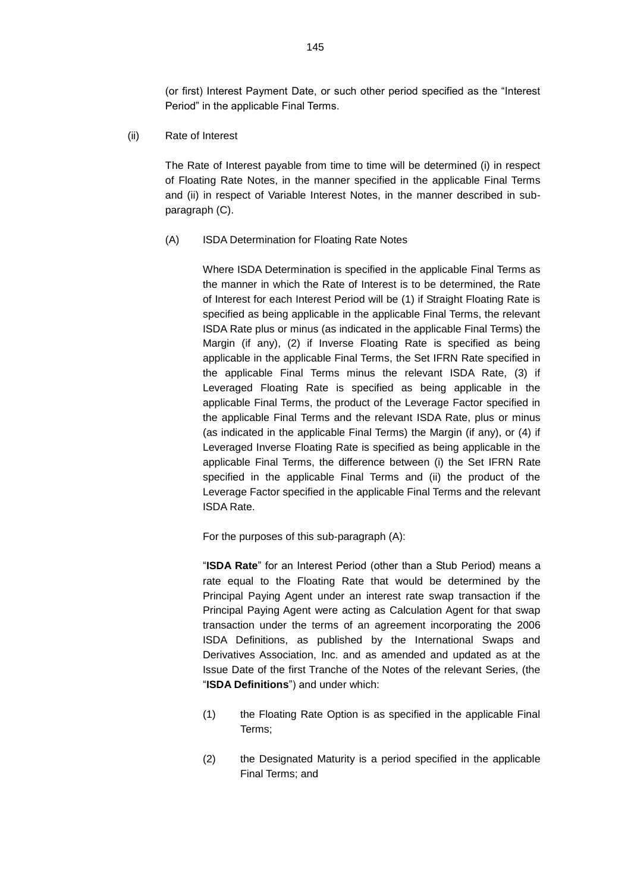(or first) Interest Payment Date, or such other period specified as the "Interest Period" in the applicable Final Terms.

(ii) Rate of Interest

The Rate of Interest payable from time to time will be determined (i) in respect of Floating Rate Notes, in the manner specified in the applicable Final Terms and (ii) in respect of Variable Interest Notes, in the manner described in subparagraph (C).

(A) ISDA Determination for Floating Rate Notes

Where ISDA Determination is specified in the applicable Final Terms as the manner in which the Rate of Interest is to be determined, the Rate of Interest for each Interest Period will be (1) if Straight Floating Rate is specified as being applicable in the applicable Final Terms, the relevant ISDA Rate plus or minus (as indicated in the applicable Final Terms) the Margin (if any), (2) if Inverse Floating Rate is specified as being applicable in the applicable Final Terms, the Set IFRN Rate specified in the applicable Final Terms minus the relevant ISDA Rate, (3) if Leveraged Floating Rate is specified as being applicable in the applicable Final Terms, the product of the Leverage Factor specified in the applicable Final Terms and the relevant ISDA Rate, plus or minus (as indicated in the applicable Final Terms) the Margin (if any), or (4) if Leveraged Inverse Floating Rate is specified as being applicable in the applicable Final Terms, the difference between (i) the Set IFRN Rate specified in the applicable Final Terms and (ii) the product of the Leverage Factor specified in the applicable Final Terms and the relevant ISDA Rate.

For the purposes of this sub-paragraph (A):

"**ISDA Rate**" for an Interest Period (other than a Stub Period) means a rate equal to the Floating Rate that would be determined by the Principal Paying Agent under an interest rate swap transaction if the Principal Paying Agent were acting as Calculation Agent for that swap transaction under the terms of an agreement incorporating the 2006 ISDA Definitions, as published by the International Swaps and Derivatives Association, Inc. and as amended and updated as at the Issue Date of the first Tranche of the Notes of the relevant Series, (the "**ISDA Definitions**") and under which:

- (1) the Floating Rate Option is as specified in the applicable Final Terms;
- (2) the Designated Maturity is a period specified in the applicable Final Terms; and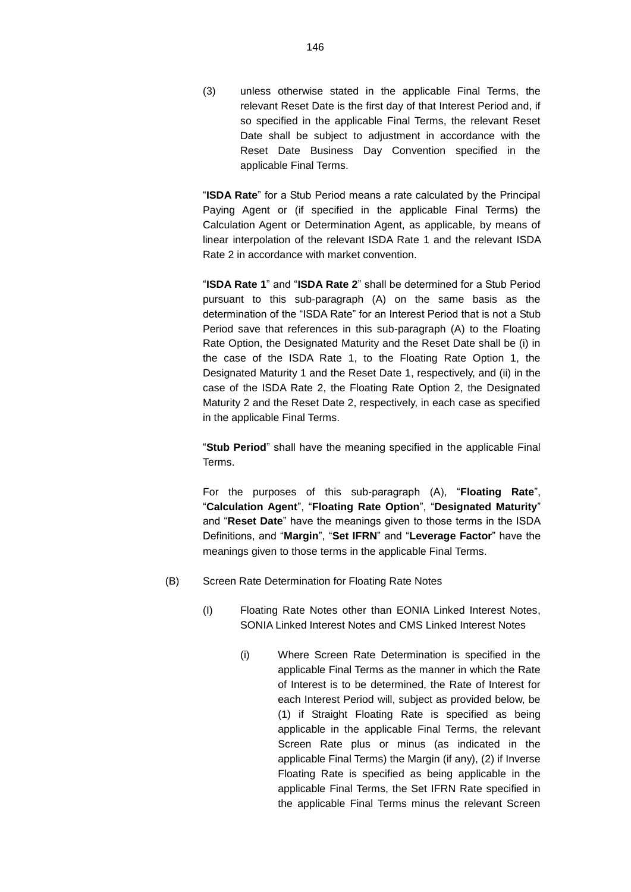(3) unless otherwise stated in the applicable Final Terms, the relevant Reset Date is the first day of that Interest Period and, if so specified in the applicable Final Terms, the relevant Reset Date shall be subject to adjustment in accordance with the Reset Date Business Day Convention specified in the applicable Final Terms.

"**ISDA Rate**" for a Stub Period means a rate calculated by the Principal Paying Agent or (if specified in the applicable Final Terms) the Calculation Agent or Determination Agent, as applicable, by means of linear interpolation of the relevant ISDA Rate 1 and the relevant ISDA Rate 2 in accordance with market convention.

"**ISDA Rate 1**" and "**ISDA Rate 2**" shall be determined for a Stub Period pursuant to this sub-paragraph (A) on the same basis as the determination of the "ISDA Rate" for an Interest Period that is not a Stub Period save that references in this sub-paragraph (A) to the Floating Rate Option, the Designated Maturity and the Reset Date shall be (i) in the case of the ISDA Rate 1, to the Floating Rate Option 1, the Designated Maturity 1 and the Reset Date 1, respectively, and (ii) in the case of the ISDA Rate 2, the Floating Rate Option 2, the Designated Maturity 2 and the Reset Date 2, respectively, in each case as specified in the applicable Final Terms.

"**Stub Period**" shall have the meaning specified in the applicable Final Terms.

For the purposes of this sub-paragraph (A), "**Floating Rate**", "**Calculation Agent**", "**Floating Rate Option**", "**Designated Maturity**" and "**Reset Date**" have the meanings given to those terms in the ISDA Definitions, and "**Margin**", "**Set IFRN**" and "**Leverage Factor**" have the meanings given to those terms in the applicable Final Terms.

- (B) Screen Rate Determination for Floating Rate Notes
	- (I) Floating Rate Notes other than EONIA Linked Interest Notes, SONIA Linked Interest Notes and CMS Linked Interest Notes
		- (i) Where Screen Rate Determination is specified in the applicable Final Terms as the manner in which the Rate of Interest is to be determined, the Rate of Interest for each Interest Period will, subject as provided below, be (1) if Straight Floating Rate is specified as being applicable in the applicable Final Terms, the relevant Screen Rate plus or minus (as indicated in the applicable Final Terms) the Margin (if any), (2) if Inverse Floating Rate is specified as being applicable in the applicable Final Terms, the Set IFRN Rate specified in the applicable Final Terms minus the relevant Screen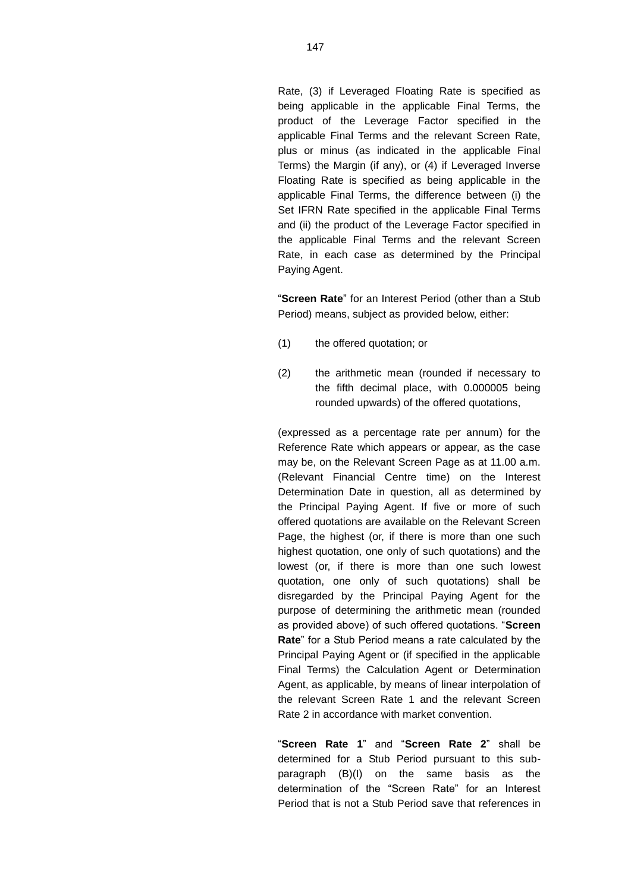Rate, (3) if Leveraged Floating Rate is specified as being applicable in the applicable Final Terms, the product of the Leverage Factor specified in the applicable Final Terms and the relevant Screen Rate, plus or minus (as indicated in the applicable Final Terms) the Margin (if any), or (4) if Leveraged Inverse Floating Rate is specified as being applicable in the applicable Final Terms, the difference between (i) the Set IFRN Rate specified in the applicable Final Terms and (ii) the product of the Leverage Factor specified in the applicable Final Terms and the relevant Screen Rate, in each case as determined by the Principal Paying Agent.

"**Screen Rate**" for an Interest Period (other than a Stub Period) means, subject as provided below, either:

- (1) the offered quotation; or
- (2) the arithmetic mean (rounded if necessary to the fifth decimal place, with 0.000005 being rounded upwards) of the offered quotations,

(expressed as a percentage rate per annum) for the Reference Rate which appears or appear, as the case may be, on the Relevant Screen Page as at 11.00 a.m. (Relevant Financial Centre time) on the Interest Determination Date in question, all as determined by the Principal Paying Agent. If five or more of such offered quotations are available on the Relevant Screen Page, the highest (or, if there is more than one such highest quotation, one only of such quotations) and the lowest (or, if there is more than one such lowest quotation, one only of such quotations) shall be disregarded by the Principal Paying Agent for the purpose of determining the arithmetic mean (rounded as provided above) of such offered quotations. "**Screen Rate**" for a Stub Period means a rate calculated by the Principal Paying Agent or (if specified in the applicable Final Terms) the Calculation Agent or Determination Agent, as applicable, by means of linear interpolation of the relevant Screen Rate 1 and the relevant Screen Rate 2 in accordance with market convention.

"**Screen Rate 1**" and "**Screen Rate 2**" shall be determined for a Stub Period pursuant to this subparagraph (B)(I) on the same basis as the determination of the "Screen Rate" for an Interest Period that is not a Stub Period save that references in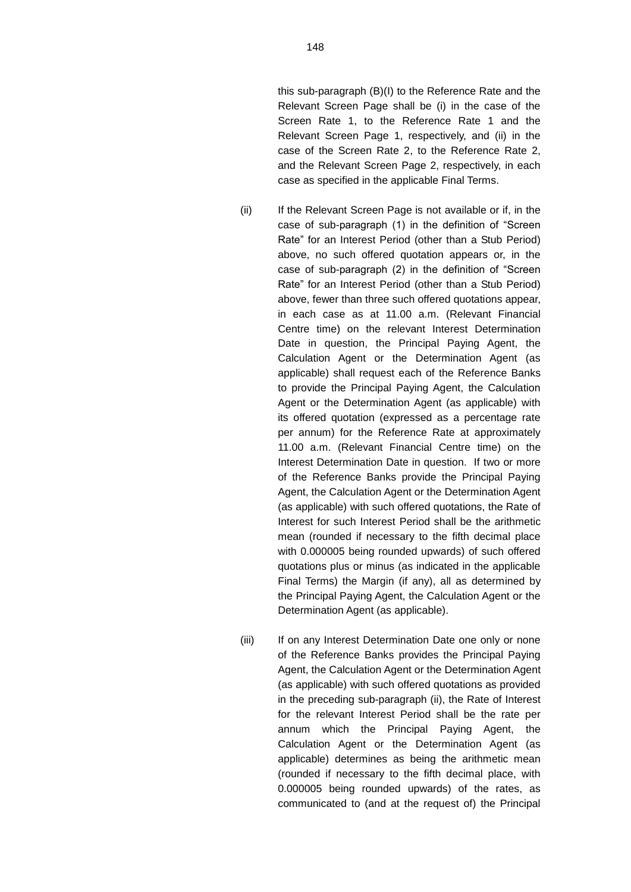and the Relevant Screen Page 2, respectively, in each

case as specified in the applicable Final Terms.

- (ii) If the Relevant Screen Page is not available or if, in the case of sub-paragraph (1) in the definition of "Screen Rate" for an Interest Period (other than a Stub Period) above, no such offered quotation appears or, in the case of sub-paragraph (2) in the definition of "Screen Rate" for an Interest Period (other than a Stub Period) above, fewer than three such offered quotations appear, in each case as at 11.00 a.m. (Relevant Financial Centre time) on the relevant Interest Determination Date in question, the Principal Paying Agent, the Calculation Agent or the Determination Agent (as applicable) shall request each of the Reference Banks to provide the Principal Paying Agent, the Calculation Agent or the Determination Agent (as applicable) with its offered quotation (expressed as a percentage rate per annum) for the Reference Rate at approximately 11.00 a.m. (Relevant Financial Centre time) on the Interest Determination Date in question. If two or more of the Reference Banks provide the Principal Paying Agent, the Calculation Agent or the Determination Agent (as applicable) with such offered quotations, the Rate of Interest for such Interest Period shall be the arithmetic mean (rounded if necessary to the fifth decimal place with 0.000005 being rounded upwards) of such offered quotations plus or minus (as indicated in the applicable Final Terms) the Margin (if any), all as determined by the Principal Paying Agent, the Calculation Agent or the Determination Agent (as applicable).
- (iii) If on any Interest Determination Date one only or none of the Reference Banks provides the Principal Paying Agent, the Calculation Agent or the Determination Agent (as applicable) with such offered quotations as provided in the preceding sub-paragraph (ii), the Rate of Interest for the relevant Interest Period shall be the rate per annum which the Principal Paying Agent, the Calculation Agent or the Determination Agent (as applicable) determines as being the arithmetic mean (rounded if necessary to the fifth decimal place, with 0.000005 being rounded upwards) of the rates, as communicated to (and at the request of) the Principal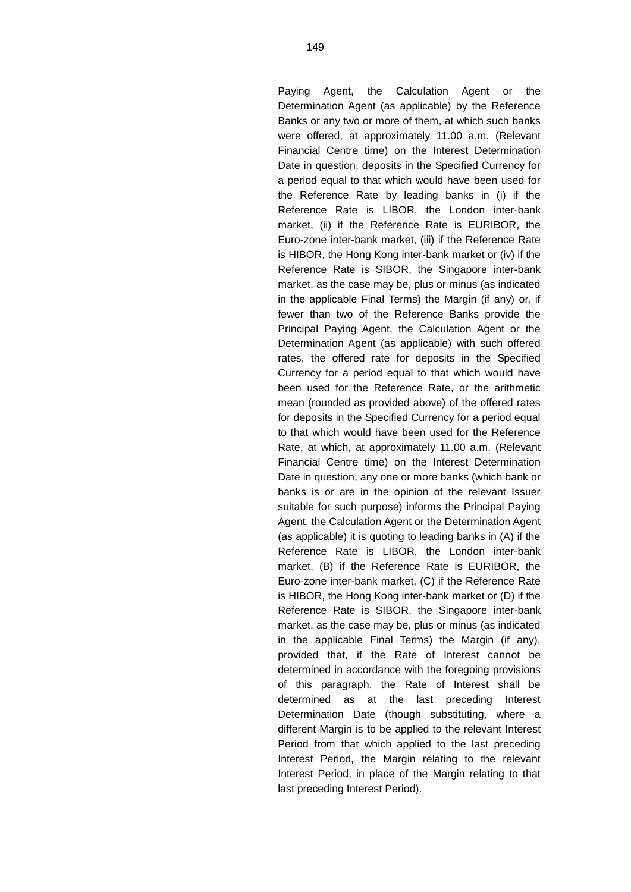Paying Agent, the Calculation Agent or the Determination Agent (as applicable) by the Reference Banks or any two or more of them, at which such banks were offered, at approximately 11.00 a.m. (Relevant Financial Centre time) on the Interest Determination Date in question, deposits in the Specified Currency for a period equal to that which would have been used for the Reference Rate by leading banks in (i) if the Reference Rate is LIBOR, the London inter-bank market, (ii) if the Reference Rate is EURIBOR, the Euro-zone inter-bank market, (iii) if the Reference Rate is HIBOR, the Hong Kong inter-bank market or (iv) if the Reference Rate is SIBOR, the Singapore inter-bank market, as the case may be, plus or minus (as indicated in the applicable Final Terms) the Margin (if any) or, if fewer than two of the Reference Banks provide the Principal Paying Agent, the Calculation Agent or the Determination Agent (as applicable) with such offered rates, the offered rate for deposits in the Specified Currency for a period equal to that which would have been used for the Reference Rate, or the arithmetic mean (rounded as provided above) of the offered rates for deposits in the Specified Currency for a period equal to that which would have been used for the Reference Rate, at which, at approximately 11.00 a.m. (Relevant Financial Centre time) on the Interest Determination Date in question, any one or more banks (which bank or banks is or are in the opinion of the relevant Issuer suitable for such purpose) informs the Principal Paying Agent, the Calculation Agent or the Determination Agent (as applicable) it is quoting to leading banks in (A) if the Reference Rate is LIBOR, the London inter-bank market, (B) if the Reference Rate is EURIBOR, the Euro-zone inter-bank market, (C) if the Reference Rate is HIBOR, the Hong Kong inter-bank market or (D) if the Reference Rate is SIBOR, the Singapore inter-bank market, as the case may be, plus or minus (as indicated in the applicable Final Terms) the Margin (if any), provided that, if the Rate of Interest cannot be determined in accordance with the foregoing provisions of this paragraph, the Rate of Interest shall be determined as at the last preceding Interest Determination Date (though substituting, where a different Margin is to be applied to the relevant Interest Period from that which applied to the last preceding Interest Period, the Margin relating to the relevant Interest Period, in place of the Margin relating to that last preceding Interest Period).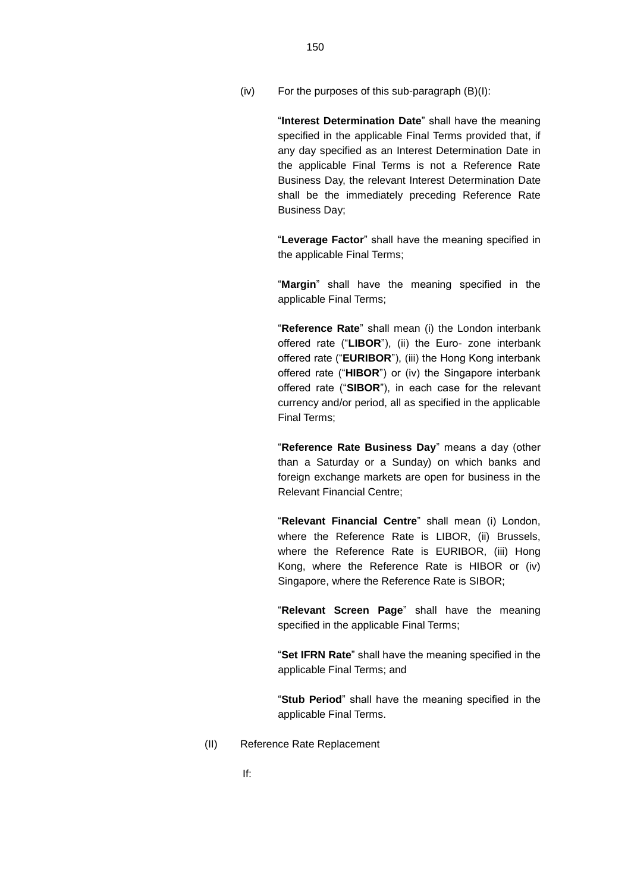(iv) For the purposes of this sub-paragraph (B)(I):

"**Interest Determination Date**" shall have the meaning specified in the applicable Final Terms provided that, if any day specified as an Interest Determination Date in the applicable Final Terms is not a Reference Rate Business Day, the relevant Interest Determination Date shall be the immediately preceding Reference Rate Business Day;

"**Leverage Factor**" shall have the meaning specified in the applicable Final Terms;

"**Margin**" shall have the meaning specified in the applicable Final Terms;

"**Reference Rate**" shall mean (i) the London interbank offered rate ("**LIBOR**"), (ii) the Euro- zone interbank offered rate ("**EURIBOR**"), (iii) the Hong Kong interbank offered rate ("**HIBOR**") or (iv) the Singapore interbank offered rate ("**SIBOR**"), in each case for the relevant currency and/or period, all as specified in the applicable Final Terms;

"**Reference Rate Business Day**" means a day (other than a Saturday or a Sunday) on which banks and foreign exchange markets are open for business in the Relevant Financial Centre;

"**Relevant Financial Centre**" shall mean (i) London, where the Reference Rate is LIBOR, (ii) Brussels, where the Reference Rate is EURIBOR, (iii) Hong Kong, where the Reference Rate is HIBOR or (iv) Singapore, where the Reference Rate is SIBOR;

"**Relevant Screen Page**" shall have the meaning specified in the applicable Final Terms;

"**Set IFRN Rate**" shall have the meaning specified in the applicable Final Terms; and

"**Stub Period**" shall have the meaning specified in the applicable Final Terms.

(II) Reference Rate Replacement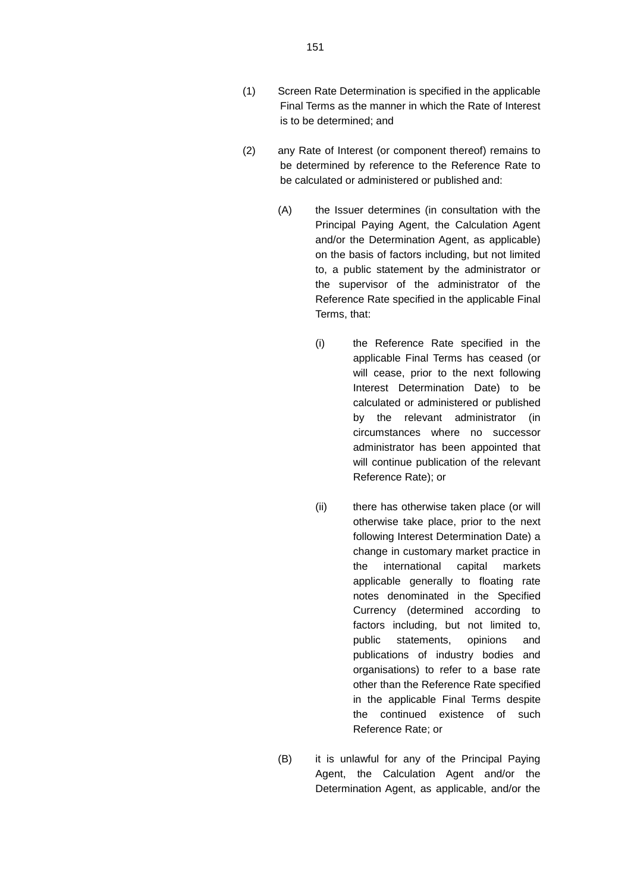- (2) any Rate of Interest (or component thereof) remains to be determined by reference to the Reference Rate to be calculated or administered or published and:
	- (A) the Issuer determines (in consultation with the Principal Paying Agent, the Calculation Agent and/or the Determination Agent, as applicable) on the basis of factors including, but not limited to, a public statement by the administrator or the supervisor of the administrator of the Reference Rate specified in the applicable Final Terms, that:
		- (i) the Reference Rate specified in the applicable Final Terms has ceased (or will cease, prior to the next following Interest Determination Date) to be calculated or administered or published by the relevant administrator (in circumstances where no successor administrator has been appointed that will continue publication of the relevant Reference Rate); or
		- (ii) there has otherwise taken place (or will otherwise take place, prior to the next following Interest Determination Date) a change in customary market practice in the international capital markets applicable generally to floating rate notes denominated in the Specified Currency (determined according to factors including, but not limited to, public statements, opinions and publications of industry bodies and organisations) to refer to a base rate other than the Reference Rate specified in the applicable Final Terms despite the continued existence of such Reference Rate; or
	- (B) it is unlawful for any of the Principal Paying Agent, the Calculation Agent and/or the Determination Agent, as applicable, and/or the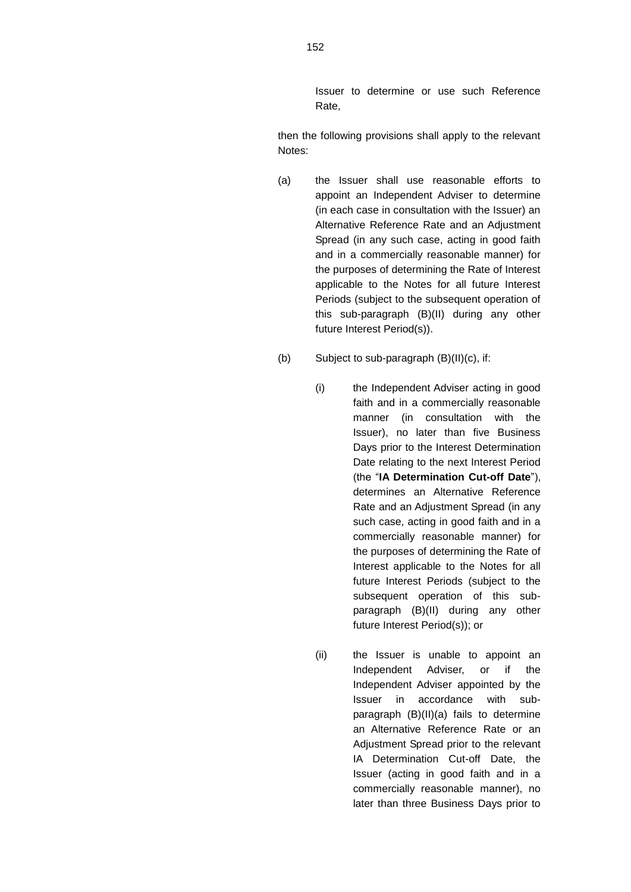Issuer to determine or use such Reference Rate,

then the following provisions shall apply to the relevant Notes:

- (a) the Issuer shall use reasonable efforts to appoint an Independent Adviser to determine (in each case in consultation with the Issuer) an Alternative Reference Rate and an Adjustment Spread (in any such case, acting in good faith and in a commercially reasonable manner) for the purposes of determining the Rate of Interest applicable to the Notes for all future Interest Periods (subject to the subsequent operation of this sub-paragraph (B)(II) during any other future Interest Period(s)).
- (b) Subject to sub-paragraph (B)(II)(c), if:
	- (i) the Independent Adviser acting in good faith and in a commercially reasonable manner (in consultation with the Issuer), no later than five Business Days prior to the Interest Determination Date relating to the next Interest Period (the "**IA Determination Cut-off Date**"), determines an Alternative Reference Rate and an Adjustment Spread (in any such case, acting in good faith and in a commercially reasonable manner) for the purposes of determining the Rate of Interest applicable to the Notes for all future Interest Periods (subject to the subsequent operation of this subparagraph (B)(II) during any other future Interest Period(s)); or
	- (ii) the Issuer is unable to appoint an Independent Adviser, or if the Independent Adviser appointed by the Issuer in accordance with subparagraph (B)(II)(a) fails to determine an Alternative Reference Rate or an Adjustment Spread prior to the relevant IA Determination Cut-off Date, the Issuer (acting in good faith and in a commercially reasonable manner), no later than three Business Days prior to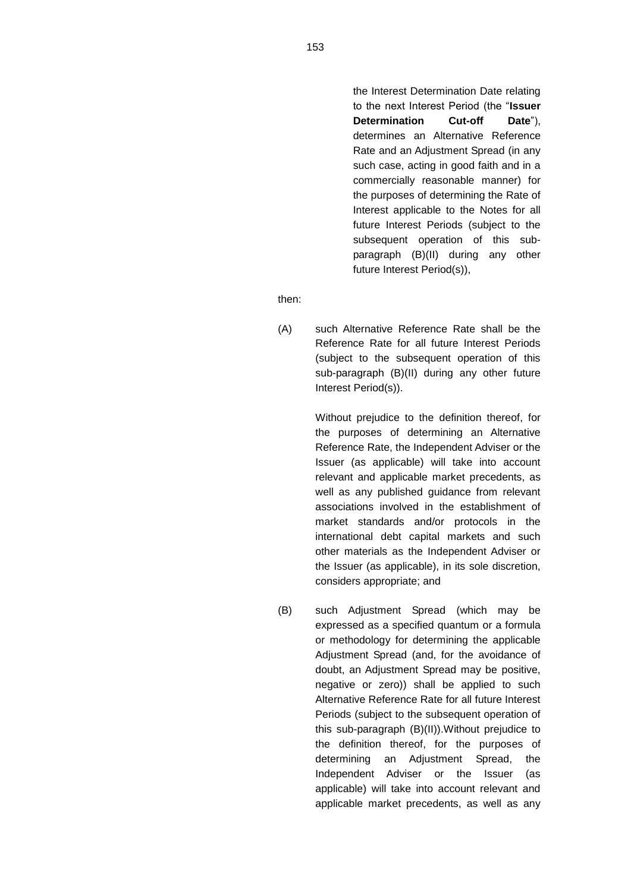the Interest Determination Date relating to the next Interest Period (the "**Issuer Determination Cut-off Date**"), determines an Alternative Reference Rate and an Adjustment Spread (in any such case, acting in good faith and in a commercially reasonable manner) for the purposes of determining the Rate of Interest applicable to the Notes for all future Interest Periods (subject to the subsequent operation of this subparagraph (B)(II) during any other future Interest Period(s)),

then:

(A) such Alternative Reference Rate shall be the Reference Rate for all future Interest Periods (subject to the subsequent operation of this sub-paragraph (B)(II) during any other future Interest Period(s)).

> Without prejudice to the definition thereof, for the purposes of determining an Alternative Reference Rate, the Independent Adviser or the Issuer (as applicable) will take into account relevant and applicable market precedents, as well as any published guidance from relevant associations involved in the establishment of market standards and/or protocols in the international debt capital markets and such other materials as the Independent Adviser or the Issuer (as applicable), in its sole discretion, considers appropriate; and

(B) such Adjustment Spread (which may be expressed as a specified quantum or a formula or methodology for determining the applicable Adjustment Spread (and, for the avoidance of doubt, an Adjustment Spread may be positive, negative or zero)) shall be applied to such Alternative Reference Rate for all future Interest Periods (subject to the subsequent operation of this sub-paragraph (B)(II)).Without prejudice to the definition thereof, for the purposes of determining an Adjustment Spread, the Independent Adviser or the Issuer (as applicable) will take into account relevant and applicable market precedents, as well as any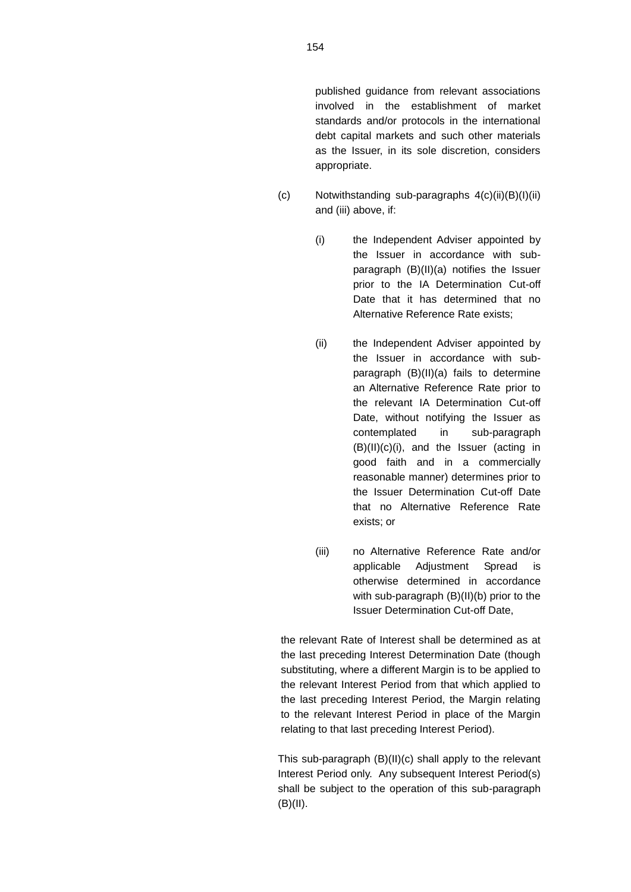published guidance from relevant associations involved in the establishment of market standards and/or protocols in the international debt capital markets and such other materials as the Issuer, in its sole discretion, considers appropriate.

- (c) Notwithstanding sub-paragraphs 4(c)(ii)(B)(I)(ii) and (iii) above, if:
	- (i) the Independent Adviser appointed by the Issuer in accordance with subparagraph (B)(II)(a) notifies the Issuer prior to the IA Determination Cut-off Date that it has determined that no Alternative Reference Rate exists;
	- (ii) the Independent Adviser appointed by the Issuer in accordance with subparagraph (B)(II)(a) fails to determine an Alternative Reference Rate prior to the relevant IA Determination Cut-off Date, without notifying the Issuer as contemplated in sub-paragraph (B)(II)(c)(i), and the Issuer (acting in good faith and in a commercially reasonable manner) determines prior to the Issuer Determination Cut-off Date that no Alternative Reference Rate exists; or
	- (iii) no Alternative Reference Rate and/or applicable Adjustment Spread is otherwise determined in accordance with sub-paragraph (B)(II)(b) prior to the Issuer Determination Cut-off Date,

the relevant Rate of Interest shall be determined as at the last preceding Interest Determination Date (though substituting, where a different Margin is to be applied to the relevant Interest Period from that which applied to the last preceding Interest Period, the Margin relating to the relevant Interest Period in place of the Margin relating to that last preceding Interest Period).

This sub-paragraph (B)(II)(c) shall apply to the relevant Interest Period only. Any subsequent Interest Period(s) shall be subject to the operation of this sub-paragraph  $(B)(II).$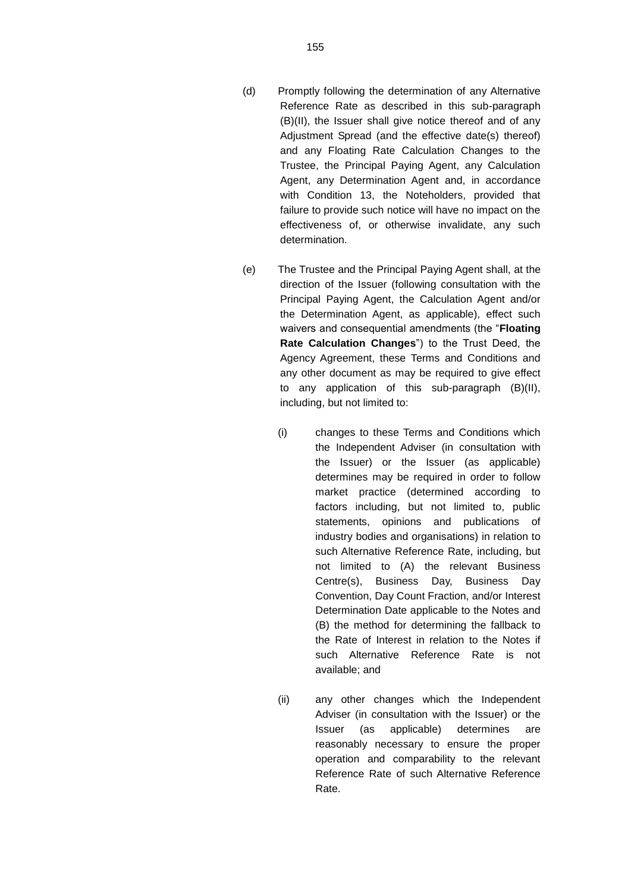- (d) Promptly following the determination of any Alternative Reference Rate as described in this sub-paragraph (B)(II), the Issuer shall give notice thereof and of any Adjustment Spread (and the effective date(s) thereof) and any Floating Rate Calculation Changes to the Trustee, the Principal Paying Agent, any Calculation Agent, any Determination Agent and, in accordance with Condition 13, the Noteholders, provided that failure to provide such notice will have no impact on the effectiveness of, or otherwise invalidate, any such determination.
- (e) The Trustee and the Principal Paying Agent shall, at the direction of the Issuer (following consultation with the Principal Paying Agent, the Calculation Agent and/or the Determination Agent, as applicable), effect such waivers and consequential amendments (the "**Floating Rate Calculation Changes**") to the Trust Deed, the Agency Agreement, these Terms and Conditions and any other document as may be required to give effect to any application of this sub-paragraph (B)(II), including, but not limited to:
	- (i) changes to these Terms and Conditions which the Independent Adviser (in consultation with the Issuer) or the Issuer (as applicable) determines may be required in order to follow market practice (determined according to factors including, but not limited to, public statements, opinions and publications of industry bodies and organisations) in relation to such Alternative Reference Rate, including, but not limited to (A) the relevant Business Centre(s), Business Day, Business Day Convention, Day Count Fraction, and/or Interest Determination Date applicable to the Notes and (B) the method for determining the fallback to the Rate of Interest in relation to the Notes if such Alternative Reference Rate is not available; and
	- (ii) any other changes which the Independent Adviser (in consultation with the Issuer) or the Issuer (as applicable) determines are reasonably necessary to ensure the proper operation and comparability to the relevant Reference Rate of such Alternative Reference Rate.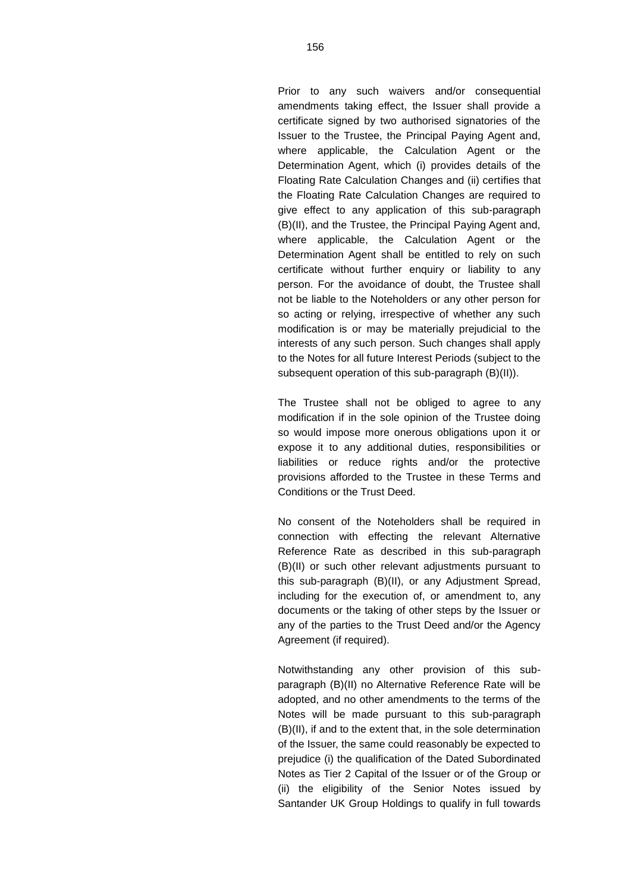Prior to any such waivers and/or consequential amendments taking effect, the Issuer shall provide a certificate signed by two authorised signatories of the Issuer to the Trustee, the Principal Paying Agent and, where applicable, the Calculation Agent or the Determination Agent, which (i) provides details of the Floating Rate Calculation Changes and (ii) certifies that the Floating Rate Calculation Changes are required to give effect to any application of this sub-paragraph (B)(II), and the Trustee, the Principal Paying Agent and, where applicable, the Calculation Agent or the Determination Agent shall be entitled to rely on such certificate without further enquiry or liability to any person. For the avoidance of doubt, the Trustee shall not be liable to the Noteholders or any other person for so acting or relying, irrespective of whether any such modification is or may be materially prejudicial to the interests of any such person. Such changes shall apply to the Notes for all future Interest Periods (subject to the subsequent operation of this sub-paragraph (B)(II)).

The Trustee shall not be obliged to agree to any modification if in the sole opinion of the Trustee doing so would impose more onerous obligations upon it or expose it to any additional duties, responsibilities or liabilities or reduce rights and/or the protective provisions afforded to the Trustee in these Terms and Conditions or the Trust Deed.

No consent of the Noteholders shall be required in connection with effecting the relevant Alternative Reference Rate as described in this sub-paragraph (B)(II) or such other relevant adjustments pursuant to this sub-paragraph (B)(II), or any Adjustment Spread, including for the execution of, or amendment to, any documents or the taking of other steps by the Issuer or any of the parties to the Trust Deed and/or the Agency Agreement (if required).

Notwithstanding any other provision of this subparagraph (B)(II) no Alternative Reference Rate will be adopted, and no other amendments to the terms of the Notes will be made pursuant to this sub-paragraph (B)(II), if and to the extent that, in the sole determination of the Issuer, the same could reasonably be expected to prejudice (i) the qualification of the Dated Subordinated Notes as Tier 2 Capital of the Issuer or of the Group or (ii) the eligibility of the Senior Notes issued by Santander UK Group Holdings to qualify in full towards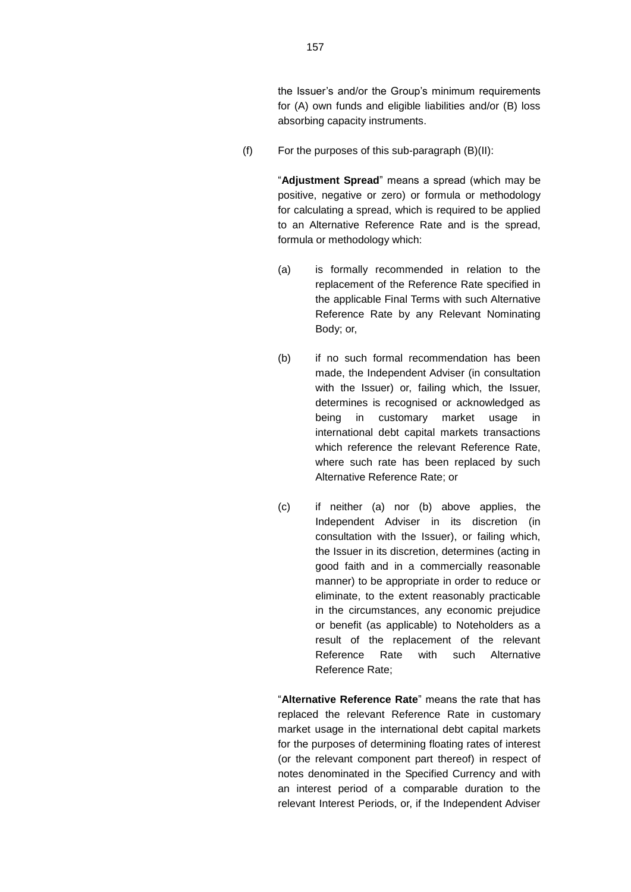the Issuer's and/or the Group's minimum requirements for (A) own funds and eligible liabilities and/or (B) loss absorbing capacity instruments.

 $(f)$  For the purposes of this sub-paragraph  $(B)(II)$ :

"**Adjustment Spread**" means a spread (which may be positive, negative or zero) or formula or methodology for calculating a spread, which is required to be applied to an Alternative Reference Rate and is the spread, formula or methodology which:

- (a) is formally recommended in relation to the replacement of the Reference Rate specified in the applicable Final Terms with such Alternative Reference Rate by any Relevant Nominating Body; or,
- (b) if no such formal recommendation has been made, the Independent Adviser (in consultation with the Issuer) or, failing which, the Issuer, determines is recognised or acknowledged as being in customary market usage in international debt capital markets transactions which reference the relevant Reference Rate, where such rate has been replaced by such Alternative Reference Rate; or
- (c) if neither (a) nor (b) above applies, the Independent Adviser in its discretion (in consultation with the Issuer), or failing which, the Issuer in its discretion, determines (acting in good faith and in a commercially reasonable manner) to be appropriate in order to reduce or eliminate, to the extent reasonably practicable in the circumstances, any economic prejudice or benefit (as applicable) to Noteholders as a result of the replacement of the relevant Reference Rate with such Alternative Reference Rate;

"**Alternative Reference Rate**" means the rate that has replaced the relevant Reference Rate in customary market usage in the international debt capital markets for the purposes of determining floating rates of interest (or the relevant component part thereof) in respect of notes denominated in the Specified Currency and with an interest period of a comparable duration to the relevant Interest Periods, or, if the Independent Adviser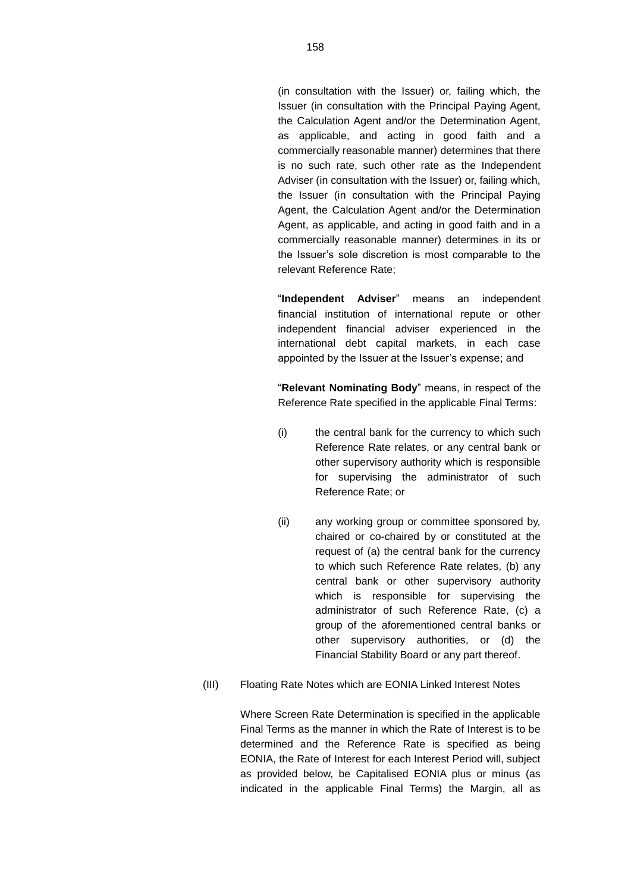(in consultation with the Issuer) or, failing which, the Issuer (in consultation with the Principal Paying Agent, the Calculation Agent and/or the Determination Agent, as applicable, and acting in good faith and a commercially reasonable manner) determines that there is no such rate, such other rate as the Independent Adviser (in consultation with the Issuer) or, failing which, the Issuer (in consultation with the Principal Paying Agent, the Calculation Agent and/or the Determination Agent, as applicable, and acting in good faith and in a commercially reasonable manner) determines in its or the Issuer's sole discretion is most comparable to the relevant Reference Rate;

"**Independent Adviser**" means an independent financial institution of international repute or other independent financial adviser experienced in the international debt capital markets, in each case appointed by the Issuer at the Issuer's expense; and

"**Relevant Nominating Body**" means, in respect of the Reference Rate specified in the applicable Final Terms:

- (i) the central bank for the currency to which such Reference Rate relates, or any central bank or other supervisory authority which is responsible for supervising the administrator of such Reference Rate; or
- (ii) any working group or committee sponsored by, chaired or co-chaired by or constituted at the request of (a) the central bank for the currency to which such Reference Rate relates, (b) any central bank or other supervisory authority which is responsible for supervising the administrator of such Reference Rate, (c) a group of the aforementioned central banks or other supervisory authorities, or (d) the Financial Stability Board or any part thereof.
- (III) Floating Rate Notes which are EONIA Linked Interest Notes

Where Screen Rate Determination is specified in the applicable Final Terms as the manner in which the Rate of Interest is to be determined and the Reference Rate is specified as being EONIA, the Rate of Interest for each Interest Period will, subject as provided below, be Capitalised EONIA plus or minus (as indicated in the applicable Final Terms) the Margin, all as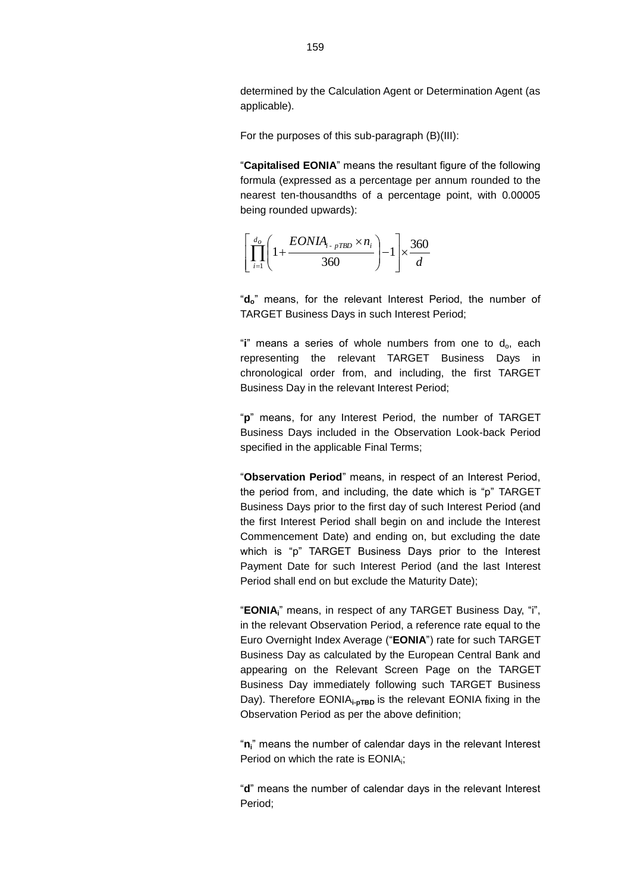determined by the Calculation Agent or Determination Agent (as applicable).

For the purposes of this sub-paragraph (B)(III):

"**Capitalised EONIA**" means the resultant figure of the following formula (expressed as a percentage per annum rounded to the nearest ten-thousandths of a percentage point, with 0.00005 being rounded upwards):



"**do**" means, for the relevant Interest Period, the number of TARGET Business Days in such Interest Period;

"i" means a series of whole numbers from one to d<sub>o</sub>, each representing the relevant TARGET Business Days in chronological order from, and including, the first TARGET Business Day in the relevant Interest Period;

"**p**" means, for any Interest Period, the number of TARGET Business Days included in the Observation Look-back Period specified in the applicable Final Terms;

"**Observation Period**" means, in respect of an Interest Period, the period from, and including, the date which is "p" TARGET Business Days prior to the first day of such Interest Period (and the first Interest Period shall begin on and include the Interest Commencement Date) and ending on, but excluding the date which is "p" TARGET Business Days prior to the Interest Payment Date for such Interest Period (and the last Interest Period shall end on but exclude the Maturity Date);

"**EONIAi**" means, in respect of any TARGET Business Day, "i", in the relevant Observation Period, a reference rate equal to the Euro Overnight Index Average ("**EONIA**") rate for such TARGET Business Day as calculated by the European Central Bank and appearing on the Relevant Screen Page on the TARGET Business Day immediately following such TARGET Business Day). Therefore EONIA<sub>i-pTBD</sub> is the relevant EONIA fixing in the Observation Period as per the above definition;

"**ni**" means the number of calendar days in the relevant Interest Period on which the rate is EONIA;

"**d**" means the number of calendar days in the relevant Interest Period;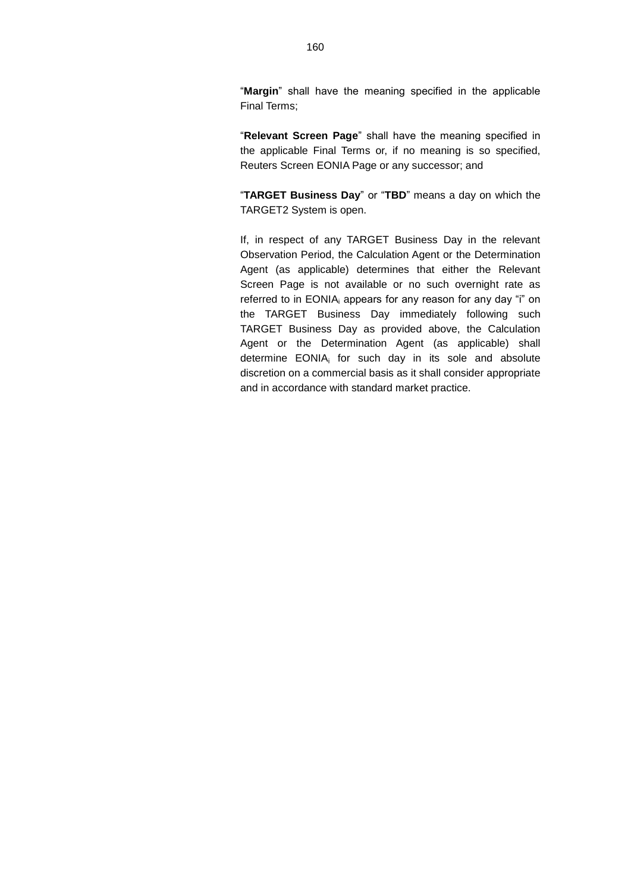"**Margin**" shall have the meaning specified in the applicable Final Terms;

"**Relevant Screen Page**" shall have the meaning specified in the applicable Final Terms or, if no meaning is so specified, Reuters Screen EONIA Page or any successor; and

"**TARGET Business Day**" or "**TBD**" means a day on which the TARGET2 System is open.

If, in respect of any TARGET Business Day in the relevant Observation Period, the Calculation Agent or the Determination Agent (as applicable) determines that either the Relevant Screen Page is not available or no such overnight rate as referred to in EONIA; appears for any reason for any day "i" on the TARGET Business Day immediately following such TARGET Business Day as provided above, the Calculation Agent or the Determination Agent (as applicable) shall determine EONIA<sub>i</sub> for such day in its sole and absolute discretion on a commercial basis as it shall consider appropriate and in accordance with standard market practice.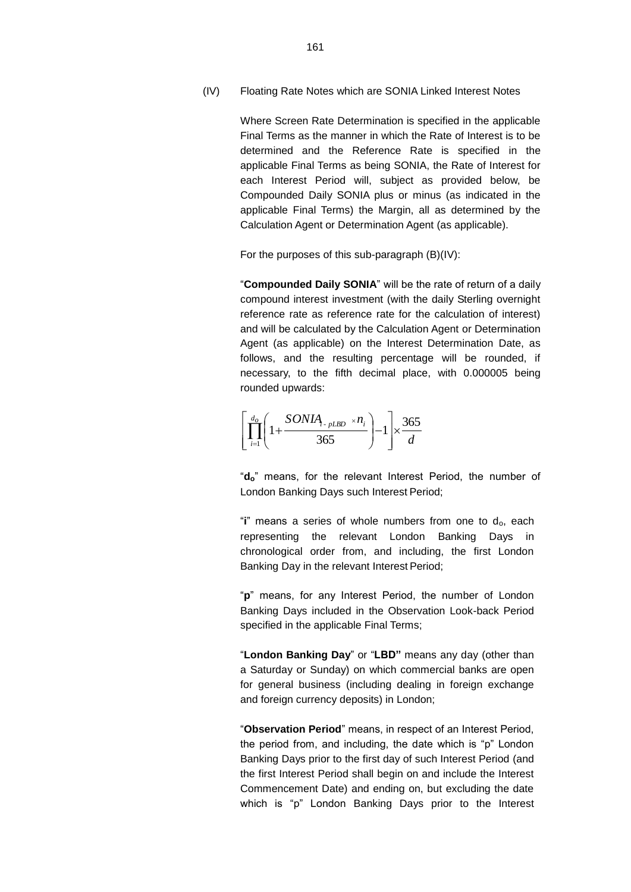(IV) Floating Rate Notes which are SONIA Linked Interest Notes

Where Screen Rate Determination is specified in the applicable Final Terms as the manner in which the Rate of Interest is to be determined and the Reference Rate is specified in the applicable Final Terms as being SONIA, the Rate of Interest for each Interest Period will, subject as provided below, be Compounded Daily SONIA plus or minus (as indicated in the applicable Final Terms) the Margin, all as determined by the Calculation Agent or Determination Agent (as applicable).

For the purposes of this sub-paragraph (B)(IV):

"**Compounded Daily SONIA**" will be the rate of return of a daily compound interest investment (with the daily Sterling overnight reference rate as reference rate for the calculation of interest) and will be calculated by the Calculation Agent or Determination Agent (as applicable) on the Interest Determination Date, as follows, and the resulting percentage will be rounded, if necessary, to the fifth decimal place, with 0.000005 being rounded upwards:

$$
\left[\prod_{i=1}^{d_o} \left(1 + \frac{SONIA_{i\text{-}pLBD} \times n_i}{365}\right) - 1\right] \times \frac{365}{d}
$$

"**do**" means, for the relevant Interest Period, the number of London Banking Days such Interest Period;

"**i**" means a series of whole numbers from one to do, each representing the relevant London Banking Days in chronological order from, and including, the first London Banking Day in the relevant Interest Period;

"**p**" means, for any Interest Period, the number of London Banking Days included in the Observation Look-back Period specified in the applicable Final Terms;

"**London Banking Day**" or "**LBD"** means any day (other than a Saturday or Sunday) on which commercial banks are open for general business (including dealing in foreign exchange and foreign currency deposits) in London;

"**Observation Period**" means, in respect of an Interest Period, the period from, and including, the date which is "p" London Banking Days prior to the first day of such Interest Period (and the first Interest Period shall begin on and include the Interest Commencement Date) and ending on, but excluding the date which is "p" London Banking Days prior to the Interest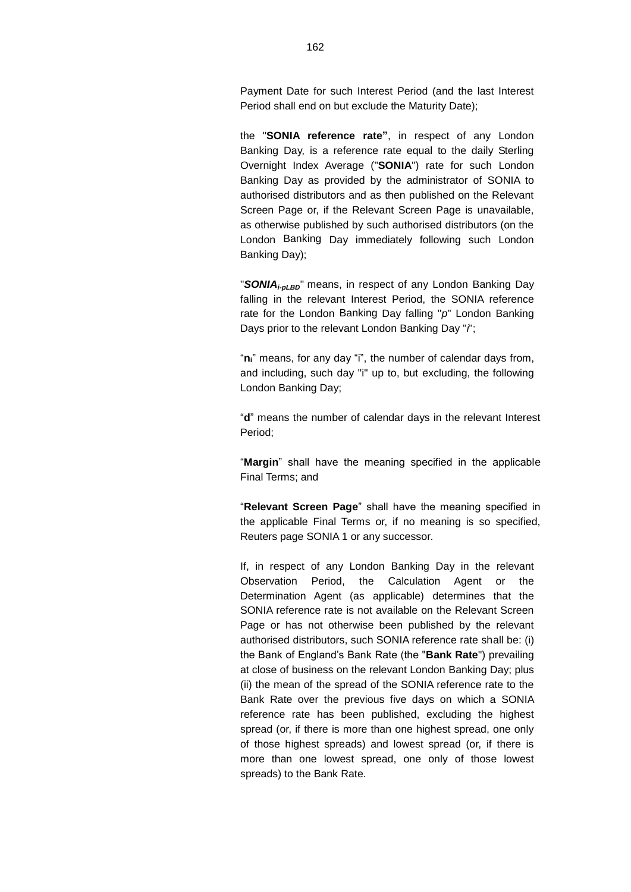Payment Date for such Interest Period (and the last Interest Period shall end on but exclude the Maturity Date);

the "**SONIA reference rate"**, in respect of any London Banking Day, is a reference rate equal to the daily Sterling Overnight Index Average ("**SONIA**") rate for such London Banking Day as provided by the administrator of SONIA to authorised distributors and as then published on the Relevant Screen Page or, if the Relevant Screen Page is unavailable, as otherwise published by such authorised distributors (on the London Banking Day immediately following such London Banking Day);

"*SONIAi-pLBD*" means, in respect of any London Banking Day falling in the relevant Interest Period, the SONIA reference rate for the London Banking Day falling "*p*" London Banking Days prior to the relevant London Banking Day "*i*";

"**ni**" means, for any day "i", the number of calendar days from, and including, such day "i" up to, but excluding, the following London Banking Day;

"**d**" means the number of calendar days in the relevant Interest Period;

"**Margin**" shall have the meaning specified in the applicable Final Terms; and

"**Relevant Screen Page**" shall have the meaning specified in the applicable Final Terms or, if no meaning is so specified, Reuters page SONIA 1 or any successor.

If, in respect of any London Banking Day in the relevant Observation Period, the Calculation Agent or the Determination Agent (as applicable) determines that the SONIA reference rate is not available on the Relevant Screen Page or has not otherwise been published by the relevant authorised distributors, such SONIA reference rate shall be: (i) the Bank of England's Bank Rate (the "**Bank Rate**") prevailing at close of business on the relevant London Banking Day; plus (ii) the mean of the spread of the SONIA reference rate to the Bank Rate over the previous five days on which a SONIA reference rate has been published, excluding the highest spread (or, if there is more than one highest spread, one only of those highest spreads) and lowest spread (or, if there is more than one lowest spread, one only of those lowest spreads) to the Bank Rate.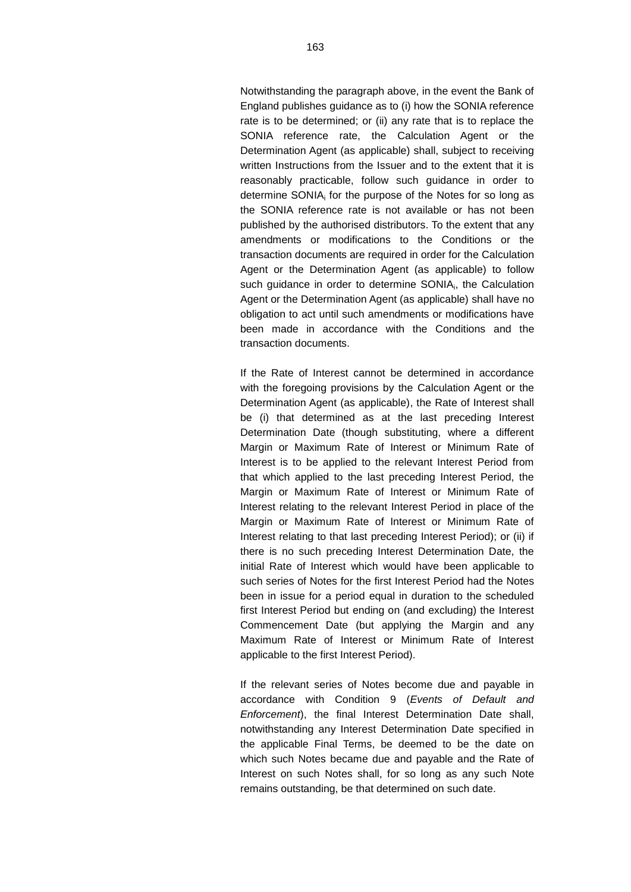Notwithstanding the paragraph above, in the event the Bank of England publishes guidance as to (i) how the SONIA reference rate is to be determined; or (ii) any rate that is to replace the SONIA reference rate, the Calculation Agent or the Determination Agent (as applicable) shall, subject to receiving written Instructions from the Issuer and to the extent that it is reasonably practicable, follow such guidance in order to determine SONIA<sub>i</sub> for the purpose of the Notes for so long as the SONIA reference rate is not available or has not been published by the authorised distributors. To the extent that any amendments or modifications to the Conditions or the transaction documents are required in order for the Calculation Agent or the Determination Agent (as applicable) to follow such guidance in order to determine SONIA<sub>i</sub>, the Calculation Agent or the Determination Agent (as applicable) shall have no obligation to act until such amendments or modifications have been made in accordance with the Conditions and the transaction documents.

If the Rate of Interest cannot be determined in accordance with the foregoing provisions by the Calculation Agent or the Determination Agent (as applicable), the Rate of Interest shall be (i) that determined as at the last preceding Interest Determination Date (though substituting, where a different Margin or Maximum Rate of Interest or Minimum Rate of Interest is to be applied to the relevant Interest Period from that which applied to the last preceding Interest Period, the Margin or Maximum Rate of Interest or Minimum Rate of Interest relating to the relevant Interest Period in place of the Margin or Maximum Rate of Interest or Minimum Rate of Interest relating to that last preceding Interest Period); or (ii) if there is no such preceding Interest Determination Date, the initial Rate of Interest which would have been applicable to such series of Notes for the first Interest Period had the Notes been in issue for a period equal in duration to the scheduled first Interest Period but ending on (and excluding) the Interest Commencement Date (but applying the Margin and any Maximum Rate of Interest or Minimum Rate of Interest applicable to the first Interest Period).

If the relevant series of Notes become due and payable in accordance with Condition 9 (*Events of Default and Enforcement*), the final Interest Determination Date shall, notwithstanding any Interest Determination Date specified in the applicable Final Terms, be deemed to be the date on which such Notes became due and payable and the Rate of Interest on such Notes shall, for so long as any such Note remains outstanding, be that determined on such date.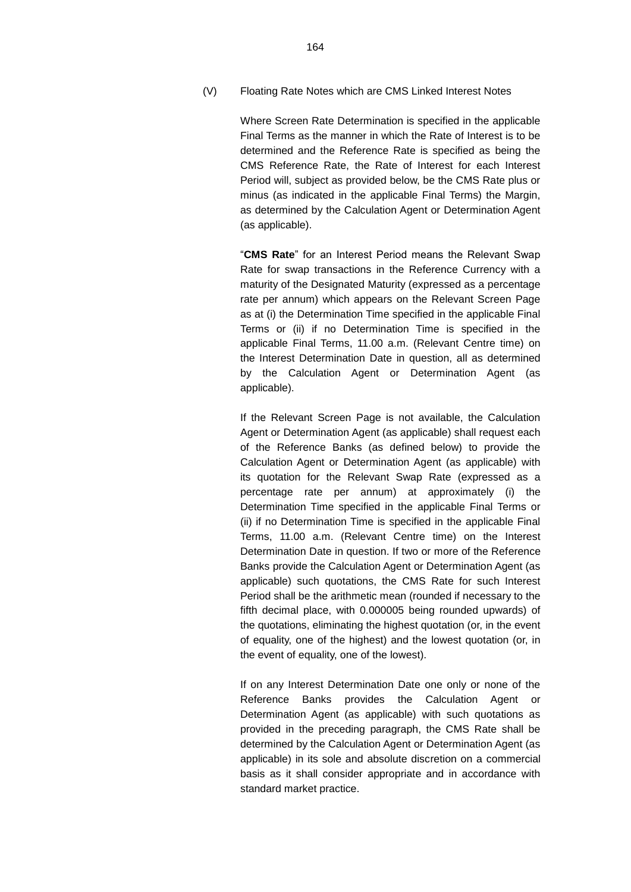(V) Floating Rate Notes which are CMS Linked Interest Notes

Where Screen Rate Determination is specified in the applicable Final Terms as the manner in which the Rate of Interest is to be determined and the Reference Rate is specified as being the CMS Reference Rate, the Rate of Interest for each Interest Period will, subject as provided below, be the CMS Rate plus or minus (as indicated in the applicable Final Terms) the Margin, as determined by the Calculation Agent or Determination Agent (as applicable).

"**CMS Rate**" for an Interest Period means the Relevant Swap Rate for swap transactions in the Reference Currency with a maturity of the Designated Maturity (expressed as a percentage rate per annum) which appears on the Relevant Screen Page as at (i) the Determination Time specified in the applicable Final Terms or (ii) if no Determination Time is specified in the applicable Final Terms, 11.00 a.m. (Relevant Centre time) on the Interest Determination Date in question, all as determined by the Calculation Agent or Determination Agent (as applicable).

If the Relevant Screen Page is not available, the Calculation Agent or Determination Agent (as applicable) shall request each of the Reference Banks (as defined below) to provide the Calculation Agent or Determination Agent (as applicable) with its quotation for the Relevant Swap Rate (expressed as a percentage rate per annum) at approximately (i) the Determination Time specified in the applicable Final Terms or (ii) if no Determination Time is specified in the applicable Final Terms, 11.00 a.m. (Relevant Centre time) on the Interest Determination Date in question. If two or more of the Reference Banks provide the Calculation Agent or Determination Agent (as applicable) such quotations, the CMS Rate for such Interest Period shall be the arithmetic mean (rounded if necessary to the fifth decimal place, with 0.000005 being rounded upwards) of the quotations, eliminating the highest quotation (or, in the event of equality, one of the highest) and the lowest quotation (or, in the event of equality, one of the lowest).

If on any Interest Determination Date one only or none of the Reference Banks provides the Calculation Agent or Determination Agent (as applicable) with such quotations as provided in the preceding paragraph, the CMS Rate shall be determined by the Calculation Agent or Determination Agent (as applicable) in its sole and absolute discretion on a commercial basis as it shall consider appropriate and in accordance with standard market practice.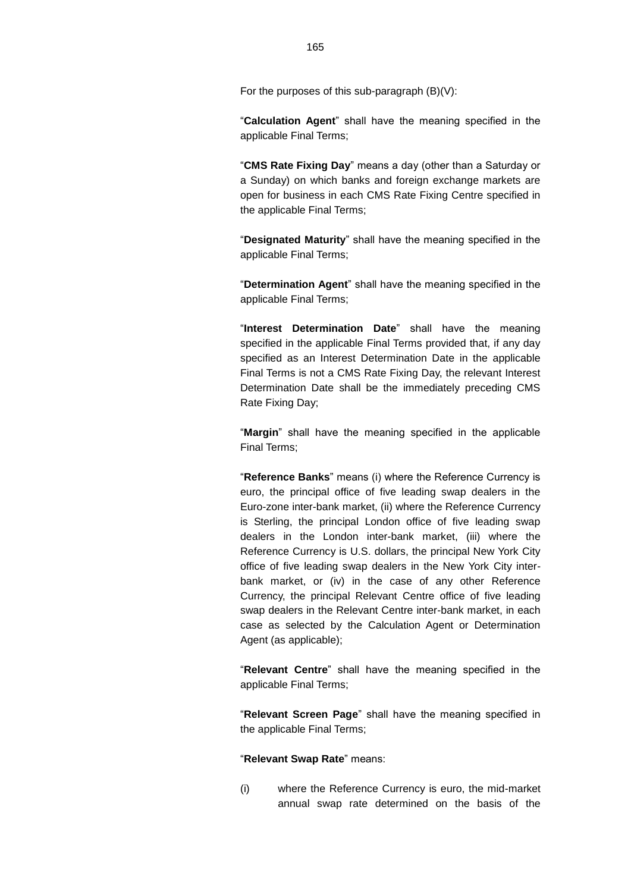For the purposes of this sub-paragraph (B)(V):

"**Calculation Agent**" shall have the meaning specified in the applicable Final Terms;

"**CMS Rate Fixing Day**" means a day (other than a Saturday or a Sunday) on which banks and foreign exchange markets are open for business in each CMS Rate Fixing Centre specified in the applicable Final Terms;

"**Designated Maturity**" shall have the meaning specified in the applicable Final Terms;

"**Determination Agent**" shall have the meaning specified in the applicable Final Terms;

"**Interest Determination Date**" shall have the meaning specified in the applicable Final Terms provided that, if any day specified as an Interest Determination Date in the applicable Final Terms is not a CMS Rate Fixing Day, the relevant Interest Determination Date shall be the immediately preceding CMS Rate Fixing Day;

"**Margin**" shall have the meaning specified in the applicable Final Terms;

"**Reference Banks**" means (i) where the Reference Currency is euro, the principal office of five leading swap dealers in the Euro-zone inter-bank market, (ii) where the Reference Currency is Sterling, the principal London office of five leading swap dealers in the London inter-bank market, (iii) where the Reference Currency is U.S. dollars, the principal New York City office of five leading swap dealers in the New York City interbank market, or (iv) in the case of any other Reference Currency, the principal Relevant Centre office of five leading swap dealers in the Relevant Centre inter-bank market, in each case as selected by the Calculation Agent or Determination Agent (as applicable);

"**Relevant Centre**" shall have the meaning specified in the applicable Final Terms;

"**Relevant Screen Page**" shall have the meaning specified in the applicable Final Terms;

"**Relevant Swap Rate**" means:

(i) where the Reference Currency is euro, the mid-market annual swap rate determined on the basis of the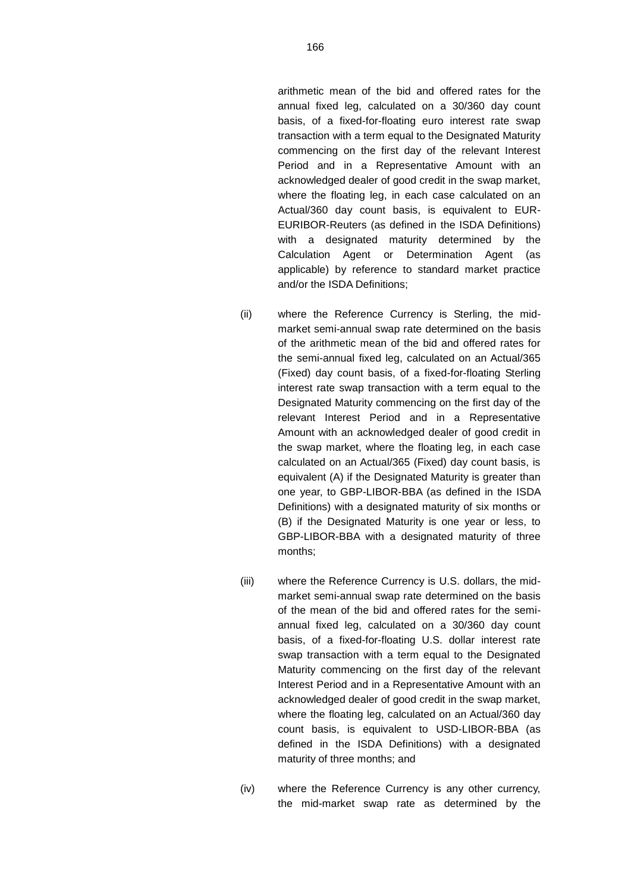arithmetic mean of the bid and offered rates for the annual fixed leg, calculated on a 30/360 day count basis, of a fixed-for-floating euro interest rate swap transaction with a term equal to the Designated Maturity commencing on the first day of the relevant Interest Period and in a Representative Amount with an acknowledged dealer of good credit in the swap market, where the floating leg, in each case calculated on an Actual/360 day count basis, is equivalent to EUR-EURIBOR-Reuters (as defined in the ISDA Definitions) with a designated maturity determined by the Calculation Agent or Determination Agent (as applicable) by reference to standard market practice and/or the ISDA Definitions;

- (ii) where the Reference Currency is Sterling, the midmarket semi-annual swap rate determined on the basis of the arithmetic mean of the bid and offered rates for the semi-annual fixed leg, calculated on an Actual/365 (Fixed) day count basis, of a fixed-for-floating Sterling interest rate swap transaction with a term equal to the Designated Maturity commencing on the first day of the relevant Interest Period and in a Representative Amount with an acknowledged dealer of good credit in the swap market, where the floating leg, in each case calculated on an Actual/365 (Fixed) day count basis, is equivalent (A) if the Designated Maturity is greater than one year, to GBP-LIBOR-BBA (as defined in the ISDA Definitions) with a designated maturity of six months or (B) if the Designated Maturity is one year or less, to GBP-LIBOR-BBA with a designated maturity of three months;
- (iii) where the Reference Currency is U.S. dollars, the midmarket semi-annual swap rate determined on the basis of the mean of the bid and offered rates for the semiannual fixed leg, calculated on a 30/360 day count basis, of a fixed-for-floating U.S. dollar interest rate swap transaction with a term equal to the Designated Maturity commencing on the first day of the relevant Interest Period and in a Representative Amount with an acknowledged dealer of good credit in the swap market, where the floating leg, calculated on an Actual/360 day count basis, is equivalent to USD-LIBOR-BBA (as defined in the ISDA Definitions) with a designated maturity of three months; and
- (iv) where the Reference Currency is any other currency, the mid-market swap rate as determined by the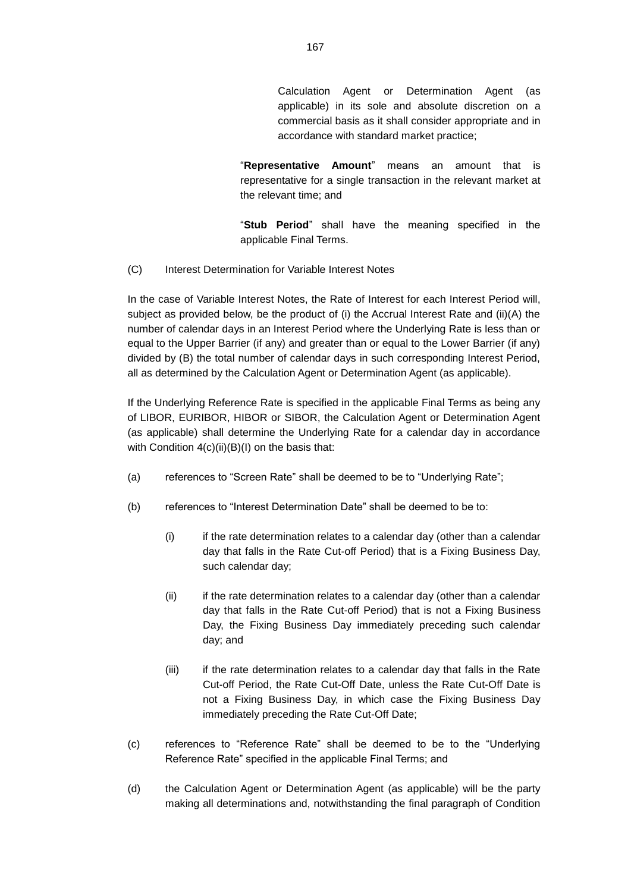Calculation Agent or Determination Agent (as applicable) in its sole and absolute discretion on a commercial basis as it shall consider appropriate and in accordance with standard market practice;

"**Representative Amount**" means an amount that is representative for a single transaction in the relevant market at the relevant time; and

"**Stub Period**" shall have the meaning specified in the applicable Final Terms.

(C) Interest Determination for Variable Interest Notes

In the case of Variable Interest Notes, the Rate of Interest for each Interest Period will, subject as provided below, be the product of (i) the Accrual Interest Rate and (ii)(A) the number of calendar days in an Interest Period where the Underlying Rate is less than or equal to the Upper Barrier (if any) and greater than or equal to the Lower Barrier (if any) divided by (B) the total number of calendar days in such corresponding Interest Period, all as determined by the Calculation Agent or Determination Agent (as applicable).

If the Underlying Reference Rate is specified in the applicable Final Terms as being any of LIBOR, EURIBOR, HIBOR or SIBOR, the Calculation Agent or Determination Agent (as applicable) shall determine the Underlying Rate for a calendar day in accordance with Condition  $4(c)(ii)(B)(I)$  on the basis that:

- (a) references to "Screen Rate" shall be deemed to be to "Underlying Rate";
- (b) references to "Interest Determination Date" shall be deemed to be to:
	- (i) if the rate determination relates to a calendar day (other than a calendar day that falls in the Rate Cut-off Period) that is a Fixing Business Day, such calendar day;
	- (ii) if the rate determination relates to a calendar day (other than a calendar day that falls in the Rate Cut-off Period) that is not a Fixing Business Day, the Fixing Business Day immediately preceding such calendar day; and
	- (iii) if the rate determination relates to a calendar day that falls in the Rate Cut-off Period, the Rate Cut-Off Date, unless the Rate Cut-Off Date is not a Fixing Business Day, in which case the Fixing Business Day immediately preceding the Rate Cut-Off Date;
- (c) references to "Reference Rate" shall be deemed to be to the "Underlying Reference Rate" specified in the applicable Final Terms; and
- (d) the Calculation Agent or Determination Agent (as applicable) will be the party making all determinations and, notwithstanding the final paragraph of Condition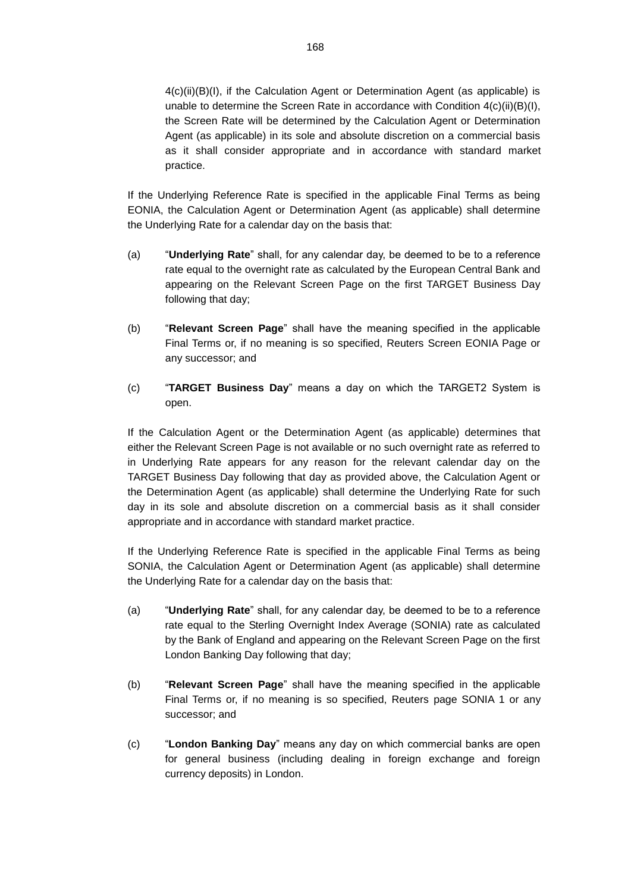$4(c)(ii)(B)(I)$ , if the Calculation Agent or Determination Agent (as applicable) is unable to determine the Screen Rate in accordance with Condition  $4(c)(ii)(B)(I)$ , the Screen Rate will be determined by the Calculation Agent or Determination Agent (as applicable) in its sole and absolute discretion on a commercial basis as it shall consider appropriate and in accordance with standard market practice.

If the Underlying Reference Rate is specified in the applicable Final Terms as being EONIA, the Calculation Agent or Determination Agent (as applicable) shall determine the Underlying Rate for a calendar day on the basis that:

- (a) "**Underlying Rate**" shall, for any calendar day, be deemed to be to a reference rate equal to the overnight rate as calculated by the European Central Bank and appearing on the Relevant Screen Page on the first TARGET Business Day following that day;
- (b) "**Relevant Screen Page**" shall have the meaning specified in the applicable Final Terms or, if no meaning is so specified, Reuters Screen EONIA Page or any successor; and
- (c) "**TARGET Business Day**" means a day on which the TARGET2 System is open.

If the Calculation Agent or the Determination Agent (as applicable) determines that either the Relevant Screen Page is not available or no such overnight rate as referred to in Underlying Rate appears for any reason for the relevant calendar day on the TARGET Business Day following that day as provided above, the Calculation Agent or the Determination Agent (as applicable) shall determine the Underlying Rate for such day in its sole and absolute discretion on a commercial basis as it shall consider appropriate and in accordance with standard market practice.

If the Underlying Reference Rate is specified in the applicable Final Terms as being SONIA, the Calculation Agent or Determination Agent (as applicable) shall determine the Underlying Rate for a calendar day on the basis that:

- (a) "**Underlying Rate**" shall, for any calendar day, be deemed to be to a reference rate equal to the Sterling Overnight Index Average (SONIA) rate as calculated by the Bank of England and appearing on the Relevant Screen Page on the first London Banking Day following that day;
- (b) "**Relevant Screen Page**" shall have the meaning specified in the applicable Final Terms or, if no meaning is so specified, Reuters page SONIA 1 or any successor; and
- (c) "**London Banking Day**" means any day on which commercial banks are open for general business (including dealing in foreign exchange and foreign currency deposits) in London.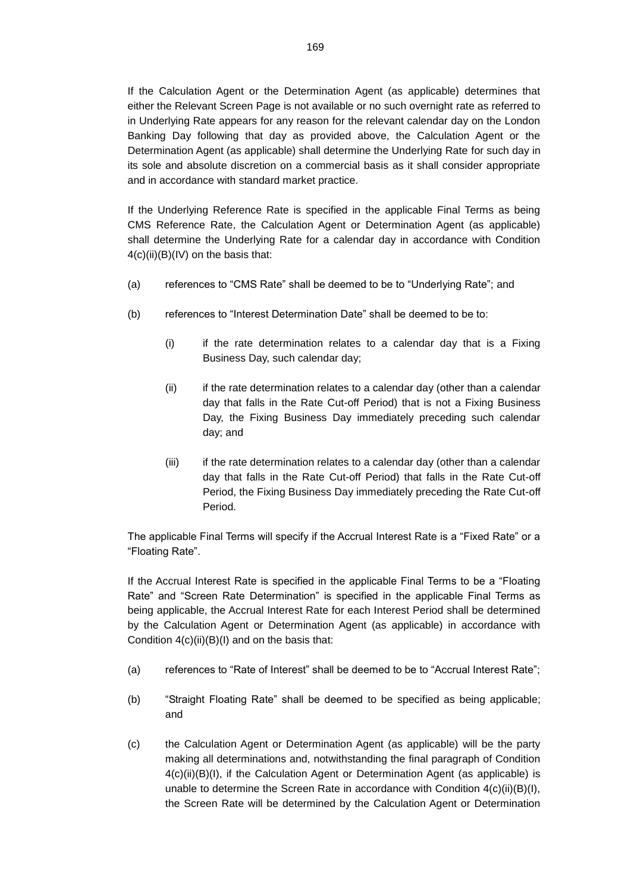If the Calculation Agent or the Determination Agent (as applicable) determines that either the Relevant Screen Page is not available or no such overnight rate as referred to in Underlying Rate appears for any reason for the relevant calendar day on the London Banking Day following that day as provided above, the Calculation Agent or the Determination Agent (as applicable) shall determine the Underlying Rate for such day in its sole and absolute discretion on a commercial basis as it shall consider appropriate and in accordance with standard market practice.

If the Underlying Reference Rate is specified in the applicable Final Terms as being CMS Reference Rate, the Calculation Agent or Determination Agent (as applicable) shall determine the Underlying Rate for a calendar day in accordance with Condition  $4(c)(ii)(B)(IV)$  on the basis that:

- (a) references to "CMS Rate" shall be deemed to be to "Underlying Rate"; and
- (b) references to "Interest Determination Date" shall be deemed to be to:
	- (i) if the rate determination relates to a calendar day that is a Fixing Business Day, such calendar day;
	- (ii) if the rate determination relates to a calendar day (other than a calendar day that falls in the Rate Cut-off Period) that is not a Fixing Business Day, the Fixing Business Day immediately preceding such calendar day; and
	- (iii) if the rate determination relates to a calendar day (other than a calendar day that falls in the Rate Cut-off Period) that falls in the Rate Cut-off Period, the Fixing Business Day immediately preceding the Rate Cut-off Period.

The applicable Final Terms will specify if the Accrual Interest Rate is a "Fixed Rate" or a "Floating Rate".

If the Accrual Interest Rate is specified in the applicable Final Terms to be a "Floating Rate" and "Screen Rate Determination" is specified in the applicable Final Terms as being applicable, the Accrual Interest Rate for each Interest Period shall be determined by the Calculation Agent or Determination Agent (as applicable) in accordance with Condition  $4(c)(ii)(B)(I)$  and on the basis that:

- (a) references to "Rate of Interest" shall be deemed to be to "Accrual Interest Rate";
- (b) "Straight Floating Rate" shall be deemed to be specified as being applicable; and
- (c) the Calculation Agent or Determination Agent (as applicable) will be the party making all determinations and, notwithstanding the final paragraph of Condition 4(c)(ii)(B)(I), if the Calculation Agent or Determination Agent (as applicable) is unable to determine the Screen Rate in accordance with Condition 4(c)(ii)(B)(I), the Screen Rate will be determined by the Calculation Agent or Determination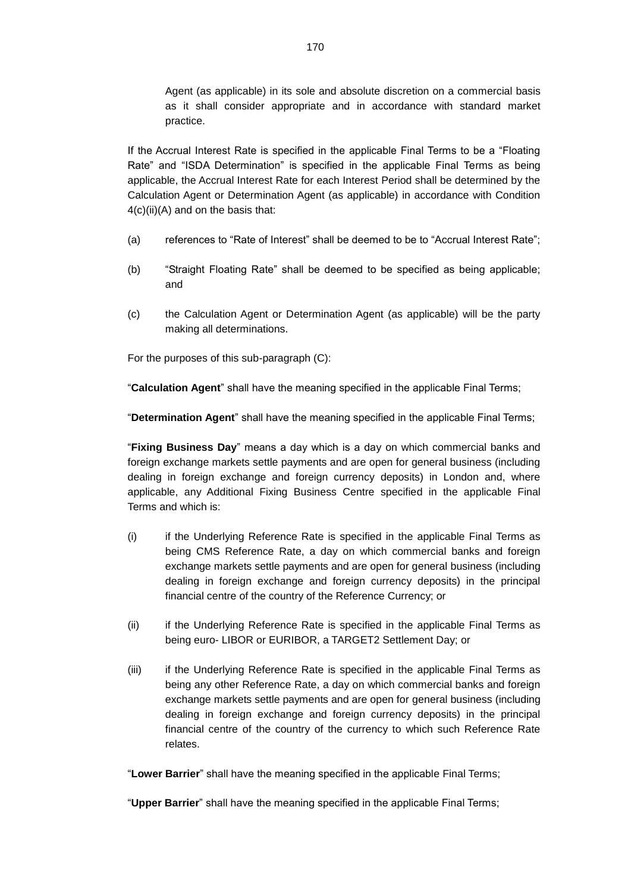Agent (as applicable) in its sole and absolute discretion on a commercial basis as it shall consider appropriate and in accordance with standard market practice.

If the Accrual Interest Rate is specified in the applicable Final Terms to be a "Floating Rate" and "ISDA Determination" is specified in the applicable Final Terms as being applicable, the Accrual Interest Rate for each Interest Period shall be determined by the Calculation Agent or Determination Agent (as applicable) in accordance with Condition  $4(c)(ii)(A)$  and on the basis that:

- (a) references to "Rate of Interest" shall be deemed to be to "Accrual Interest Rate";
- (b) "Straight Floating Rate" shall be deemed to be specified as being applicable; and
- (c) the Calculation Agent or Determination Agent (as applicable) will be the party making all determinations.

For the purposes of this sub-paragraph (C):

"**Calculation Agent**" shall have the meaning specified in the applicable Final Terms;

"**Determination Agent**" shall have the meaning specified in the applicable Final Terms;

"**Fixing Business Day**" means a day which is a day on which commercial banks and foreign exchange markets settle payments and are open for general business (including dealing in foreign exchange and foreign currency deposits) in London and, where applicable, any Additional Fixing Business Centre specified in the applicable Final Terms and which is:

- (i) if the Underlying Reference Rate is specified in the applicable Final Terms as being CMS Reference Rate, a day on which commercial banks and foreign exchange markets settle payments and are open for general business (including dealing in foreign exchange and foreign currency deposits) in the principal financial centre of the country of the Reference Currency; or
- (ii) if the Underlying Reference Rate is specified in the applicable Final Terms as being euro- LIBOR or EURIBOR, a TARGET2 Settlement Day; or
- (iii) if the Underlying Reference Rate is specified in the applicable Final Terms as being any other Reference Rate, a day on which commercial banks and foreign exchange markets settle payments and are open for general business (including dealing in foreign exchange and foreign currency deposits) in the principal financial centre of the country of the currency to which such Reference Rate relates.

"**Lower Barrier**" shall have the meaning specified in the applicable Final Terms;

"**Upper Barrier**" shall have the meaning specified in the applicable Final Terms;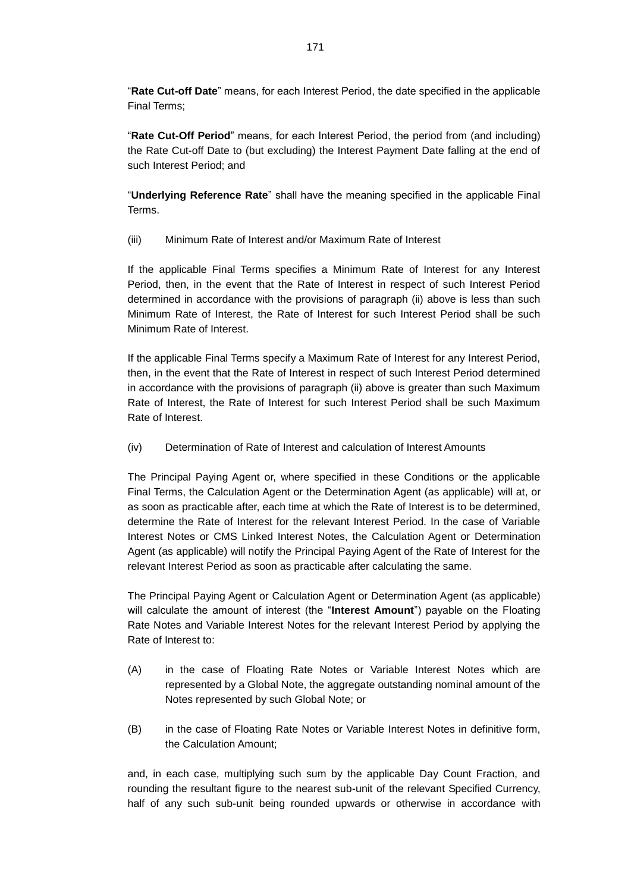"**Rate Cut-off Date**" means, for each Interest Period, the date specified in the applicable Final Terms;

"**Rate Cut-Off Period**" means, for each Interest Period, the period from (and including) the Rate Cut-off Date to (but excluding) the Interest Payment Date falling at the end of such Interest Period; and

"**Underlying Reference Rate**" shall have the meaning specified in the applicable Final Terms.

(iii) Minimum Rate of Interest and/or Maximum Rate of Interest

If the applicable Final Terms specifies a Minimum Rate of Interest for any Interest Period, then, in the event that the Rate of Interest in respect of such Interest Period determined in accordance with the provisions of paragraph (ii) above is less than such Minimum Rate of Interest, the Rate of Interest for such Interest Period shall be such Minimum Rate of Interest.

If the applicable Final Terms specify a Maximum Rate of Interest for any Interest Period, then, in the event that the Rate of Interest in respect of such Interest Period determined in accordance with the provisions of paragraph (ii) above is greater than such Maximum Rate of Interest, the Rate of Interest for such Interest Period shall be such Maximum Rate of Interest.

(iv) Determination of Rate of Interest and calculation of Interest Amounts

The Principal Paying Agent or, where specified in these Conditions or the applicable Final Terms, the Calculation Agent or the Determination Agent (as applicable) will at, or as soon as practicable after, each time at which the Rate of Interest is to be determined, determine the Rate of Interest for the relevant Interest Period. In the case of Variable Interest Notes or CMS Linked Interest Notes, the Calculation Agent or Determination Agent (as applicable) will notify the Principal Paying Agent of the Rate of Interest for the relevant Interest Period as soon as practicable after calculating the same.

The Principal Paying Agent or Calculation Agent or Determination Agent (as applicable) will calculate the amount of interest (the "**Interest Amount**") payable on the Floating Rate Notes and Variable Interest Notes for the relevant Interest Period by applying the Rate of Interest to:

- (A) in the case of Floating Rate Notes or Variable Interest Notes which are represented by a Global Note, the aggregate outstanding nominal amount of the Notes represented by such Global Note; or
- (B) in the case of Floating Rate Notes or Variable Interest Notes in definitive form, the Calculation Amount;

and, in each case, multiplying such sum by the applicable Day Count Fraction, and rounding the resultant figure to the nearest sub-unit of the relevant Specified Currency, half of any such sub-unit being rounded upwards or otherwise in accordance with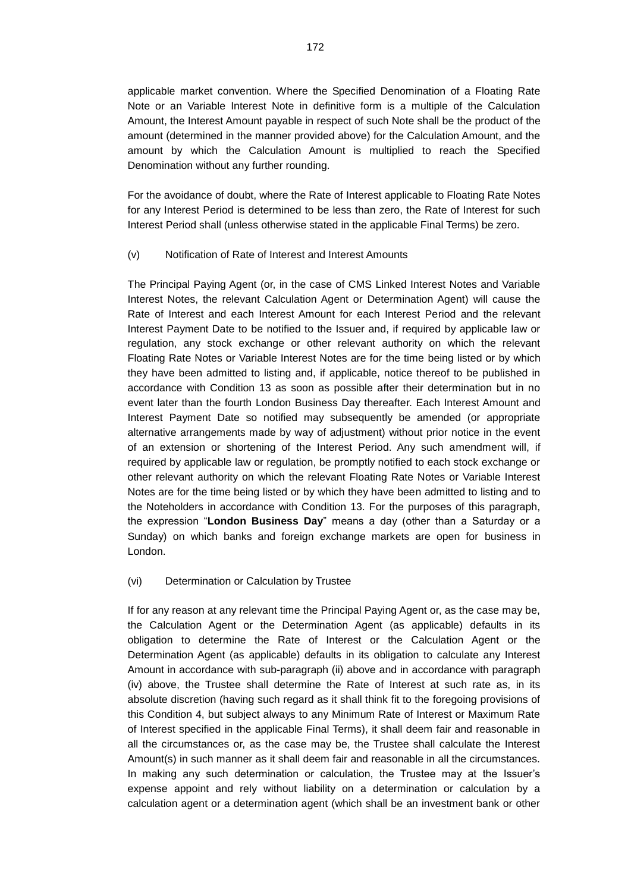applicable market convention. Where the Specified Denomination of a Floating Rate Note or an Variable Interest Note in definitive form is a multiple of the Calculation Amount, the Interest Amount payable in respect of such Note shall be the product of the amount (determined in the manner provided above) for the Calculation Amount, and the amount by which the Calculation Amount is multiplied to reach the Specified Denomination without any further rounding.

For the avoidance of doubt, where the Rate of Interest applicable to Floating Rate Notes for any Interest Period is determined to be less than zero, the Rate of Interest for such Interest Period shall (unless otherwise stated in the applicable Final Terms) be zero.

(v) Notification of Rate of Interest and Interest Amounts

The Principal Paying Agent (or, in the case of CMS Linked Interest Notes and Variable Interest Notes, the relevant Calculation Agent or Determination Agent) will cause the Rate of Interest and each Interest Amount for each Interest Period and the relevant Interest Payment Date to be notified to the Issuer and, if required by applicable law or regulation, any stock exchange or other relevant authority on which the relevant Floating Rate Notes or Variable Interest Notes are for the time being listed or by which they have been admitted to listing and, if applicable, notice thereof to be published in accordance with Condition 13 as soon as possible after their determination but in no event later than the fourth London Business Day thereafter. Each Interest Amount and Interest Payment Date so notified may subsequently be amended (or appropriate alternative arrangements made by way of adjustment) without prior notice in the event of an extension or shortening of the Interest Period. Any such amendment will, if required by applicable law or regulation, be promptly notified to each stock exchange or other relevant authority on which the relevant Floating Rate Notes or Variable Interest Notes are for the time being listed or by which they have been admitted to listing and to the Noteholders in accordance with Condition 13. For the purposes of this paragraph, the expression "**London Business Day**" means a day (other than a Saturday or a Sunday) on which banks and foreign exchange markets are open for business in London.

(vi) Determination or Calculation by Trustee

If for any reason at any relevant time the Principal Paying Agent or, as the case may be, the Calculation Agent or the Determination Agent (as applicable) defaults in its obligation to determine the Rate of Interest or the Calculation Agent or the Determination Agent (as applicable) defaults in its obligation to calculate any Interest Amount in accordance with sub-paragraph (ii) above and in accordance with paragraph (iv) above, the Trustee shall determine the Rate of Interest at such rate as, in its absolute discretion (having such regard as it shall think fit to the foregoing provisions of this Condition 4, but subject always to any Minimum Rate of Interest or Maximum Rate of Interest specified in the applicable Final Terms), it shall deem fair and reasonable in all the circumstances or, as the case may be, the Trustee shall calculate the Interest Amount(s) in such manner as it shall deem fair and reasonable in all the circumstances. In making any such determination or calculation, the Trustee may at the Issuer's expense appoint and rely without liability on a determination or calculation by a calculation agent or a determination agent (which shall be an investment bank or other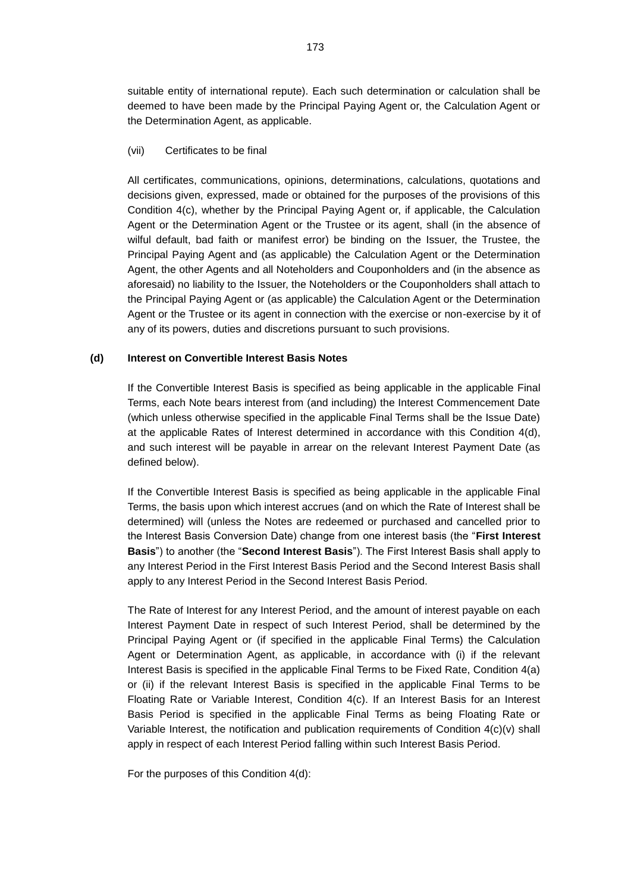suitable entity of international repute). Each such determination or calculation shall be deemed to have been made by the Principal Paying Agent or, the Calculation Agent or the Determination Agent, as applicable.

### (vii) Certificates to be final

All certificates, communications, opinions, determinations, calculations, quotations and decisions given, expressed, made or obtained for the purposes of the provisions of this Condition 4(c), whether by the Principal Paying Agent or, if applicable, the Calculation Agent or the Determination Agent or the Trustee or its agent, shall (in the absence of wilful default, bad faith or manifest error) be binding on the Issuer, the Trustee, the Principal Paying Agent and (as applicable) the Calculation Agent or the Determination Agent, the other Agents and all Noteholders and Couponholders and (in the absence as aforesaid) no liability to the Issuer, the Noteholders or the Couponholders shall attach to the Principal Paying Agent or (as applicable) the Calculation Agent or the Determination Agent or the Trustee or its agent in connection with the exercise or non-exercise by it of any of its powers, duties and discretions pursuant to such provisions.

## **(d) Interest on Convertible Interest Basis Notes**

If the Convertible Interest Basis is specified as being applicable in the applicable Final Terms, each Note bears interest from (and including) the Interest Commencement Date (which unless otherwise specified in the applicable Final Terms shall be the Issue Date) at the applicable Rates of Interest determined in accordance with this Condition  $4(d)$ , and such interest will be payable in arrear on the relevant Interest Payment Date (as defined below).

If the Convertible Interest Basis is specified as being applicable in the applicable Final Terms, the basis upon which interest accrues (and on which the Rate of Interest shall be determined) will (unless the Notes are redeemed or purchased and cancelled prior to the Interest Basis Conversion Date) change from one interest basis (the "**First Interest Basis**") to another (the "**Second Interest Basis**"). The First Interest Basis shall apply to any Interest Period in the First Interest Basis Period and the Second Interest Basis shall apply to any Interest Period in the Second Interest Basis Period.

The Rate of Interest for any Interest Period, and the amount of interest payable on each Interest Payment Date in respect of such Interest Period, shall be determined by the Principal Paying Agent or (if specified in the applicable Final Terms) the Calculation Agent or Determination Agent, as applicable, in accordance with (i) if the relevant Interest Basis is specified in the applicable Final Terms to be Fixed Rate, Condition 4(a) or (ii) if the relevant Interest Basis is specified in the applicable Final Terms to be Floating Rate or Variable Interest, Condition 4(c). If an Interest Basis for an Interest Basis Period is specified in the applicable Final Terms as being Floating Rate or Variable Interest, the notification and publication requirements of Condition 4(c)(v) shall apply in respect of each Interest Period falling within such Interest Basis Period.

For the purposes of this Condition 4(d):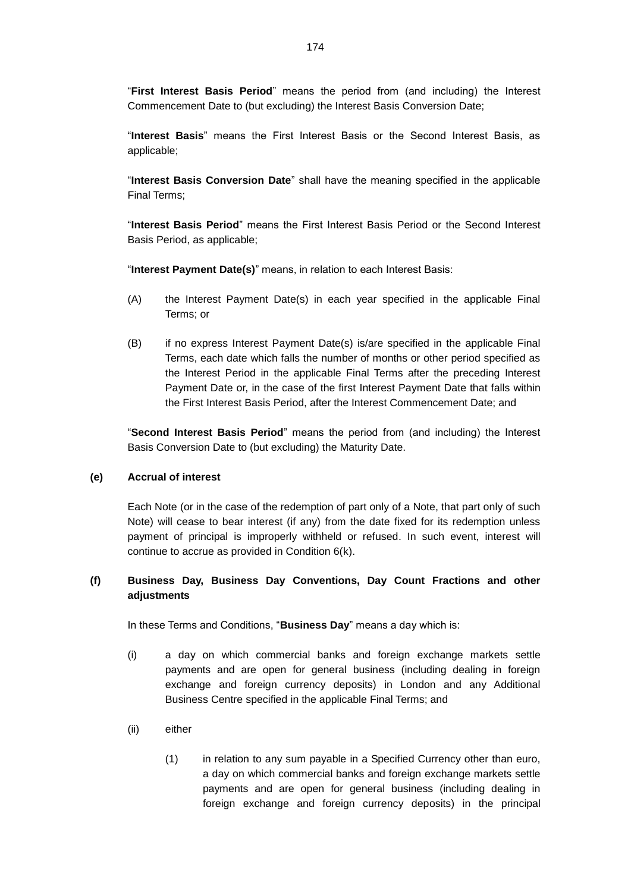"**First Interest Basis Period**" means the period from (and including) the Interest Commencement Date to (but excluding) the Interest Basis Conversion Date;

"**Interest Basis**" means the First Interest Basis or the Second Interest Basis, as applicable;

"**Interest Basis Conversion Date**" shall have the meaning specified in the applicable Final Terms;

"**Interest Basis Period**" means the First Interest Basis Period or the Second Interest Basis Period, as applicable;

"**Interest Payment Date(s)**" means, in relation to each Interest Basis:

- (A) the Interest Payment Date(s) in each year specified in the applicable Final Terms; or
- (B) if no express Interest Payment Date(s) is/are specified in the applicable Final Terms, each date which falls the number of months or other period specified as the Interest Period in the applicable Final Terms after the preceding Interest Payment Date or, in the case of the first Interest Payment Date that falls within the First Interest Basis Period, after the Interest Commencement Date; and

"**Second Interest Basis Period**" means the period from (and including) the Interest Basis Conversion Date to (but excluding) the Maturity Date.

#### **(e) Accrual of interest**

Each Note (or in the case of the redemption of part only of a Note, that part only of such Note) will cease to bear interest (if any) from the date fixed for its redemption unless payment of principal is improperly withheld or refused. In such event, interest will continue to accrue as provided in Condition 6(k).

# **(f) Business Day, Business Day Conventions, Day Count Fractions and other adjustments**

In these Terms and Conditions, "**Business Day**" means a day which is:

- (i) a day on which commercial banks and foreign exchange markets settle payments and are open for general business (including dealing in foreign exchange and foreign currency deposits) in London and any Additional Business Centre specified in the applicable Final Terms; and
- (ii) either
	- (1) in relation to any sum payable in a Specified Currency other than euro, a day on which commercial banks and foreign exchange markets settle payments and are open for general business (including dealing in foreign exchange and foreign currency deposits) in the principal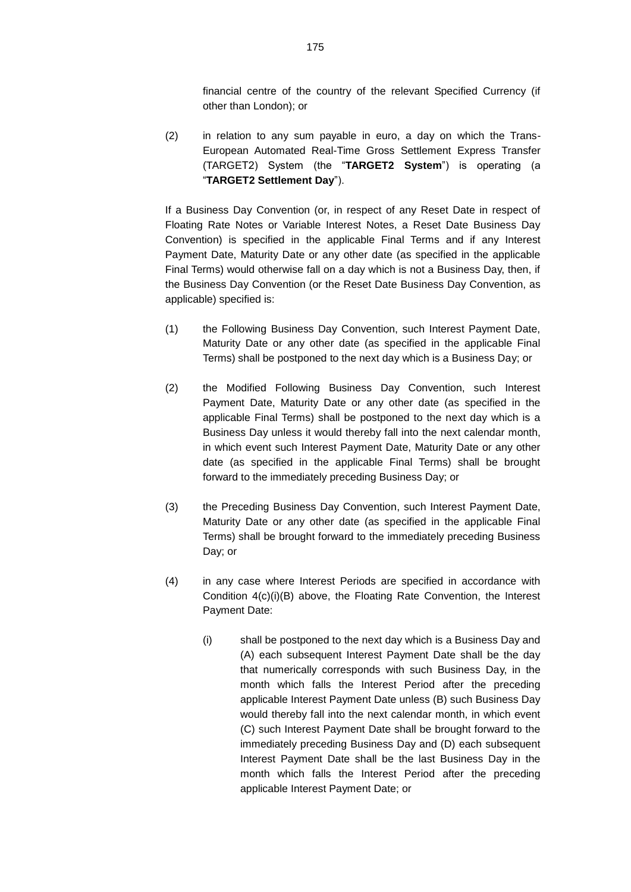financial centre of the country of the relevant Specified Currency (if other than London); or

(2) in relation to any sum payable in euro, a day on which the Trans-European Automated Real-Time Gross Settlement Express Transfer (TARGET2) System (the "**TARGET2 System**") is operating (a "**TARGET2 Settlement Day**").

If a Business Day Convention (or, in respect of any Reset Date in respect of Floating Rate Notes or Variable Interest Notes, a Reset Date Business Day Convention) is specified in the applicable Final Terms and if any Interest Payment Date, Maturity Date or any other date (as specified in the applicable Final Terms) would otherwise fall on a day which is not a Business Day, then, if the Business Day Convention (or the Reset Date Business Day Convention, as applicable) specified is:

- (1) the Following Business Day Convention, such Interest Payment Date, Maturity Date or any other date (as specified in the applicable Final Terms) shall be postponed to the next day which is a Business Day; or
- (2) the Modified Following Business Day Convention, such Interest Payment Date, Maturity Date or any other date (as specified in the applicable Final Terms) shall be postponed to the next day which is a Business Day unless it would thereby fall into the next calendar month, in which event such Interest Payment Date, Maturity Date or any other date (as specified in the applicable Final Terms) shall be brought forward to the immediately preceding Business Day; or
- (3) the Preceding Business Day Convention, such Interest Payment Date, Maturity Date or any other date (as specified in the applicable Final Terms) shall be brought forward to the immediately preceding Business Day; or
- (4) in any case where Interest Periods are specified in accordance with Condition 4(c)(i)(B) above, the Floating Rate Convention, the Interest Payment Date:
	- (i) shall be postponed to the next day which is a Business Day and (A) each subsequent Interest Payment Date shall be the day that numerically corresponds with such Business Day, in the month which falls the Interest Period after the preceding applicable Interest Payment Date unless (B) such Business Day would thereby fall into the next calendar month, in which event (C) such Interest Payment Date shall be brought forward to the immediately preceding Business Day and (D) each subsequent Interest Payment Date shall be the last Business Day in the month which falls the Interest Period after the preceding applicable Interest Payment Date; or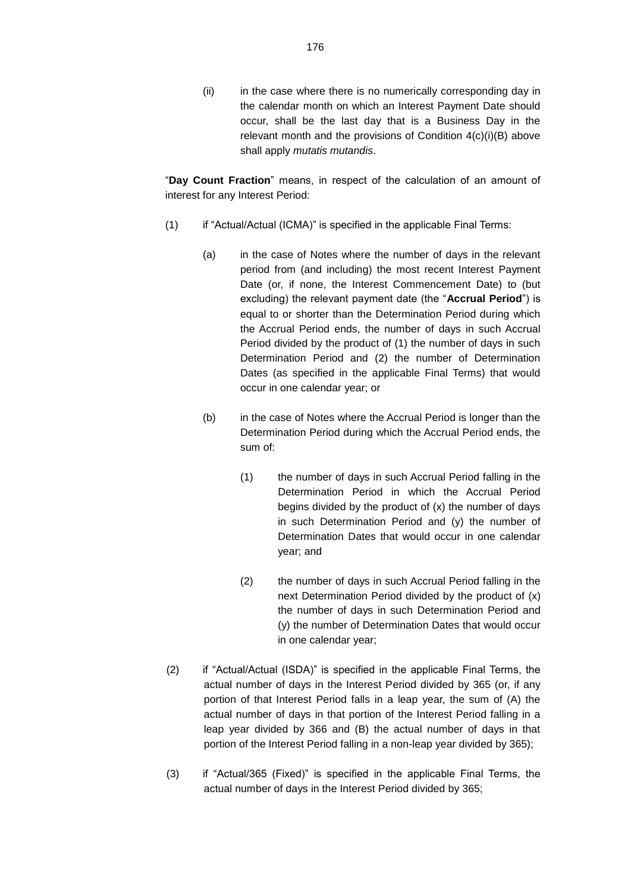(ii) in the case where there is no numerically corresponding day in the calendar month on which an Interest Payment Date should occur, shall be the last day that is a Business Day in the relevant month and the provisions of Condition 4(c)(i)(B) above shall apply *mutatis mutandis*.

"**Day Count Fraction**" means, in respect of the calculation of an amount of interest for any Interest Period:

- (1) if "Actual/Actual (ICMA)" is specified in the applicable Final Terms:
	- (a) in the case of Notes where the number of days in the relevant period from (and including) the most recent Interest Payment Date (or, if none, the Interest Commencement Date) to (but excluding) the relevant payment date (the "**Accrual Period**") is equal to or shorter than the Determination Period during which the Accrual Period ends, the number of days in such Accrual Period divided by the product of (1) the number of days in such Determination Period and (2) the number of Determination Dates (as specified in the applicable Final Terms) that would occur in one calendar year; or
	- (b) in the case of Notes where the Accrual Period is longer than the Determination Period during which the Accrual Period ends, the sum of:
		- (1) the number of days in such Accrual Period falling in the Determination Period in which the Accrual Period begins divided by the product of (x) the number of days in such Determination Period and (y) the number of Determination Dates that would occur in one calendar year; and
		- (2) the number of days in such Accrual Period falling in the next Determination Period divided by the product of (x) the number of days in such Determination Period and (y) the number of Determination Dates that would occur in one calendar year;
- (2) if "Actual/Actual (ISDA)" is specified in the applicable Final Terms, the actual number of days in the Interest Period divided by 365 (or, if any portion of that Interest Period falls in a leap year, the sum of (A) the actual number of days in that portion of the Interest Period falling in a leap year divided by 366 and (B) the actual number of days in that portion of the Interest Period falling in a non-leap year divided by 365);
- (3) if "Actual/365 (Fixed)" is specified in the applicable Final Terms, the actual number of days in the Interest Period divided by 365;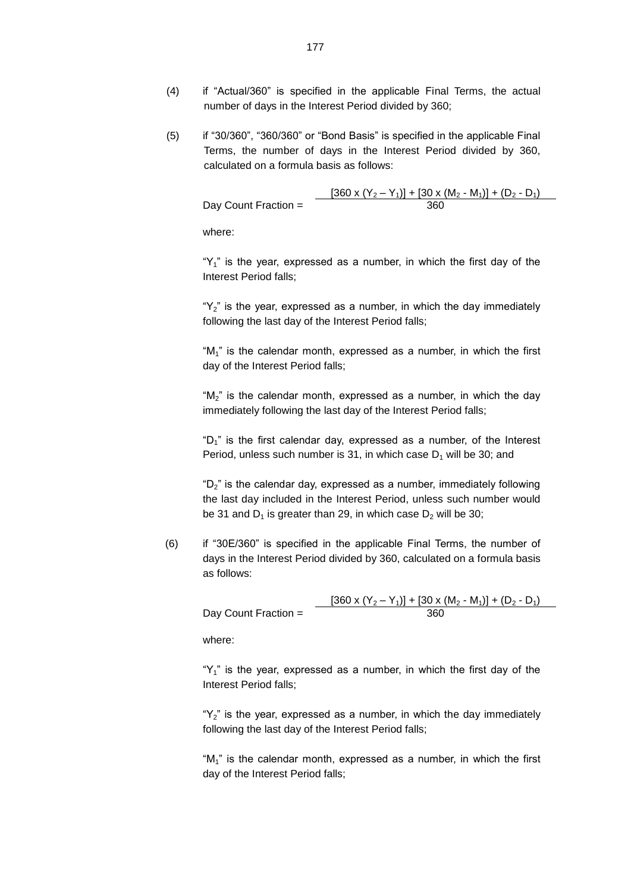- (4) if "Actual/360" is specified in the applicable Final Terms, the actual number of days in the Interest Period divided by 360;
- (5) if "30/360", "360/360" or "Bond Basis" is specified in the applicable Final Terms, the number of days in the Interest Period divided by 360, calculated on a formula basis as follows:

 $\frac{[360 \times (Y_2 - Y_1)] + [30 \times (M_2 - M_1)] + (D_2 - D_1)}{360}$ Day Count Fraction =

where:

" $Y_1$ " is the year, expressed as a number, in which the first day of the Interest Period falls;

" $Y_2$ " is the year, expressed as a number, in which the day immediately following the last day of the Interest Period falls;

" $M_1$ " is the calendar month, expressed as a number, in which the first day of the Interest Period falls;

" $M<sub>2</sub>$ " is the calendar month, expressed as a number, in which the day immediately following the last day of the Interest Period falls;

" $D_1$ " is the first calendar day, expressed as a number, of the Interest Period, unless such number is 31, in which case  $D_1$  will be 30; and

" $D_2$ " is the calendar day, expressed as a number, immediately following the last day included in the Interest Period, unless such number would be 31 and  $D_1$  is greater than 29, in which case  $D_2$  will be 30;

(6) if "30E/360" is specified in the applicable Final Terms, the number of days in the Interest Period divided by 360, calculated on a formula basis as follows:

> $[360 \times (Y_2 - Y_1)] + [30 \times (M_2 - M_1)] + (D_2 - D_1)$ <br>360 Day Count Fraction  $=$

where:

" $Y_1$ " is the year, expressed as a number, in which the first day of the Interest Period falls;

" $Y_2$ " is the year, expressed as a number, in which the day immediately following the last day of the Interest Period falls;

" $M_1$ " is the calendar month, expressed as a number, in which the first day of the Interest Period falls;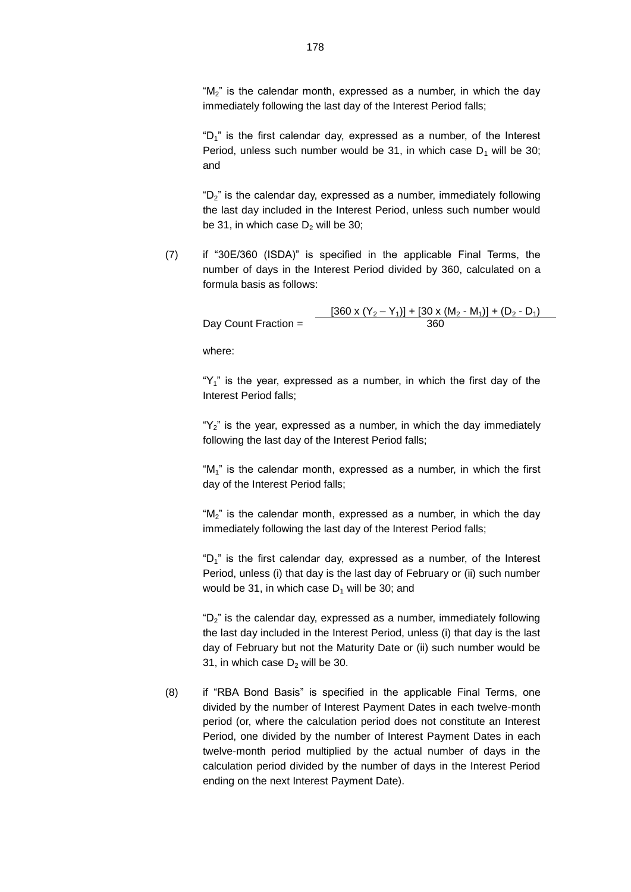" $M_2$ " is the calendar month, expressed as a number, in which the day immediately following the last day of the Interest Period falls;

" $D_1$ " is the first calendar day, expressed as a number, of the Interest Period, unless such number would be 31, in which case  $D_1$  will be 30; and

" $D_2$ " is the calendar day, expressed as a number, immediately following the last day included in the Interest Period, unless such number would be 31, in which case  $D_2$  will be 30;

(7) if "30E/360 (ISDA)" is specified in the applicable Final Terms, the number of days in the Interest Period divided by 360, calculated on a formula basis as follows:

 $\frac{[360 \times (Y_2 - Y_1)] + [30 \times (M_2 - M_1)] + (D_2 - D_1)}{360}$ Day Count Fraction  $=$ 

where:

" $Y_1$ " is the year, expressed as a number, in which the first day of the Interest Period falls;

" $Y_2$ " is the year, expressed as a number, in which the day immediately following the last day of the Interest Period falls;

" $M_1$ " is the calendar month, expressed as a number, in which the first day of the Interest Period falls;

" $M_2$ " is the calendar month, expressed as a number, in which the day immediately following the last day of the Interest Period falls;

" $D_1$ " is the first calendar day, expressed as a number, of the Interest Period, unless (i) that day is the last day of February or (ii) such number would be 31, in which case  $D_1$  will be 30; and

" $D_2$ " is the calendar day, expressed as a number, immediately following the last day included in the Interest Period, unless (i) that day is the last day of February but not the Maturity Date or (ii) such number would be 31, in which case  $D_2$  will be 30.

(8) if "RBA Bond Basis" is specified in the applicable Final Terms, one divided by the number of Interest Payment Dates in each twelve-month period (or, where the calculation period does not constitute an Interest Period, one divided by the number of Interest Payment Dates in each twelve-month period multiplied by the actual number of days in the calculation period divided by the number of days in the Interest Period ending on the next Interest Payment Date).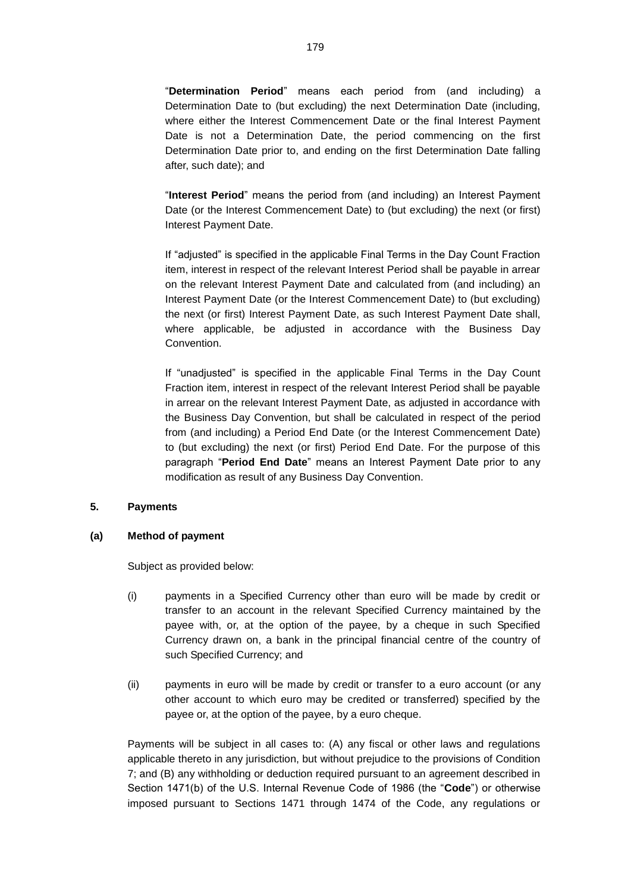"**Determination Period**" means each period from (and including) a Determination Date to (but excluding) the next Determination Date (including, where either the Interest Commencement Date or the final Interest Payment Date is not a Determination Date, the period commencing on the first Determination Date prior to, and ending on the first Determination Date falling after, such date); and

"**Interest Period**" means the period from (and including) an Interest Payment Date (or the Interest Commencement Date) to (but excluding) the next (or first) Interest Payment Date.

If "adjusted" is specified in the applicable Final Terms in the Day Count Fraction item, interest in respect of the relevant Interest Period shall be payable in arrear on the relevant Interest Payment Date and calculated from (and including) an Interest Payment Date (or the Interest Commencement Date) to (but excluding) the next (or first) Interest Payment Date, as such Interest Payment Date shall, where applicable, be adjusted in accordance with the Business Day Convention.

If "unadjusted" is specified in the applicable Final Terms in the Day Count Fraction item, interest in respect of the relevant Interest Period shall be payable in arrear on the relevant Interest Payment Date, as adjusted in accordance with the Business Day Convention, but shall be calculated in respect of the period from (and including) a Period End Date (or the Interest Commencement Date) to (but excluding) the next (or first) Period End Date. For the purpose of this paragraph "**Period End Date**" means an Interest Payment Date prior to any modification as result of any Business Day Convention.

### **5. Payments**

### **(a) Method of payment**

Subject as provided below:

- (i) payments in a Specified Currency other than euro will be made by credit or transfer to an account in the relevant Specified Currency maintained by the payee with, or, at the option of the payee, by a cheque in such Specified Currency drawn on, a bank in the principal financial centre of the country of such Specified Currency; and
- (ii) payments in euro will be made by credit or transfer to a euro account (or any other account to which euro may be credited or transferred) specified by the payee or, at the option of the payee, by a euro cheque.

Payments will be subject in all cases to: (A) any fiscal or other laws and regulations applicable thereto in any jurisdiction, but without prejudice to the provisions of Condition 7; and (B) any withholding or deduction required pursuant to an agreement described in Section 1471(b) of the U.S. Internal Revenue Code of 1986 (the "**Code**") or otherwise imposed pursuant to Sections 1471 through 1474 of the Code, any regulations or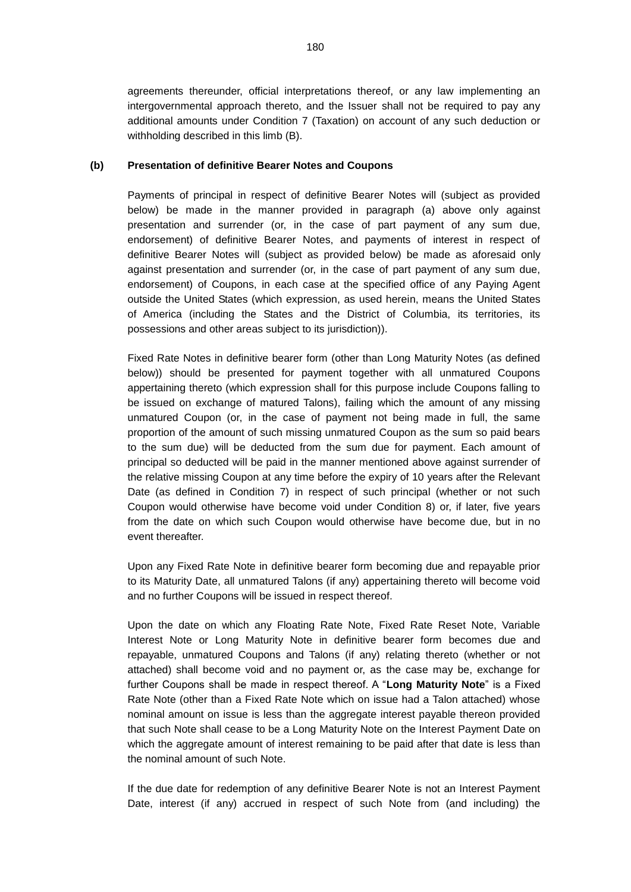agreements thereunder, official interpretations thereof, or any law implementing an intergovernmental approach thereto, and the Issuer shall not be required to pay any additional amounts under Condition 7 (Taxation) on account of any such deduction or withholding described in this limb (B).

### **(b) Presentation of definitive Bearer Notes and Coupons**

Payments of principal in respect of definitive Bearer Notes will (subject as provided below) be made in the manner provided in paragraph (a) above only against presentation and surrender (or, in the case of part payment of any sum due, endorsement) of definitive Bearer Notes, and payments of interest in respect of definitive Bearer Notes will (subject as provided below) be made as aforesaid only against presentation and surrender (or, in the case of part payment of any sum due, endorsement) of Coupons, in each case at the specified office of any Paying Agent outside the United States (which expression, as used herein, means the United States of America (including the States and the District of Columbia, its territories, its possessions and other areas subject to its jurisdiction)).

Fixed Rate Notes in definitive bearer form (other than Long Maturity Notes (as defined below)) should be presented for payment together with all unmatured Coupons appertaining thereto (which expression shall for this purpose include Coupons falling to be issued on exchange of matured Talons), failing which the amount of any missing unmatured Coupon (or, in the case of payment not being made in full, the same proportion of the amount of such missing unmatured Coupon as the sum so paid bears to the sum due) will be deducted from the sum due for payment. Each amount of principal so deducted will be paid in the manner mentioned above against surrender of the relative missing Coupon at any time before the expiry of 10 years after the Relevant Date (as defined in Condition 7) in respect of such principal (whether or not such Coupon would otherwise have become void under Condition 8) or, if later, five years from the date on which such Coupon would otherwise have become due, but in no event thereafter.

Upon any Fixed Rate Note in definitive bearer form becoming due and repayable prior to its Maturity Date, all unmatured Talons (if any) appertaining thereto will become void and no further Coupons will be issued in respect thereof.

Upon the date on which any Floating Rate Note, Fixed Rate Reset Note, Variable Interest Note or Long Maturity Note in definitive bearer form becomes due and repayable, unmatured Coupons and Talons (if any) relating thereto (whether or not attached) shall become void and no payment or, as the case may be, exchange for further Coupons shall be made in respect thereof. A "**Long Maturity Note**" is a Fixed Rate Note (other than a Fixed Rate Note which on issue had a Talon attached) whose nominal amount on issue is less than the aggregate interest payable thereon provided that such Note shall cease to be a Long Maturity Note on the Interest Payment Date on which the aggregate amount of interest remaining to be paid after that date is less than the nominal amount of such Note.

If the due date for redemption of any definitive Bearer Note is not an Interest Payment Date, interest (if any) accrued in respect of such Note from (and including) the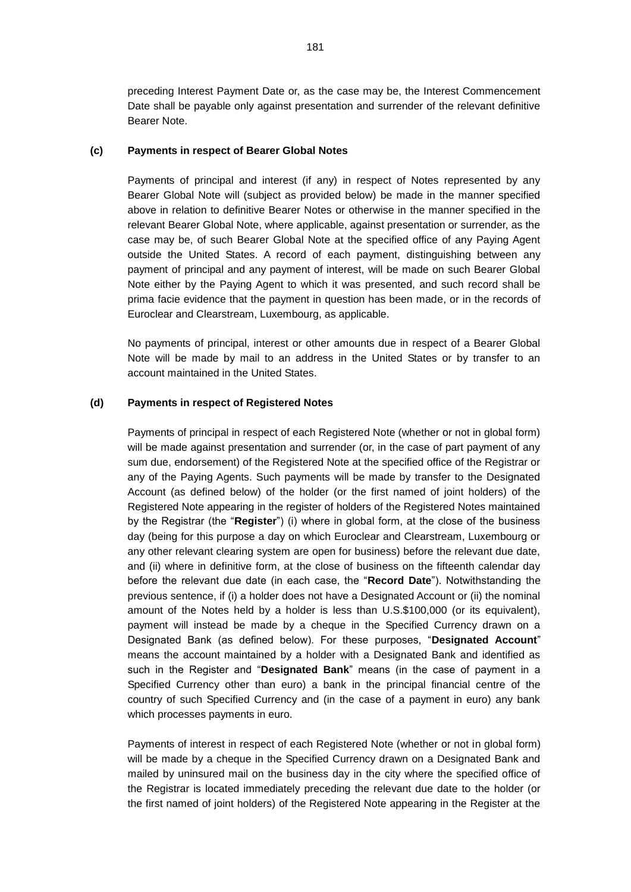preceding Interest Payment Date or, as the case may be, the Interest Commencement Date shall be payable only against presentation and surrender of the relevant definitive Bearer Note.

### **(c) Payments in respect of Bearer Global Notes**

Payments of principal and interest (if any) in respect of Notes represented by any Bearer Global Note will (subject as provided below) be made in the manner specified above in relation to definitive Bearer Notes or otherwise in the manner specified in the relevant Bearer Global Note, where applicable, against presentation or surrender, as the case may be, of such Bearer Global Note at the specified office of any Paying Agent outside the United States. A record of each payment, distinguishing between any payment of principal and any payment of interest, will be made on such Bearer Global Note either by the Paying Agent to which it was presented, and such record shall be prima facie evidence that the payment in question has been made, or in the records of Euroclear and Clearstream, Luxembourg, as applicable.

No payments of principal, interest or other amounts due in respect of a Bearer Global Note will be made by mail to an address in the United States or by transfer to an account maintained in the United States.

## **(d) Payments in respect of Registered Notes**

Payments of principal in respect of each Registered Note (whether or not in global form) will be made against presentation and surrender (or, in the case of part payment of any sum due, endorsement) of the Registered Note at the specified office of the Registrar or any of the Paying Agents. Such payments will be made by transfer to the Designated Account (as defined below) of the holder (or the first named of joint holders) of the Registered Note appearing in the register of holders of the Registered Notes maintained by the Registrar (the "**Register**") (i) where in global form, at the close of the business day (being for this purpose a day on which Euroclear and Clearstream, Luxembourg or any other relevant clearing system are open for business) before the relevant due date, and (ii) where in definitive form, at the close of business on the fifteenth calendar day before the relevant due date (in each case, the "**Record Date**"). Notwithstanding the previous sentence, if (i) a holder does not have a Designated Account or (ii) the nominal amount of the Notes held by a holder is less than U.S.\$100,000 (or its equivalent), payment will instead be made by a cheque in the Specified Currency drawn on a Designated Bank (as defined below). For these purposes, "**Designated Account**" means the account maintained by a holder with a Designated Bank and identified as such in the Register and "**Designated Bank**" means (in the case of payment in a Specified Currency other than euro) a bank in the principal financial centre of the country of such Specified Currency and (in the case of a payment in euro) any bank which processes payments in euro.

Payments of interest in respect of each Registered Note (whether or not in global form) will be made by a cheque in the Specified Currency drawn on a Designated Bank and mailed by uninsured mail on the business day in the city where the specified office of the Registrar is located immediately preceding the relevant due date to the holder (or the first named of joint holders) of the Registered Note appearing in the Register at the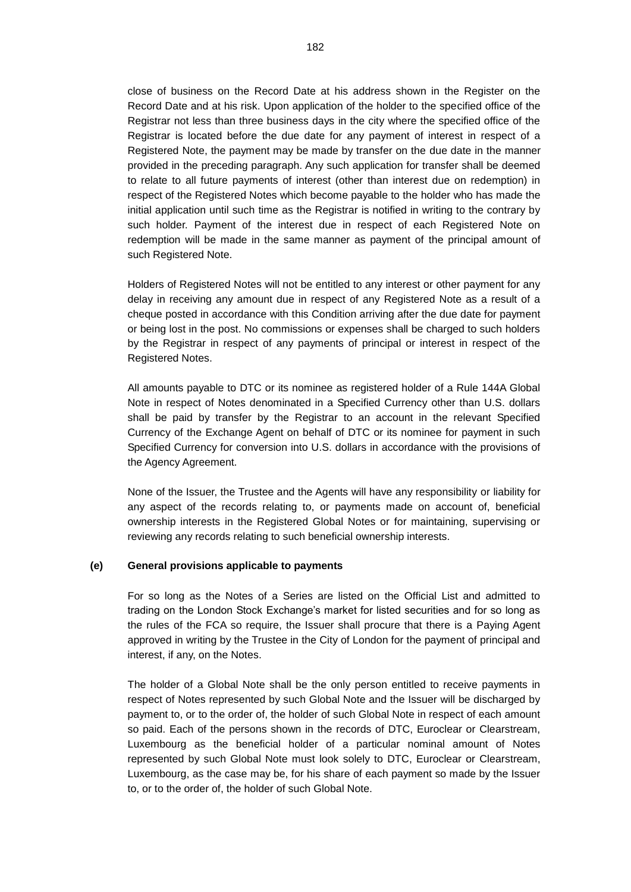close of business on the Record Date at his address shown in the Register on the Record Date and at his risk. Upon application of the holder to the specified office of the Registrar not less than three business days in the city where the specified office of the Registrar is located before the due date for any payment of interest in respect of a Registered Note, the payment may be made by transfer on the due date in the manner provided in the preceding paragraph. Any such application for transfer shall be deemed to relate to all future payments of interest (other than interest due on redemption) in respect of the Registered Notes which become payable to the holder who has made the initial application until such time as the Registrar is notified in writing to the contrary by such holder. Payment of the interest due in respect of each Registered Note on redemption will be made in the same manner as payment of the principal amount of such Registered Note.

Holders of Registered Notes will not be entitled to any interest or other payment for any delay in receiving any amount due in respect of any Registered Note as a result of a cheque posted in accordance with this Condition arriving after the due date for payment or being lost in the post. No commissions or expenses shall be charged to such holders by the Registrar in respect of any payments of principal or interest in respect of the Registered Notes.

All amounts payable to DTC or its nominee as registered holder of a Rule 144A Global Note in respect of Notes denominated in a Specified Currency other than U.S. dollars shall be paid by transfer by the Registrar to an account in the relevant Specified Currency of the Exchange Agent on behalf of DTC or its nominee for payment in such Specified Currency for conversion into U.S. dollars in accordance with the provisions of the Agency Agreement.

None of the Issuer, the Trustee and the Agents will have any responsibility or liability for any aspect of the records relating to, or payments made on account of, beneficial ownership interests in the Registered Global Notes or for maintaining, supervising or reviewing any records relating to such beneficial ownership interests.

### **(e) General provisions applicable to payments**

For so long as the Notes of a Series are listed on the Official List and admitted to trading on the London Stock Exchange's market for listed securities and for so long as the rules of the FCA so require, the Issuer shall procure that there is a Paying Agent approved in writing by the Trustee in the City of London for the payment of principal and interest, if any, on the Notes.

The holder of a Global Note shall be the only person entitled to receive payments in respect of Notes represented by such Global Note and the Issuer will be discharged by payment to, or to the order of, the holder of such Global Note in respect of each amount so paid. Each of the persons shown in the records of DTC, Euroclear or Clearstream, Luxembourg as the beneficial holder of a particular nominal amount of Notes represented by such Global Note must look solely to DTC, Euroclear or Clearstream, Luxembourg, as the case may be, for his share of each payment so made by the Issuer to, or to the order of, the holder of such Global Note.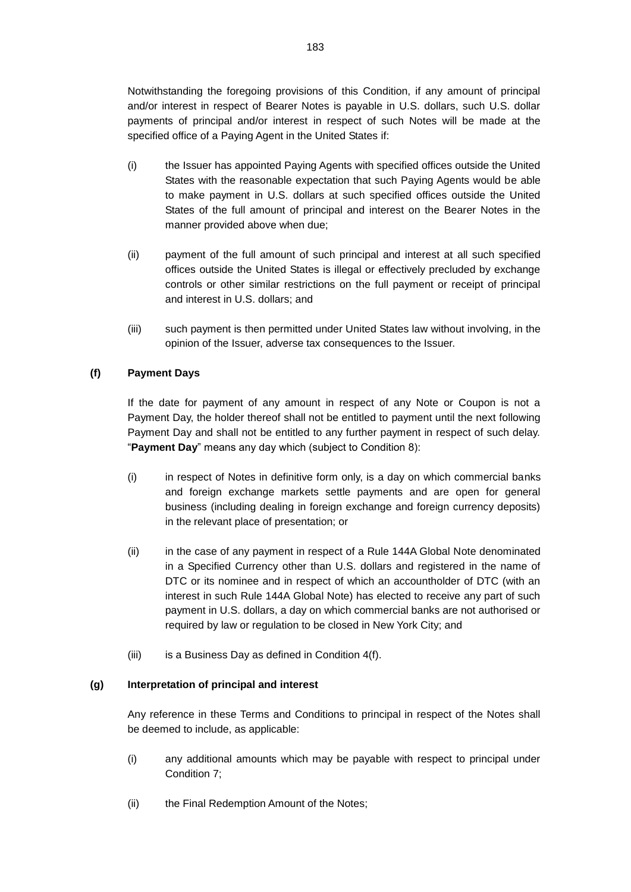Notwithstanding the foregoing provisions of this Condition, if any amount of principal and/or interest in respect of Bearer Notes is payable in U.S. dollars, such U.S. dollar payments of principal and/or interest in respect of such Notes will be made at the specified office of a Paying Agent in the United States if:

- (i) the Issuer has appointed Paying Agents with specified offices outside the United States with the reasonable expectation that such Paying Agents would be able to make payment in U.S. dollars at such specified offices outside the United States of the full amount of principal and interest on the Bearer Notes in the manner provided above when due;
- (ii) payment of the full amount of such principal and interest at all such specified offices outside the United States is illegal or effectively precluded by exchange controls or other similar restrictions on the full payment or receipt of principal and interest in U.S. dollars; and
- (iii) such payment is then permitted under United States law without involving, in the opinion of the Issuer, adverse tax consequences to the Issuer.

# **(f) Payment Days**

If the date for payment of any amount in respect of any Note or Coupon is not a Payment Day, the holder thereof shall not be entitled to payment until the next following Payment Day and shall not be entitled to any further payment in respect of such delay. "**Payment Day**" means any day which (subject to Condition 8):

- (i) in respect of Notes in definitive form only, is a day on which commercial banks and foreign exchange markets settle payments and are open for general business (including dealing in foreign exchange and foreign currency deposits) in the relevant place of presentation; or
- (ii) in the case of any payment in respect of a Rule 144A Global Note denominated in a Specified Currency other than U.S. dollars and registered in the name of DTC or its nominee and in respect of which an accountholder of DTC (with an interest in such Rule 144A Global Note) has elected to receive any part of such payment in U.S. dollars, a day on which commercial banks are not authorised or required by law or regulation to be closed in New York City; and
- (iii) is a Business Day as defined in Condition 4(f).

## **(g) Interpretation of principal and interest**

Any reference in these Terms and Conditions to principal in respect of the Notes shall be deemed to include, as applicable:

- (i) any additional amounts which may be payable with respect to principal under Condition 7;
- (ii) the Final Redemption Amount of the Notes;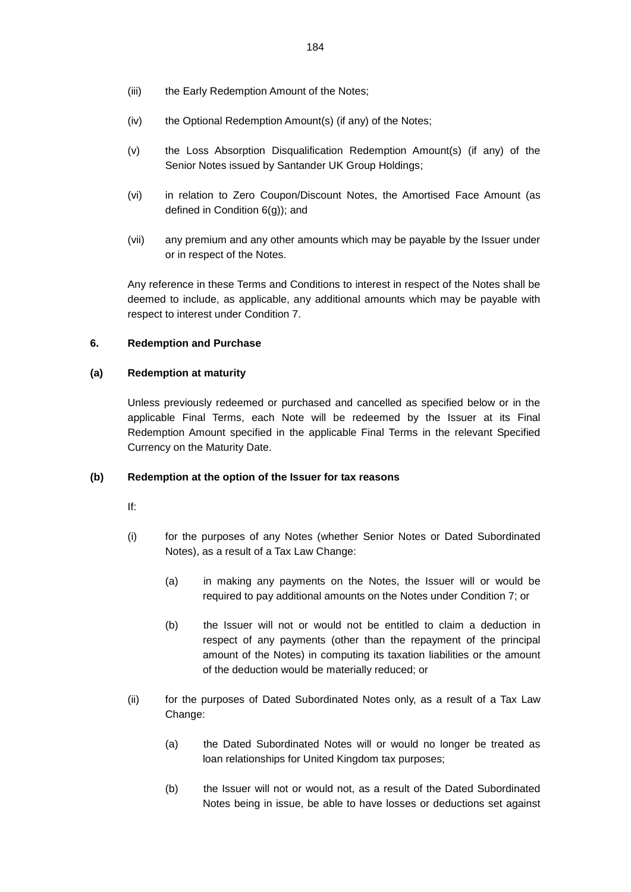- (iii) the Early Redemption Amount of the Notes;
- (iv) the Optional Redemption Amount(s) (if any) of the Notes;
- (v) the Loss Absorption Disqualification Redemption Amount(s) (if any) of the Senior Notes issued by Santander UK Group Holdings;
- (vi) in relation to Zero Coupon/Discount Notes, the Amortised Face Amount (as defined in Condition 6(g)); and
- (vii) any premium and any other amounts which may be payable by the Issuer under or in respect of the Notes.

Any reference in these Terms and Conditions to interest in respect of the Notes shall be deemed to include, as applicable, any additional amounts which may be payable with respect to interest under Condition 7.

## **6. Redemption and Purchase**

## **(a) Redemption at maturity**

Unless previously redeemed or purchased and cancelled as specified below or in the applicable Final Terms, each Note will be redeemed by the Issuer at its Final Redemption Amount specified in the applicable Final Terms in the relevant Specified Currency on the Maturity Date.

## **(b) Redemption at the option of the Issuer for tax reasons**

- If:
- (i) for the purposes of any Notes (whether Senior Notes or Dated Subordinated Notes), as a result of a Tax Law Change:
	- (a) in making any payments on the Notes, the Issuer will or would be required to pay additional amounts on the Notes under Condition 7; or
	- (b) the Issuer will not or would not be entitled to claim a deduction in respect of any payments (other than the repayment of the principal amount of the Notes) in computing its taxation liabilities or the amount of the deduction would be materially reduced; or
- (ii) for the purposes of Dated Subordinated Notes only, as a result of a Tax Law Change:
	- (a) the Dated Subordinated Notes will or would no longer be treated as loan relationships for United Kingdom tax purposes;
	- (b) the Issuer will not or would not, as a result of the Dated Subordinated Notes being in issue, be able to have losses or deductions set against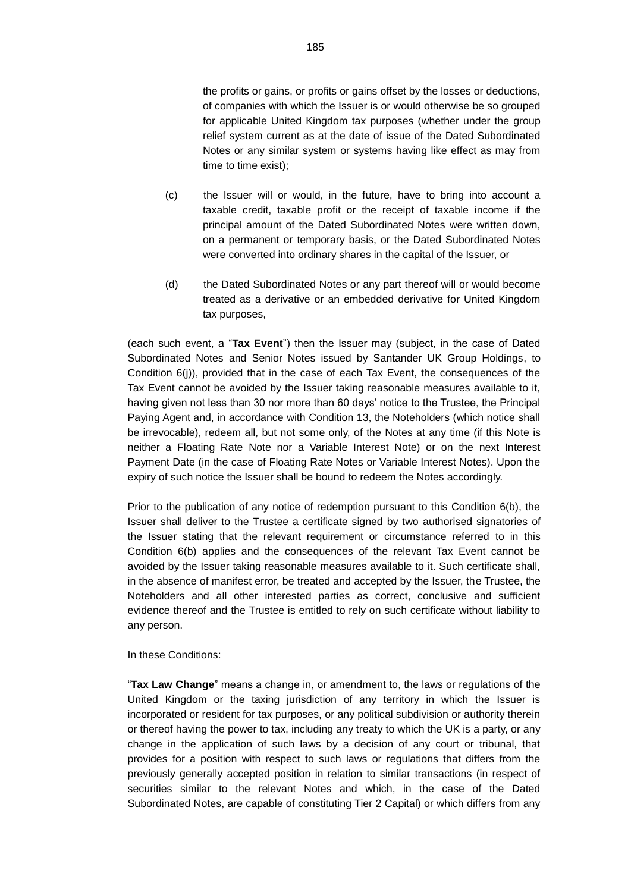the profits or gains, or profits or gains offset by the losses or deductions, of companies with which the Issuer is or would otherwise be so grouped for applicable United Kingdom tax purposes (whether under the group relief system current as at the date of issue of the Dated Subordinated Notes or any similar system or systems having like effect as may from time to time exist);

- (c) the Issuer will or would, in the future, have to bring into account a taxable credit, taxable profit or the receipt of taxable income if the principal amount of the Dated Subordinated Notes were written down, on a permanent or temporary basis, or the Dated Subordinated Notes were converted into ordinary shares in the capital of the Issuer, or
- (d) the Dated Subordinated Notes or any part thereof will or would become treated as a derivative or an embedded derivative for United Kingdom tax purposes,

(each such event, a "**Tax Event**") then the Issuer may (subject, in the case of Dated Subordinated Notes and Senior Notes issued by Santander UK Group Holdings, to Condition 6(j)), provided that in the case of each Tax Event, the consequences of the Tax Event cannot be avoided by the Issuer taking reasonable measures available to it, having given not less than 30 nor more than 60 days' notice to the Trustee, the Principal Paying Agent and, in accordance with Condition 13, the Noteholders (which notice shall be irrevocable), redeem all, but not some only, of the Notes at any time (if this Note is neither a Floating Rate Note nor a Variable Interest Note) or on the next Interest Payment Date (in the case of Floating Rate Notes or Variable Interest Notes). Upon the expiry of such notice the Issuer shall be bound to redeem the Notes accordingly.

Prior to the publication of any notice of redemption pursuant to this Condition 6(b), the Issuer shall deliver to the Trustee a certificate signed by two authorised signatories of the Issuer stating that the relevant requirement or circumstance referred to in this Condition 6(b) applies and the consequences of the relevant Tax Event cannot be avoided by the Issuer taking reasonable measures available to it. Such certificate shall, in the absence of manifest error, be treated and accepted by the Issuer, the Trustee, the Noteholders and all other interested parties as correct, conclusive and sufficient evidence thereof and the Trustee is entitled to rely on such certificate without liability to any person.

In these Conditions:

"**Tax Law Change**" means a change in, or amendment to, the laws or regulations of the United Kingdom or the taxing jurisdiction of any territory in which the Issuer is incorporated or resident for tax purposes, or any political subdivision or authority therein or thereof having the power to tax, including any treaty to which the UK is a party, or any change in the application of such laws by a decision of any court or tribunal, that provides for a position with respect to such laws or regulations that differs from the previously generally accepted position in relation to similar transactions (in respect of securities similar to the relevant Notes and which, in the case of the Dated Subordinated Notes, are capable of constituting Tier 2 Capital) or which differs from any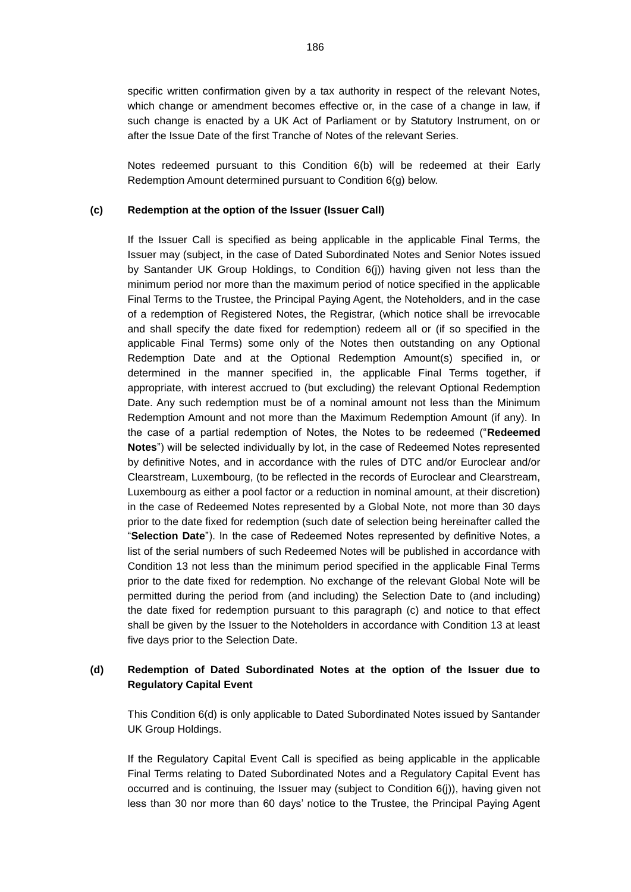specific written confirmation given by a tax authority in respect of the relevant Notes, which change or amendment becomes effective or, in the case of a change in law, if such change is enacted by a UK Act of Parliament or by Statutory Instrument, on or after the Issue Date of the first Tranche of Notes of the relevant Series.

Notes redeemed pursuant to this Condition 6(b) will be redeemed at their Early Redemption Amount determined pursuant to Condition 6(g) below.

### **(c) Redemption at the option of the Issuer (Issuer Call)**

If the Issuer Call is specified as being applicable in the applicable Final Terms, the Issuer may (subject, in the case of Dated Subordinated Notes and Senior Notes issued by Santander UK Group Holdings, to Condition 6(j)) having given not less than the minimum period nor more than the maximum period of notice specified in the applicable Final Terms to the Trustee, the Principal Paying Agent, the Noteholders, and in the case of a redemption of Registered Notes, the Registrar, (which notice shall be irrevocable and shall specify the date fixed for redemption) redeem all or (if so specified in the applicable Final Terms) some only of the Notes then outstanding on any Optional Redemption Date and at the Optional Redemption Amount(s) specified in, or determined in the manner specified in, the applicable Final Terms together, if appropriate, with interest accrued to (but excluding) the relevant Optional Redemption Date. Any such redemption must be of a nominal amount not less than the Minimum Redemption Amount and not more than the Maximum Redemption Amount (if any). In the case of a partial redemption of Notes, the Notes to be redeemed ("**Redeemed Notes**") will be selected individually by lot, in the case of Redeemed Notes represented by definitive Notes, and in accordance with the rules of DTC and/or Euroclear and/or Clearstream, Luxembourg, (to be reflected in the records of Euroclear and Clearstream, Luxembourg as either a pool factor or a reduction in nominal amount, at their discretion) in the case of Redeemed Notes represented by a Global Note, not more than 30 days prior to the date fixed for redemption (such date of selection being hereinafter called the "**Selection Date**"). In the case of Redeemed Notes represented by definitive Notes, a list of the serial numbers of such Redeemed Notes will be published in accordance with Condition 13 not less than the minimum period specified in the applicable Final Terms prior to the date fixed for redemption. No exchange of the relevant Global Note will be permitted during the period from (and including) the Selection Date to (and including) the date fixed for redemption pursuant to this paragraph (c) and notice to that effect shall be given by the Issuer to the Noteholders in accordance with Condition 13 at least five days prior to the Selection Date.

# <span id="page-63-0"></span>**(d) Redemption of Dated Subordinated Notes at the option of the Issuer due to Regulatory Capital Event**

This Condition [6\(d\)](#page-63-0) is only applicable to Dated Subordinated Notes issued by Santander UK Group Holdings.

If the Regulatory Capital Event Call is specified as being applicable in the applicable Final Terms relating to Dated Subordinated Notes and a Regulatory Capital Event has occurred and is continuing, the Issuer may (subject to Condition  $6(j)$ ), having given not less than 30 nor more than 60 days' notice to the Trustee, the Principal Paying Agent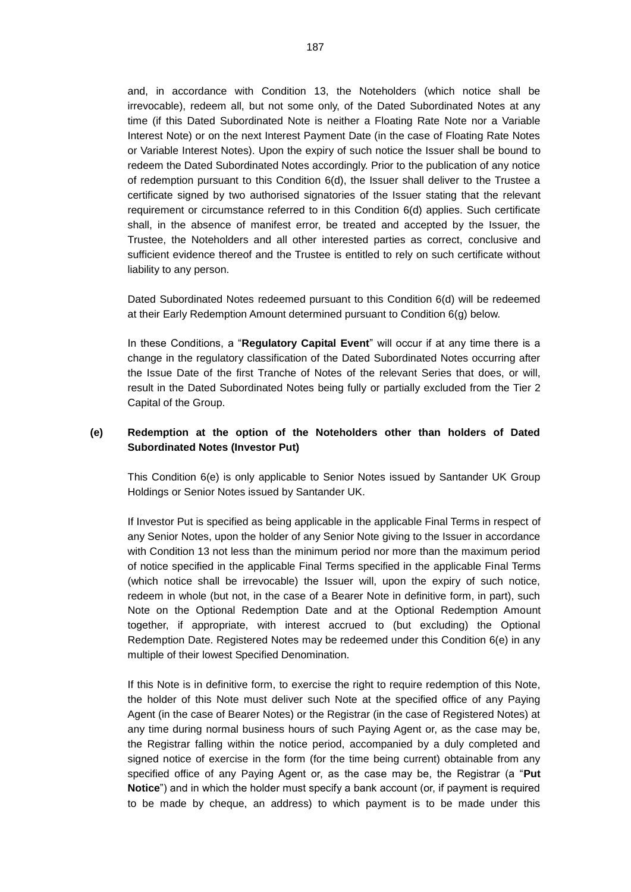and, in accordance with Condition 13, the Noteholders (which notice shall be irrevocable), redeem all, but not some only, of the Dated Subordinated Notes at any time (if this Dated Subordinated Note is neither a Floating Rate Note nor a Variable Interest Note) or on the next Interest Payment Date (in the case of Floating Rate Notes or Variable Interest Notes). Upon the expiry of such notice the Issuer shall be bound to redeem the Dated Subordinated Notes accordingly. Prior to the publication of any notice of redemption pursuant to this Condition 6(d), the Issuer shall deliver to the Trustee a certificate signed by two authorised signatories of the Issuer stating that the relevant requirement or circumstance referred to in this Condition 6(d) applies. Such certificate shall, in the absence of manifest error, be treated and accepted by the Issuer, the Trustee, the Noteholders and all other interested parties as correct, conclusive and sufficient evidence thereof and the Trustee is entitled to rely on such certificate without liability to any person.

Dated Subordinated Notes redeemed pursuant to this Condition 6(d) will be redeemed at their Early Redemption Amount determined pursuant to Condition 6(g) below.

In these Conditions, a "**Regulatory Capital Event**" will occur if at any time there is a change in the regulatory classification of the Dated Subordinated Notes occurring after the Issue Date of the first Tranche of Notes of the relevant Series that does, or will, result in the Dated Subordinated Notes being fully or partially excluded from the Tier 2 Capital of the Group.

# <span id="page-64-0"></span>**(e) Redemption at the option of the Noteholders other than holders of Dated Subordinated Notes (Investor Put)**

This Condition [6\(e\)](#page-64-0) is only applicable to Senior Notes issued by Santander UK Group Holdings or Senior Notes issued by Santander UK.

If Investor Put is specified as being applicable in the applicable Final Terms in respect of any Senior Notes, upon the holder of any Senior Note giving to the Issuer in accordance with Condition 13 not less than the minimum period nor more than the maximum period of notice specified in the applicable Final Terms specified in the applicable Final Terms (which notice shall be irrevocable) the Issuer will, upon the expiry of such notice, redeem in whole (but not, in the case of a Bearer Note in definitive form, in part), such Note on the Optional Redemption Date and at the Optional Redemption Amount together, if appropriate, with interest accrued to (but excluding) the Optional Redemption Date. Registered Notes may be redeemed under this Condition 6(e) in any multiple of their lowest Specified Denomination.

If this Note is in definitive form, to exercise the right to require redemption of this Note, the holder of this Note must deliver such Note at the specified office of any Paying Agent (in the case of Bearer Notes) or the Registrar (in the case of Registered Notes) at any time during normal business hours of such Paying Agent or, as the case may be, the Registrar falling within the notice period, accompanied by a duly completed and signed notice of exercise in the form (for the time being current) obtainable from any specified office of any Paying Agent or, as the case may be, the Registrar (a "**Put Notice**") and in which the holder must specify a bank account (or, if payment is required to be made by cheque, an address) to which payment is to be made under this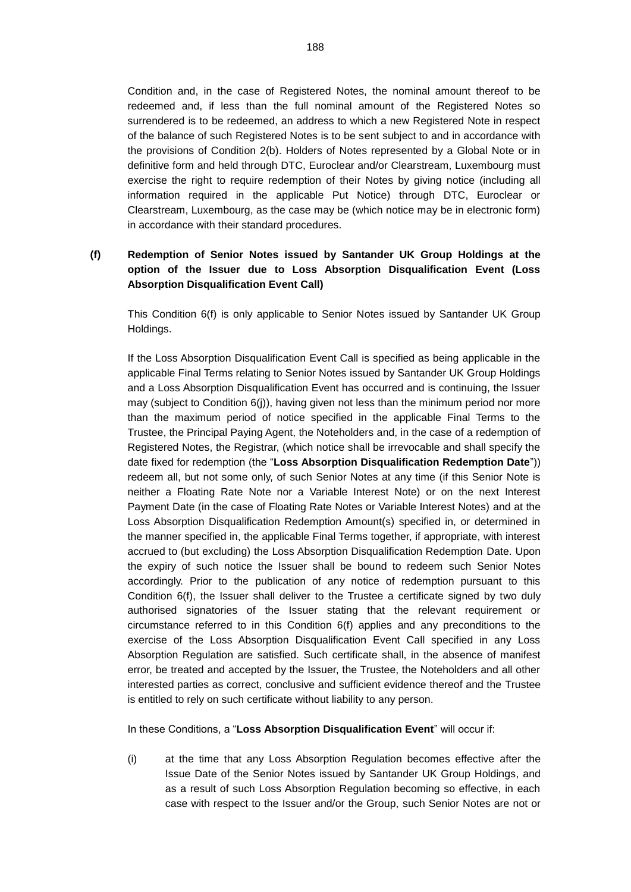Condition and, in the case of Registered Notes, the nominal amount thereof to be redeemed and, if less than the full nominal amount of the Registered Notes so surrendered is to be redeemed, an address to which a new Registered Note in respect of the balance of such Registered Notes is to be sent subject to and in accordance with the provisions of Condition 2(b). Holders of Notes represented by a Global Note or in definitive form and held through DTC, Euroclear and/or Clearstream, Luxembourg must exercise the right to require redemption of their Notes by giving notice (including all information required in the applicable Put Notice) through DTC, Euroclear or Clearstream, Luxembourg, as the case may be (which notice may be in electronic form) in accordance with their standard procedures.

# <span id="page-65-0"></span>**(f) Redemption of Senior Notes issued by Santander UK Group Holdings at the option of the Issuer due to Loss Absorption Disqualification Event (Loss Absorption Disqualification Event Call)**

This Condition [6\(f\)](#page-65-0) is only applicable to Senior Notes issued by Santander UK Group Holdings.

If the Loss Absorption Disqualification Event Call is specified as being applicable in the applicable Final Terms relating to Senior Notes issued by Santander UK Group Holdings and a Loss Absorption Disqualification Event has occurred and is continuing, the Issuer may (subject to Condition [6\(j\)\)](#page-68-0), having given not less than the minimum period nor more than the maximum period of notice specified in the applicable Final Terms to the Trustee, the Principal Paying Agent, the Noteholders and, in the case of a redemption of Registered Notes, the Registrar, (which notice shall be irrevocable and shall specify the date fixed for redemption (the "**Loss Absorption Disqualification Redemption Date**")) redeem all, but not some only, of such Senior Notes at any time (if this Senior Note is neither a Floating Rate Note nor a Variable Interest Note) or on the next Interest Payment Date (in the case of Floating Rate Notes or Variable Interest Notes) and at the Loss Absorption Disqualification Redemption Amount(s) specified in, or determined in the manner specified in, the applicable Final Terms together, if appropriate, with interest accrued to (but excluding) the Loss Absorption Disqualification Redemption Date. Upon the expiry of such notice the Issuer shall be bound to redeem such Senior Notes accordingly. Prior to the publication of any notice of redemption pursuant to this Condition 6(f), the Issuer shall deliver to the Trustee a certificate signed by two duly authorised signatories of the Issuer stating that the relevant requirement or circumstance referred to in this Condition 6(f) applies and any preconditions to the exercise of the Loss Absorption Disqualification Event Call specified in any Loss Absorption Regulation are satisfied. Such certificate shall, in the absence of manifest error, be treated and accepted by the Issuer, the Trustee, the Noteholders and all other interested parties as correct, conclusive and sufficient evidence thereof and the Trustee is entitled to rely on such certificate without liability to any person.

In these Conditions, a "**Loss Absorption Disqualification Event**" will occur if:

(i) at the time that any Loss Absorption Regulation becomes effective after the Issue Date of the Senior Notes issued by Santander UK Group Holdings, and as a result of such Loss Absorption Regulation becoming so effective, in each case with respect to the Issuer and/or the Group, such Senior Notes are not or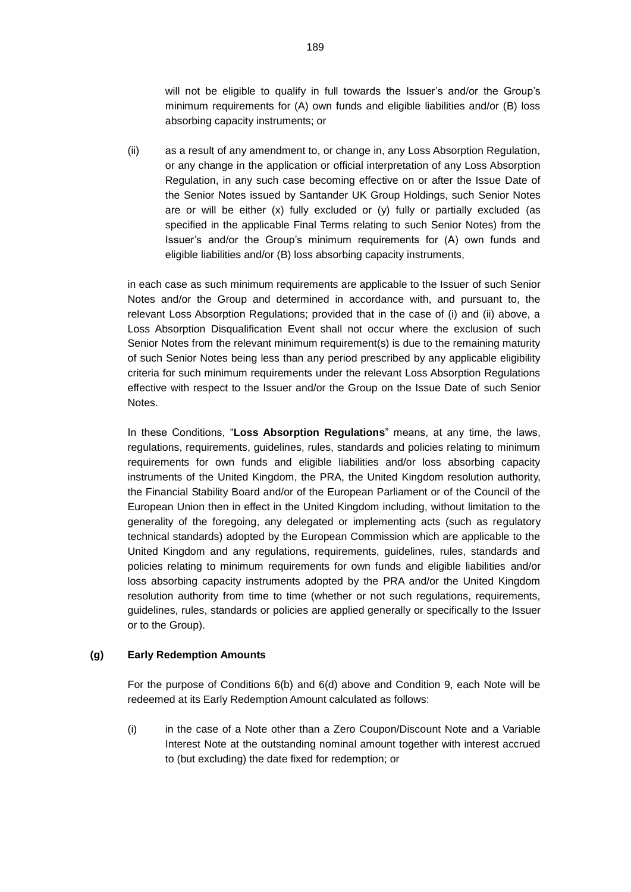will not be eligible to qualify in full towards the Issuer's and/or the Group's minimum requirements for (A) own funds and eligible liabilities and/or (B) loss absorbing capacity instruments; or

(ii) as a result of any amendment to, or change in, any Loss Absorption Regulation, or any change in the application or official interpretation of any Loss Absorption Regulation, in any such case becoming effective on or after the Issue Date of the Senior Notes issued by Santander UK Group Holdings, such Senior Notes are or will be either (x) fully excluded or (y) fully or partially excluded (as specified in the applicable Final Terms relating to such Senior Notes) from the Issuer's and/or the Group's minimum requirements for (A) own funds and eligible liabilities and/or (B) loss absorbing capacity instruments,

in each case as such minimum requirements are applicable to the Issuer of such Senior Notes and/or the Group and determined in accordance with, and pursuant to, the relevant Loss Absorption Regulations; provided that in the case of (i) and (ii) above, a Loss Absorption Disqualification Event shall not occur where the exclusion of such Senior Notes from the relevant minimum requirement(s) is due to the remaining maturity of such Senior Notes being less than any period prescribed by any applicable eligibility criteria for such minimum requirements under the relevant Loss Absorption Regulations effective with respect to the Issuer and/or the Group on the Issue Date of such Senior Notes.

In these Conditions, "**Loss Absorption Regulations**" means, at any time, the laws, regulations, requirements, guidelines, rules, standards and policies relating to minimum requirements for own funds and eligible liabilities and/or loss absorbing capacity instruments of the United Kingdom, the PRA, the United Kingdom resolution authority, the Financial Stability Board and/or of the European Parliament or of the Council of the European Union then in effect in the United Kingdom including, without limitation to the generality of the foregoing, any delegated or implementing acts (such as regulatory technical standards) adopted by the European Commission which are applicable to the United Kingdom and any regulations, requirements, guidelines, rules, standards and policies relating to minimum requirements for own funds and eligible liabilities and/or loss absorbing capacity instruments adopted by the PRA and/or the United Kingdom resolution authority from time to time (whether or not such regulations, requirements, guidelines, rules, standards or policies are applied generally or specifically to the Issuer or to the Group).

### **(g) Early Redemption Amounts**

For the purpose of Conditions 6(b) and 6(d) above and Condition 9, each Note will be redeemed at its Early Redemption Amount calculated as follows:

(i) in the case of a Note other than a Zero Coupon/Discount Note and a Variable Interest Note at the outstanding nominal amount together with interest accrued to (but excluding) the date fixed for redemption; or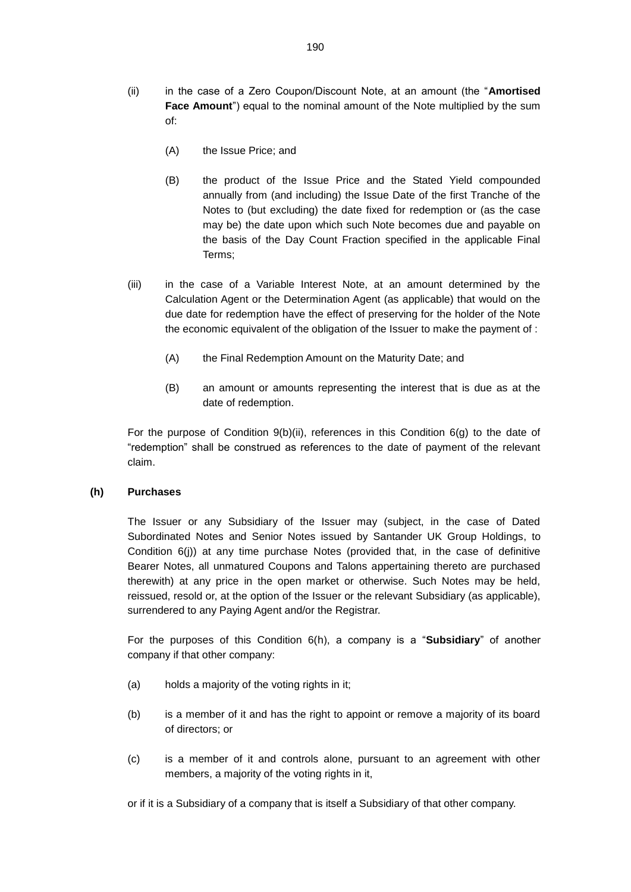- (ii) in the case of a Zero Coupon/Discount Note, at an amount (the "**Amortised Face Amount**") equal to the nominal amount of the Note multiplied by the sum of:
	- (A) the Issue Price; and
	- (B) the product of the Issue Price and the Stated Yield compounded annually from (and including) the Issue Date of the first Tranche of the Notes to (but excluding) the date fixed for redemption or (as the case may be) the date upon which such Note becomes due and payable on the basis of the Day Count Fraction specified in the applicable Final Terms;
- (iii) in the case of a Variable Interest Note, at an amount determined by the Calculation Agent or the Determination Agent (as applicable) that would on the due date for redemption have the effect of preserving for the holder of the Note the economic equivalent of the obligation of the Issuer to make the payment of :
	- (A) the Final Redemption Amount on the Maturity Date; and
	- (B) an amount or amounts representing the interest that is due as at the date of redemption.

For the purpose of Condition  $9(b)(ii)$ , references in this Condition  $6(g)$  to the date of "redemption" shall be construed as references to the date of payment of the relevant claim.

# **(h) Purchases**

The Issuer or any Subsidiary of the Issuer may (subject, in the case of Dated Subordinated Notes and Senior Notes issued by Santander UK Group Holdings, to Condition 6(j)) at any time purchase Notes (provided that, in the case of definitive Bearer Notes, all unmatured Coupons and Talons appertaining thereto are purchased therewith) at any price in the open market or otherwise. Such Notes may be held, reissued, resold or, at the option of the Issuer or the relevant Subsidiary (as applicable), surrendered to any Paying Agent and/or the Registrar.

For the purposes of this Condition 6(h), a company is a "**Subsidiary**" of another company if that other company:

- (a) holds a majority of the voting rights in it;
- (b) is a member of it and has the right to appoint or remove a majority of its board of directors; or
- (c) is a member of it and controls alone, pursuant to an agreement with other members, a majority of the voting rights in it,

or if it is a Subsidiary of a company that is itself a Subsidiary of that other company.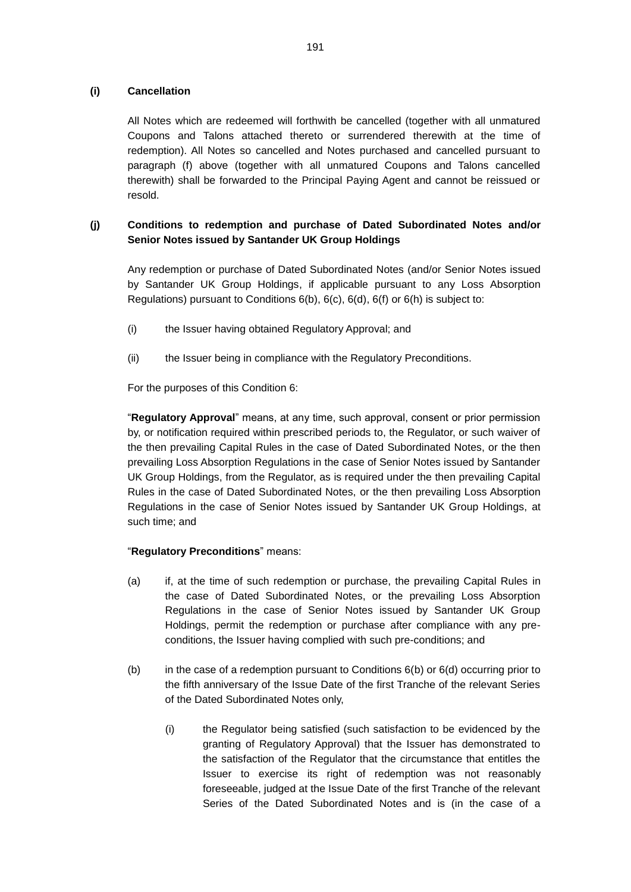## **(i) Cancellation**

All Notes which are redeemed will forthwith be cancelled (together with all unmatured Coupons and Talons attached thereto or surrendered therewith at the time of redemption). All Notes so cancelled and Notes purchased and cancelled pursuant to paragraph (f) above (together with all unmatured Coupons and Talons cancelled therewith) shall be forwarded to the Principal Paying Agent and cannot be reissued or resold.

# <span id="page-68-0"></span>**(j) Conditions to redemption and purchase of Dated Subordinated Notes and/or Senior Notes issued by Santander UK Group Holdings**

Any redemption or purchase of Dated Subordinated Notes (and/or Senior Notes issued by Santander UK Group Holdings, if applicable pursuant to any Loss Absorption Regulations) pursuant to Conditions 6(b), 6(c), 6(d), [6\(f\)](#page-65-0) or 6(h) is subject to:

- (i) the Issuer having obtained Regulatory Approval; and
- (ii) the Issuer being in compliance with the Regulatory Preconditions.

For the purposes of this Condition 6:

"**Regulatory Approval**" means, at any time, such approval, consent or prior permission by, or notification required within prescribed periods to, the Regulator, or such waiver of the then prevailing Capital Rules in the case of Dated Subordinated Notes, or the then prevailing Loss Absorption Regulations in the case of Senior Notes issued by Santander UK Group Holdings, from the Regulator, as is required under the then prevailing Capital Rules in the case of Dated Subordinated Notes, or the then prevailing Loss Absorption Regulations in the case of Senior Notes issued by Santander UK Group Holdings, at such time; and

## "**Regulatory Preconditions**" means:

- (a) if, at the time of such redemption or purchase, the prevailing Capital Rules in the case of Dated Subordinated Notes, or the prevailing Loss Absorption Regulations in the case of Senior Notes issued by Santander UK Group Holdings, permit the redemption or purchase after compliance with any preconditions, the Issuer having complied with such pre-conditions; and
- (b) in the case of a redemption pursuant to Conditions  $6(b)$  or  $6(d)$  occurring prior to the fifth anniversary of the Issue Date of the first Tranche of the relevant Series of the Dated Subordinated Notes only,
	- (i) the Regulator being satisfied (such satisfaction to be evidenced by the granting of Regulatory Approval) that the Issuer has demonstrated to the satisfaction of the Regulator that the circumstance that entitles the Issuer to exercise its right of redemption was not reasonably foreseeable, judged at the Issue Date of the first Tranche of the relevant Series of the Dated Subordinated Notes and is (in the case of a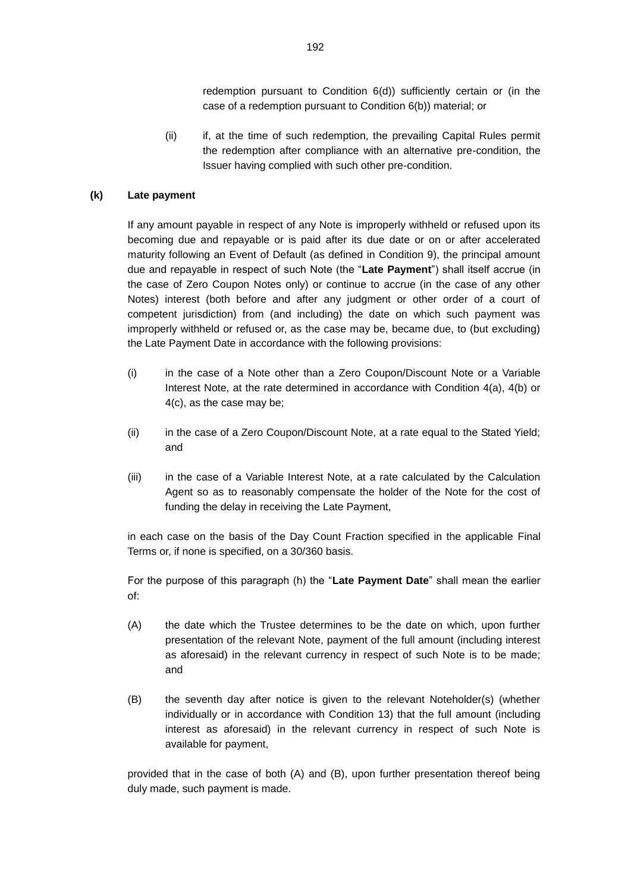redemption pursuant to Condition 6(d)) sufficiently certain or (in the case of a redemption pursuant to Condition 6(b)) material; or

(ii) if, at the time of such redemption, the prevailing Capital Rules permit the redemption after compliance with an alternative pre-condition, the Issuer having complied with such other pre-condition.

## **(k) Late payment**

If any amount payable in respect of any Note is improperly withheld or refused upon its becoming due and repayable or is paid after its due date or on or after accelerated maturity following an Event of Default (as defined in Condition 9), the principal amount due and repayable in respect of such Note (the "**Late Payment**") shall itself accrue (in the case of Zero Coupon Notes only) or continue to accrue (in the case of any other Notes) interest (both before and after any judgment or other order of a court of competent jurisdiction) from (and including) the date on which such payment was improperly withheld or refused or, as the case may be, became due, to (but excluding) the Late Payment Date in accordance with the following provisions:

- (i) in the case of a Note other than a Zero Coupon/Discount Note or a Variable Interest Note, at the rate determined in accordance with Condition 4(a), 4(b) or 4(c), as the case may be;
- (ii) in the case of a Zero Coupon/Discount Note, at a rate equal to the Stated Yield; and
- (iii) in the case of a Variable Interest Note, at a rate calculated by the Calculation Agent so as to reasonably compensate the holder of the Note for the cost of funding the delay in receiving the Late Payment,

in each case on the basis of the Day Count Fraction specified in the applicable Final Terms or, if none is specified, on a 30/360 basis.

For the purpose of this paragraph (h) the "**Late Payment Date**" shall mean the earlier of:

- (A) the date which the Trustee determines to be the date on which, upon further presentation of the relevant Note, payment of the full amount (including interest as aforesaid) in the relevant currency in respect of such Note is to be made; and
- (B) the seventh day after notice is given to the relevant Noteholder(s) (whether individually or in accordance with Condition 13) that the full amount (including interest as aforesaid) in the relevant currency in respect of such Note is available for payment,

provided that in the case of both (A) and (B), upon further presentation thereof being duly made, such payment is made.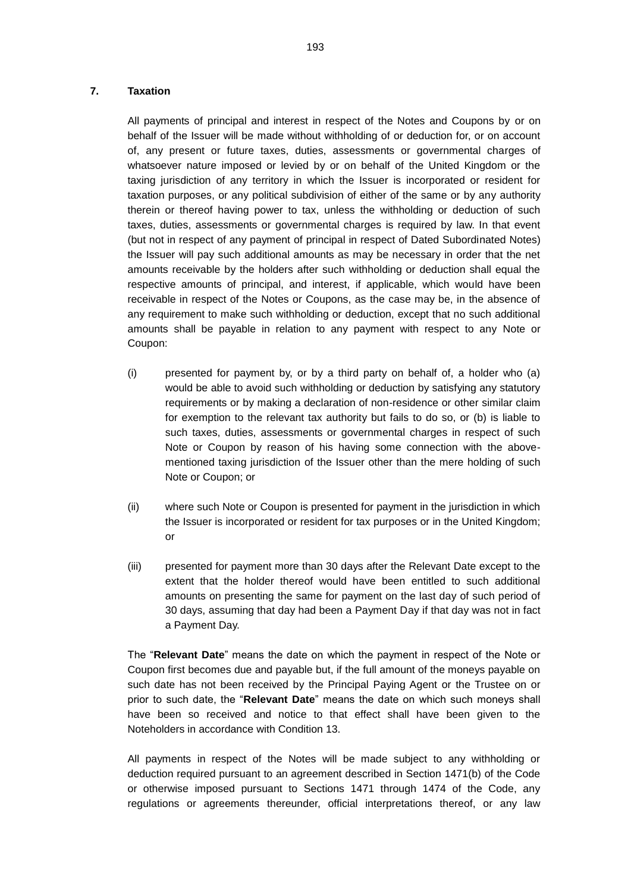## **7. Taxation**

All payments of principal and interest in respect of the Notes and Coupons by or on behalf of the Issuer will be made without withholding of or deduction for, or on account of, any present or future taxes, duties, assessments or governmental charges of whatsoever nature imposed or levied by or on behalf of the United Kingdom or the taxing jurisdiction of any territory in which the Issuer is incorporated or resident for taxation purposes, or any political subdivision of either of the same or by any authority therein or thereof having power to tax, unless the withholding or deduction of such taxes, duties, assessments or governmental charges is required by law. In that event (but not in respect of any payment of principal in respect of Dated Subordinated Notes) the Issuer will pay such additional amounts as may be necessary in order that the net amounts receivable by the holders after such withholding or deduction shall equal the respective amounts of principal, and interest, if applicable, which would have been receivable in respect of the Notes or Coupons, as the case may be, in the absence of any requirement to make such withholding or deduction, except that no such additional amounts shall be payable in relation to any payment with respect to any Note or Coupon:

- (i) presented for payment by, or by a third party on behalf of, a holder who (a) would be able to avoid such withholding or deduction by satisfying any statutory requirements or by making a declaration of non-residence or other similar claim for exemption to the relevant tax authority but fails to do so, or (b) is liable to such taxes, duties, assessments or governmental charges in respect of such Note or Coupon by reason of his having some connection with the abovementioned taxing jurisdiction of the Issuer other than the mere holding of such Note or Coupon; or
- (ii) where such Note or Coupon is presented for payment in the jurisdiction in which the Issuer is incorporated or resident for tax purposes or in the United Kingdom; or
- (iii) presented for payment more than 30 days after the Relevant Date except to the extent that the holder thereof would have been entitled to such additional amounts on presenting the same for payment on the last day of such period of 30 days, assuming that day had been a Payment Day if that day was not in fact a Payment Day.

The "**Relevant Date**" means the date on which the payment in respect of the Note or Coupon first becomes due and payable but, if the full amount of the moneys payable on such date has not been received by the Principal Paying Agent or the Trustee on or prior to such date, the "**Relevant Date**" means the date on which such moneys shall have been so received and notice to that effect shall have been given to the Noteholders in accordance with Condition 13.

All payments in respect of the Notes will be made subject to any withholding or deduction required pursuant to an agreement described in Section 1471(b) of the Code or otherwise imposed pursuant to Sections 1471 through 1474 of the Code, any regulations or agreements thereunder, official interpretations thereof, or any law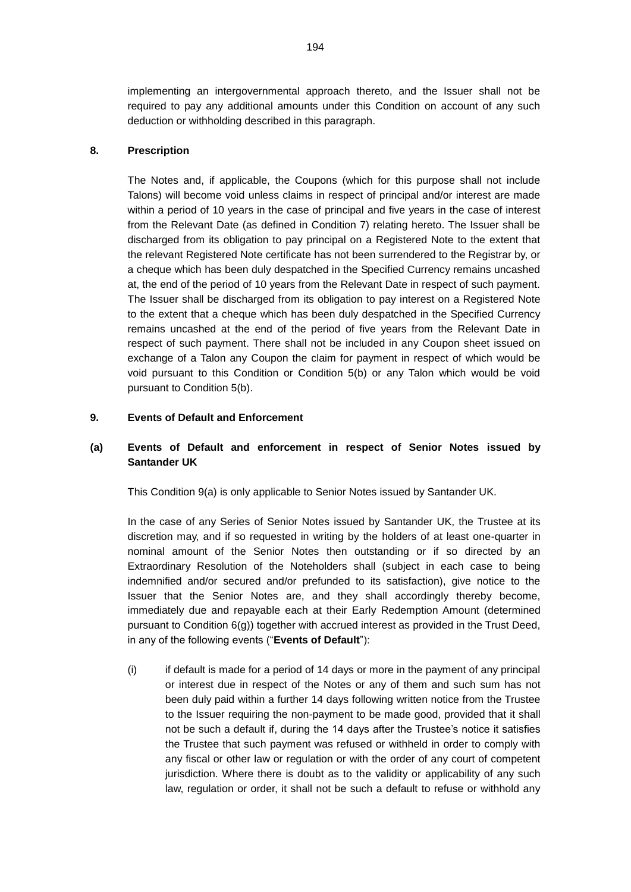implementing an intergovernmental approach thereto, and the Issuer shall not be required to pay any additional amounts under this Condition on account of any such deduction or withholding described in this paragraph.

### **8. Prescription**

The Notes and, if applicable, the Coupons (which for this purpose shall not include Talons) will become void unless claims in respect of principal and/or interest are made within a period of 10 years in the case of principal and five years in the case of interest from the Relevant Date (as defined in Condition 7) relating hereto. The Issuer shall be discharged from its obligation to pay principal on a Registered Note to the extent that the relevant Registered Note certificate has not been surrendered to the Registrar by, or a cheque which has been duly despatched in the Specified Currency remains uncashed at, the end of the period of 10 years from the Relevant Date in respect of such payment. The Issuer shall be discharged from its obligation to pay interest on a Registered Note to the extent that a cheque which has been duly despatched in the Specified Currency remains uncashed at the end of the period of five years from the Relevant Date in respect of such payment. There shall not be included in any Coupon sheet issued on exchange of a Talon any Coupon the claim for payment in respect of which would be void pursuant to this Condition or Condition 5(b) or any Talon which would be void pursuant to Condition 5(b).

## **9. Events of Default and Enforcement**

# <span id="page-71-0"></span>**(a) Events of Default and enforcement in respect of Senior Notes issued by Santander UK**

This Condition [9\(a\)](#page-71-0) is only applicable to Senior Notes issued by Santander UK.

In the case of any Series of Senior Notes issued by Santander UK, the Trustee at its discretion may, and if so requested in writing by the holders of at least one-quarter in nominal amount of the Senior Notes then outstanding or if so directed by an Extraordinary Resolution of the Noteholders shall (subject in each case to being indemnified and/or secured and/or prefunded to its satisfaction), give notice to the Issuer that the Senior Notes are, and they shall accordingly thereby become, immediately due and repayable each at their Early Redemption Amount (determined pursuant to Condition 6(g)) together with accrued interest as provided in the Trust Deed, in any of the following events ("**Events of Default**"):

(i) if default is made for a period of 14 days or more in the payment of any principal or interest due in respect of the Notes or any of them and such sum has not been duly paid within a further 14 days following written notice from the Trustee to the Issuer requiring the non-payment to be made good, provided that it shall not be such a default if, during the 14 days after the Trustee's notice it satisfies the Trustee that such payment was refused or withheld in order to comply with any fiscal or other law or regulation or with the order of any court of competent jurisdiction. Where there is doubt as to the validity or applicability of any such law, regulation or order, it shall not be such a default to refuse or withhold any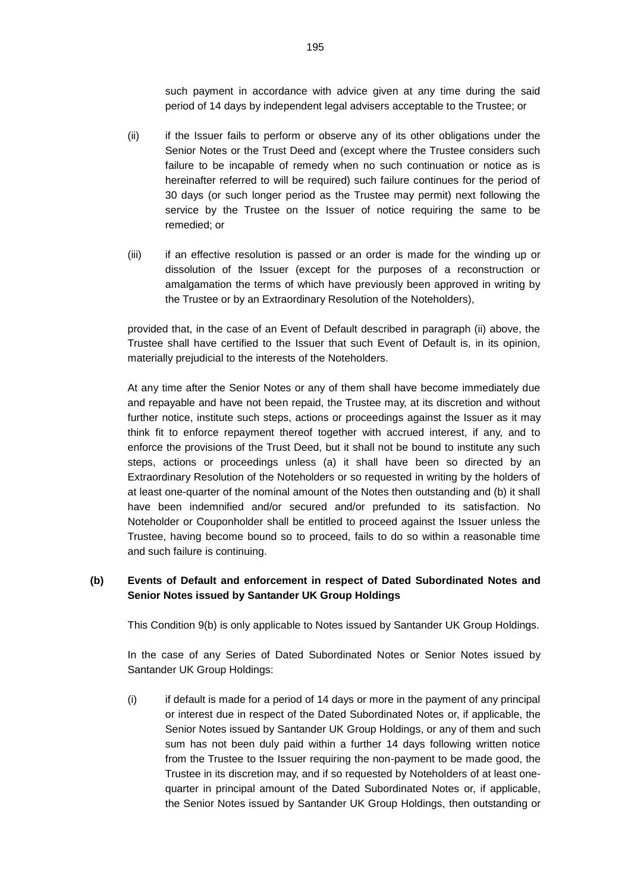such payment in accordance with advice given at any time during the said period of 14 days by independent legal advisers acceptable to the Trustee; or

- (ii) if the Issuer fails to perform or observe any of its other obligations under the Senior Notes or the Trust Deed and (except where the Trustee considers such failure to be incapable of remedy when no such continuation or notice as is hereinafter referred to will be required) such failure continues for the period of 30 days (or such longer period as the Trustee may permit) next following the service by the Trustee on the Issuer of notice requiring the same to be remedied; or
- (iii) if an effective resolution is passed or an order is made for the winding up or dissolution of the Issuer (except for the purposes of a reconstruction or amalgamation the terms of which have previously been approved in writing by the Trustee or by an Extraordinary Resolution of the Noteholders),

provided that, in the case of an Event of Default described in paragraph (ii) above, the Trustee shall have certified to the Issuer that such Event of Default is, in its opinion, materially prejudicial to the interests of the Noteholders.

At any time after the Senior Notes or any of them shall have become immediately due and repayable and have not been repaid, the Trustee may, at its discretion and without further notice, institute such steps, actions or proceedings against the Issuer as it may think fit to enforce repayment thereof together with accrued interest, if any, and to enforce the provisions of the Trust Deed, but it shall not be bound to institute any such steps, actions or proceedings unless (a) it shall have been so directed by an Extraordinary Resolution of the Noteholders or so requested in writing by the holders of at least one-quarter of the nominal amount of the Notes then outstanding and (b) it shall have been indemnified and/or secured and/or prefunded to its satisfaction. No Noteholder or Couponholder shall be entitled to proceed against the Issuer unless the Trustee, having become bound so to proceed, fails to do so within a reasonable time and such failure is continuing.

## <span id="page-72-0"></span>**(b) Events of Default and enforcement in respect of Dated Subordinated Notes and Senior Notes issued by Santander UK Group Holdings**

This Condition [9\(b\)](#page-72-0) is only applicable to Notes issued by Santander UK Group Holdings.

In the case of any Series of Dated Subordinated Notes or Senior Notes issued by Santander UK Group Holdings:

(i) if default is made for a period of 14 days or more in the payment of any principal or interest due in respect of the Dated Subordinated Notes or, if applicable, the Senior Notes issued by Santander UK Group Holdings, or any of them and such sum has not been duly paid within a further 14 days following written notice from the Trustee to the Issuer requiring the non-payment to be made good, the Trustee in its discretion may, and if so requested by Noteholders of at least onequarter in principal amount of the Dated Subordinated Notes or, if applicable, the Senior Notes issued by Santander UK Group Holdings, then outstanding or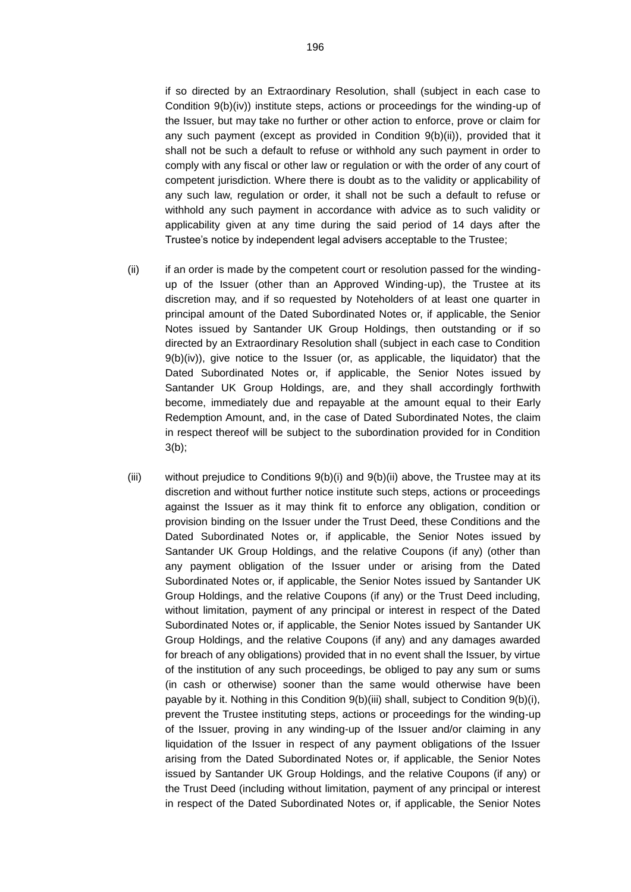if so directed by an Extraordinary Resolution, shall (subject in each case to Condition 9(b)(iv)) institute steps, actions or proceedings for the winding-up of the Issuer, but may take no further or other action to enforce, prove or claim for any such payment (except as provided in Condition 9(b)(ii)), provided that it shall not be such a default to refuse or withhold any such payment in order to comply with any fiscal or other law or regulation or with the order of any court of competent jurisdiction. Where there is doubt as to the validity or applicability of any such law, regulation or order, it shall not be such a default to refuse or withhold any such payment in accordance with advice as to such validity or applicability given at any time during the said period of 14 days after the Trustee's notice by independent legal advisers acceptable to the Trustee;

- (ii) if an order is made by the competent court or resolution passed for the windingup of the Issuer (other than an Approved Winding-up), the Trustee at its discretion may, and if so requested by Noteholders of at least one quarter in principal amount of the Dated Subordinated Notes or, if applicable, the Senior Notes issued by Santander UK Group Holdings, then outstanding or if so directed by an Extraordinary Resolution shall (subject in each case to Condition  $9(b)(iv)$ , give notice to the Issuer (or, as applicable, the liquidator) that the Dated Subordinated Notes or, if applicable, the Senior Notes issued by Santander UK Group Holdings, are, and they shall accordingly forthwith become, immediately due and repayable at the amount equal to their Early Redemption Amount, and, in the case of Dated Subordinated Notes, the claim in respect thereof will be subject to the subordination provided for in Condition  $3(b)$ ;
- (iii) without prejudice to Conditions  $9(b)(i)$  and  $9(b)(ii)$  above, the Trustee may at its discretion and without further notice institute such steps, actions or proceedings against the Issuer as it may think fit to enforce any obligation, condition or provision binding on the Issuer under the Trust Deed, these Conditions and the Dated Subordinated Notes or, if applicable, the Senior Notes issued by Santander UK Group Holdings, and the relative Coupons (if any) (other than any payment obligation of the Issuer under or arising from the Dated Subordinated Notes or, if applicable, the Senior Notes issued by Santander UK Group Holdings, and the relative Coupons (if any) or the Trust Deed including, without limitation, payment of any principal or interest in respect of the Dated Subordinated Notes or, if applicable, the Senior Notes issued by Santander UK Group Holdings, and the relative Coupons (if any) and any damages awarded for breach of any obligations) provided that in no event shall the Issuer, by virtue of the institution of any such proceedings, be obliged to pay any sum or sums (in cash or otherwise) sooner than the same would otherwise have been payable by it. Nothing in this Condition 9(b)(iii) shall, subject to Condition 9(b)(i), prevent the Trustee instituting steps, actions or proceedings for the winding-up of the Issuer, proving in any winding-up of the Issuer and/or claiming in any liquidation of the Issuer in respect of any payment obligations of the Issuer arising from the Dated Subordinated Notes or, if applicable, the Senior Notes issued by Santander UK Group Holdings, and the relative Coupons (if any) or the Trust Deed (including without limitation, payment of any principal or interest in respect of the Dated Subordinated Notes or, if applicable, the Senior Notes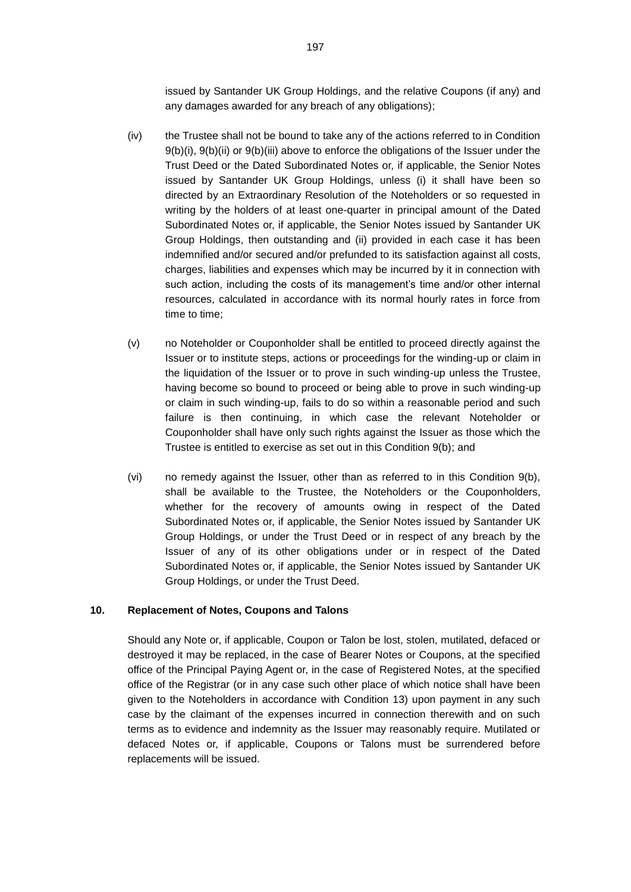issued by Santander UK Group Holdings, and the relative Coupons (if any) and any damages awarded for any breach of any obligations);

- (iv) the Trustee shall not be bound to take any of the actions referred to in Condition 9(b)(i), 9(b)(ii) or 9(b)(iii) above to enforce the obligations of the Issuer under the Trust Deed or the Dated Subordinated Notes or, if applicable, the Senior Notes issued by Santander UK Group Holdings, unless (i) it shall have been so directed by an Extraordinary Resolution of the Noteholders or so requested in writing by the holders of at least one-quarter in principal amount of the Dated Subordinated Notes or, if applicable, the Senior Notes issued by Santander UK Group Holdings, then outstanding and (ii) provided in each case it has been indemnified and/or secured and/or prefunded to its satisfaction against all costs, charges, liabilities and expenses which may be incurred by it in connection with such action, including the costs of its management's time and/or other internal resources, calculated in accordance with its normal hourly rates in force from time to time;
- (v) no Noteholder or Couponholder shall be entitled to proceed directly against the Issuer or to institute steps, actions or proceedings for the winding-up or claim in the liquidation of the Issuer or to prove in such winding-up unless the Trustee, having become so bound to proceed or being able to prove in such winding-up or claim in such winding-up, fails to do so within a reasonable period and such failure is then continuing, in which case the relevant Noteholder or Couponholder shall have only such rights against the Issuer as those which the Trustee is entitled to exercise as set out in this Condition 9(b); and
- (vi) no remedy against the Issuer, other than as referred to in this Condition 9(b), shall be available to the Trustee, the Noteholders or the Couponholders, whether for the recovery of amounts owing in respect of the Dated Subordinated Notes or, if applicable, the Senior Notes issued by Santander UK Group Holdings, or under the Trust Deed or in respect of any breach by the Issuer of any of its other obligations under or in respect of the Dated Subordinated Notes or, if applicable, the Senior Notes issued by Santander UK Group Holdings, or under the Trust Deed.

## **10. Replacement of Notes, Coupons and Talons**

Should any Note or, if applicable, Coupon or Talon be lost, stolen, mutilated, defaced or destroyed it may be replaced, in the case of Bearer Notes or Coupons, at the specified office of the Principal Paying Agent or, in the case of Registered Notes, at the specified office of the Registrar (or in any case such other place of which notice shall have been given to the Noteholders in accordance with Condition 13) upon payment in any such case by the claimant of the expenses incurred in connection therewith and on such terms as to evidence and indemnity as the Issuer may reasonably require. Mutilated or defaced Notes or, if applicable, Coupons or Talons must be surrendered before replacements will be issued.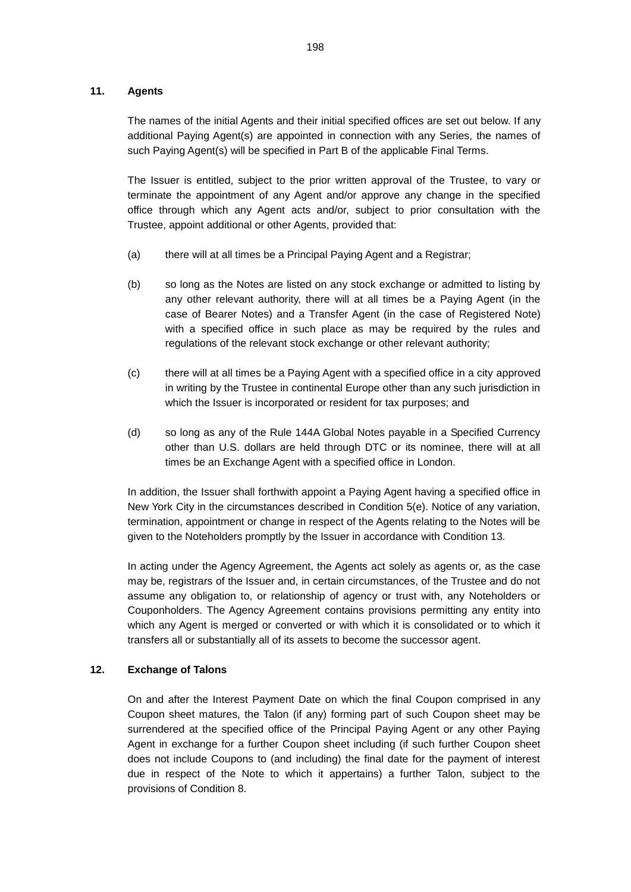## **11. Agents**

The names of the initial Agents and their initial specified offices are set out below. If any additional Paying Agent(s) are appointed in connection with any Series, the names of such Paying Agent(s) will be specified in Part B of the applicable Final Terms.

The Issuer is entitled, subject to the prior written approval of the Trustee, to vary or terminate the appointment of any Agent and/or approve any change in the specified office through which any Agent acts and/or, subject to prior consultation with the Trustee, appoint additional or other Agents, provided that:

- (a) there will at all times be a Principal Paying Agent and a Registrar;
- (b) so long as the Notes are listed on any stock exchange or admitted to listing by any other relevant authority, there will at all times be a Paying Agent (in the case of Bearer Notes) and a Transfer Agent (in the case of Registered Note) with a specified office in such place as may be required by the rules and regulations of the relevant stock exchange or other relevant authority;
- (c) there will at all times be a Paying Agent with a specified office in a city approved in writing by the Trustee in continental Europe other than any such jurisdiction in which the Issuer is incorporated or resident for tax purposes; and
- (d) so long as any of the Rule 144A Global Notes payable in a Specified Currency other than U.S. dollars are held through DTC or its nominee, there will at all times be an Exchange Agent with a specified office in London.

In addition, the Issuer shall forthwith appoint a Paying Agent having a specified office in New York City in the circumstances described in Condition 5(e). Notice of any variation, termination, appointment or change in respect of the Agents relating to the Notes will be given to the Noteholders promptly by the Issuer in accordance with Condition 13.

In acting under the Agency Agreement, the Agents act solely as agents or, as the case may be, registrars of the Issuer and, in certain circumstances, of the Trustee and do not assume any obligation to, or relationship of agency or trust with, any Noteholders or Couponholders. The Agency Agreement contains provisions permitting any entity into which any Agent is merged or converted or with which it is consolidated or to which it transfers all or substantially all of its assets to become the successor agent.

## **12. Exchange of Talons**

On and after the Interest Payment Date on which the final Coupon comprised in any Coupon sheet matures, the Talon (if any) forming part of such Coupon sheet may be surrendered at the specified office of the Principal Paying Agent or any other Paying Agent in exchange for a further Coupon sheet including (if such further Coupon sheet does not include Coupons to (and including) the final date for the payment of interest due in respect of the Note to which it appertains) a further Talon, subject to the provisions of Condition 8.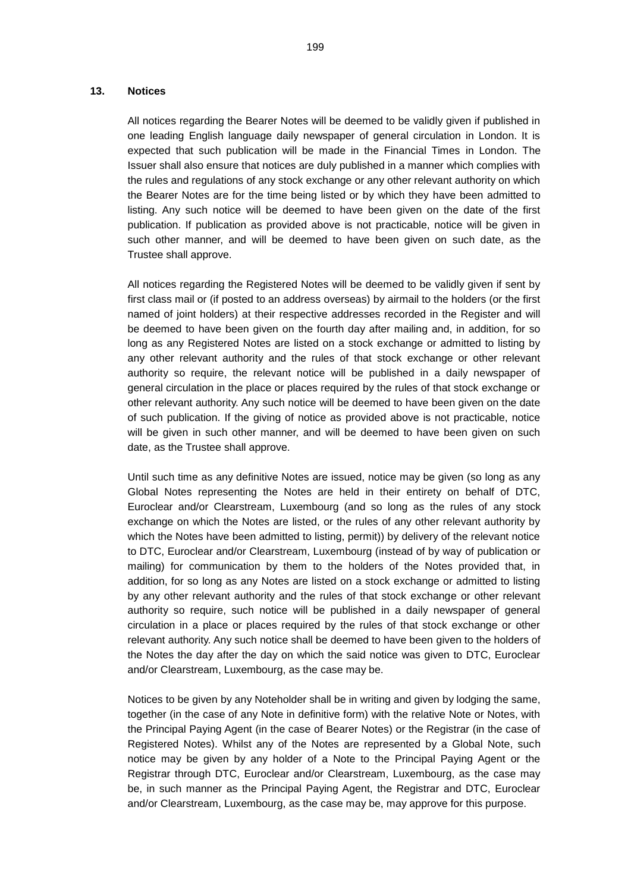#### **13. Notices**

All notices regarding the Bearer Notes will be deemed to be validly given if published in one leading English language daily newspaper of general circulation in London. It is expected that such publication will be made in the Financial Times in London. The Issuer shall also ensure that notices are duly published in a manner which complies with the rules and regulations of any stock exchange or any other relevant authority on which the Bearer Notes are for the time being listed or by which they have been admitted to listing. Any such notice will be deemed to have been given on the date of the first publication. If publication as provided above is not practicable, notice will be given in such other manner, and will be deemed to have been given on such date, as the Trustee shall approve.

All notices regarding the Registered Notes will be deemed to be validly given if sent by first class mail or (if posted to an address overseas) by airmail to the holders (or the first named of joint holders) at their respective addresses recorded in the Register and will be deemed to have been given on the fourth day after mailing and, in addition, for so long as any Registered Notes are listed on a stock exchange or admitted to listing by any other relevant authority and the rules of that stock exchange or other relevant authority so require, the relevant notice will be published in a daily newspaper of general circulation in the place or places required by the rules of that stock exchange or other relevant authority. Any such notice will be deemed to have been given on the date of such publication. If the giving of notice as provided above is not practicable, notice will be given in such other manner, and will be deemed to have been given on such date, as the Trustee shall approve.

Until such time as any definitive Notes are issued, notice may be given (so long as any Global Notes representing the Notes are held in their entirety on behalf of DTC, Euroclear and/or Clearstream, Luxembourg (and so long as the rules of any stock exchange on which the Notes are listed, or the rules of any other relevant authority by which the Notes have been admitted to listing, permit)) by delivery of the relevant notice to DTC, Euroclear and/or Clearstream, Luxembourg (instead of by way of publication or mailing) for communication by them to the holders of the Notes provided that, in addition, for so long as any Notes are listed on a stock exchange or admitted to listing by any other relevant authority and the rules of that stock exchange or other relevant authority so require, such notice will be published in a daily newspaper of general circulation in a place or places required by the rules of that stock exchange or other relevant authority. Any such notice shall be deemed to have been given to the holders of the Notes the day after the day on which the said notice was given to DTC, Euroclear and/or Clearstream, Luxembourg, as the case may be.

Notices to be given by any Noteholder shall be in writing and given by lodging the same, together (in the case of any Note in definitive form) with the relative Note or Notes, with the Principal Paying Agent (in the case of Bearer Notes) or the Registrar (in the case of Registered Notes). Whilst any of the Notes are represented by a Global Note, such notice may be given by any holder of a Note to the Principal Paying Agent or the Registrar through DTC, Euroclear and/or Clearstream, Luxembourg, as the case may be, in such manner as the Principal Paying Agent, the Registrar and DTC, Euroclear and/or Clearstream, Luxembourg, as the case may be, may approve for this purpose.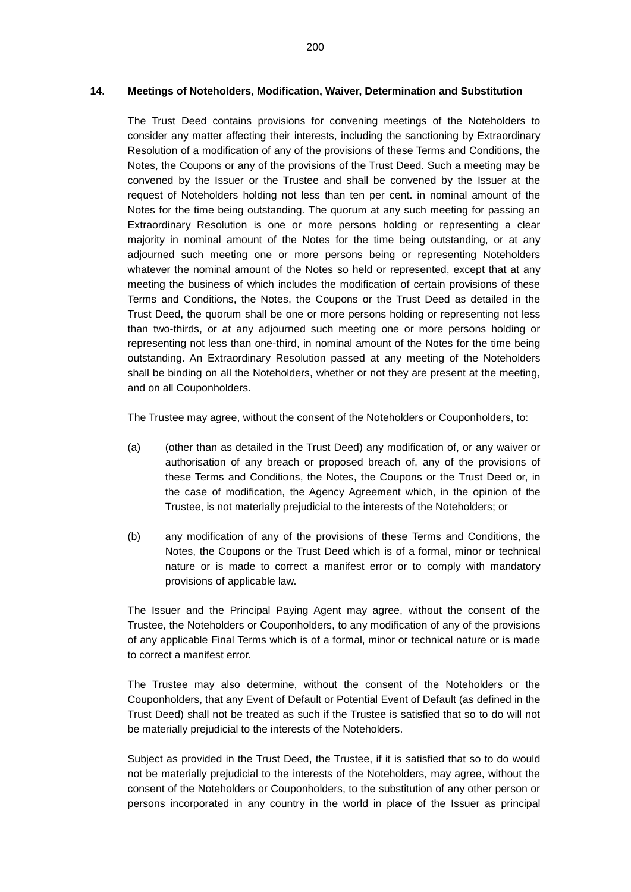### **14. Meetings of Noteholders, Modification, Waiver, Determination and Substitution**

The Trust Deed contains provisions for convening meetings of the Noteholders to consider any matter affecting their interests, including the sanctioning by Extraordinary Resolution of a modification of any of the provisions of these Terms and Conditions, the Notes, the Coupons or any of the provisions of the Trust Deed. Such a meeting may be convened by the Issuer or the Trustee and shall be convened by the Issuer at the request of Noteholders holding not less than ten per cent. in nominal amount of the Notes for the time being outstanding. The quorum at any such meeting for passing an Extraordinary Resolution is one or more persons holding or representing a clear majority in nominal amount of the Notes for the time being outstanding, or at any adjourned such meeting one or more persons being or representing Noteholders whatever the nominal amount of the Notes so held or represented, except that at any meeting the business of which includes the modification of certain provisions of these Terms and Conditions, the Notes, the Coupons or the Trust Deed as detailed in the Trust Deed, the quorum shall be one or more persons holding or representing not less than two-thirds, or at any adjourned such meeting one or more persons holding or representing not less than one-third, in nominal amount of the Notes for the time being outstanding. An Extraordinary Resolution passed at any meeting of the Noteholders shall be binding on all the Noteholders, whether or not they are present at the meeting, and on all Couponholders.

The Trustee may agree, without the consent of the Noteholders or Couponholders, to:

- (a) (other than as detailed in the Trust Deed) any modification of, or any waiver or authorisation of any breach or proposed breach of, any of the provisions of these Terms and Conditions, the Notes, the Coupons or the Trust Deed or, in the case of modification, the Agency Agreement which, in the opinion of the Trustee, is not materially prejudicial to the interests of the Noteholders; or
- (b) any modification of any of the provisions of these Terms and Conditions, the Notes, the Coupons or the Trust Deed which is of a formal, minor or technical nature or is made to correct a manifest error or to comply with mandatory provisions of applicable law.

The Issuer and the Principal Paying Agent may agree, without the consent of the Trustee, the Noteholders or Couponholders, to any modification of any of the provisions of any applicable Final Terms which is of a formal, minor or technical nature or is made to correct a manifest error.

The Trustee may also determine, without the consent of the Noteholders or the Couponholders, that any Event of Default or Potential Event of Default (as defined in the Trust Deed) shall not be treated as such if the Trustee is satisfied that so to do will not be materially prejudicial to the interests of the Noteholders.

Subject as provided in the Trust Deed, the Trustee, if it is satisfied that so to do would not be materially prejudicial to the interests of the Noteholders, may agree, without the consent of the Noteholders or Couponholders, to the substitution of any other person or persons incorporated in any country in the world in place of the Issuer as principal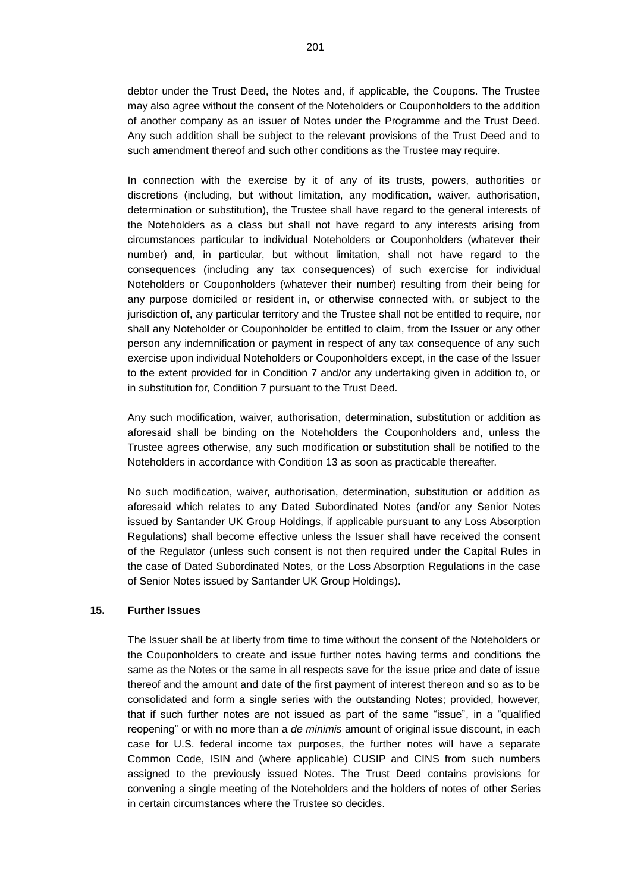debtor under the Trust Deed, the Notes and, if applicable, the Coupons. The Trustee may also agree without the consent of the Noteholders or Couponholders to the addition of another company as an issuer of Notes under the Programme and the Trust Deed. Any such addition shall be subject to the relevant provisions of the Trust Deed and to such amendment thereof and such other conditions as the Trustee may require.

In connection with the exercise by it of any of its trusts, powers, authorities or discretions (including, but without limitation, any modification, waiver, authorisation, determination or substitution), the Trustee shall have regard to the general interests of the Noteholders as a class but shall not have regard to any interests arising from circumstances particular to individual Noteholders or Couponholders (whatever their number) and, in particular, but without limitation, shall not have regard to the consequences (including any tax consequences) of such exercise for individual Noteholders or Couponholders (whatever their number) resulting from their being for any purpose domiciled or resident in, or otherwise connected with, or subject to the jurisdiction of, any particular territory and the Trustee shall not be entitled to require, nor shall any Noteholder or Couponholder be entitled to claim, from the Issuer or any other person any indemnification or payment in respect of any tax consequence of any such exercise upon individual Noteholders or Couponholders except, in the case of the Issuer to the extent provided for in Condition 7 and/or any undertaking given in addition to, or in substitution for, Condition 7 pursuant to the Trust Deed.

Any such modification, waiver, authorisation, determination, substitution or addition as aforesaid shall be binding on the Noteholders the Couponholders and, unless the Trustee agrees otherwise, any such modification or substitution shall be notified to the Noteholders in accordance with Condition 13 as soon as practicable thereafter.

No such modification, waiver, authorisation, determination, substitution or addition as aforesaid which relates to any Dated Subordinated Notes (and/or any Senior Notes issued by Santander UK Group Holdings, if applicable pursuant to any Loss Absorption Regulations) shall become effective unless the Issuer shall have received the consent of the Regulator (unless such consent is not then required under the Capital Rules in the case of Dated Subordinated Notes, or the Loss Absorption Regulations in the case of Senior Notes issued by Santander UK Group Holdings).

### **15. Further Issues**

The Issuer shall be at liberty from time to time without the consent of the Noteholders or the Couponholders to create and issue further notes having terms and conditions the same as the Notes or the same in all respects save for the issue price and date of issue thereof and the amount and date of the first payment of interest thereon and so as to be consolidated and form a single series with the outstanding Notes; provided, however, that if such further notes are not issued as part of the same "issue", in a "qualified reopening" or with no more than a *de minimis* amount of original issue discount, in each case for U.S. federal income tax purposes, the further notes will have a separate Common Code, ISIN and (where applicable) CUSIP and CINS from such numbers assigned to the previously issued Notes. The Trust Deed contains provisions for convening a single meeting of the Noteholders and the holders of notes of other Series in certain circumstances where the Trustee so decides.